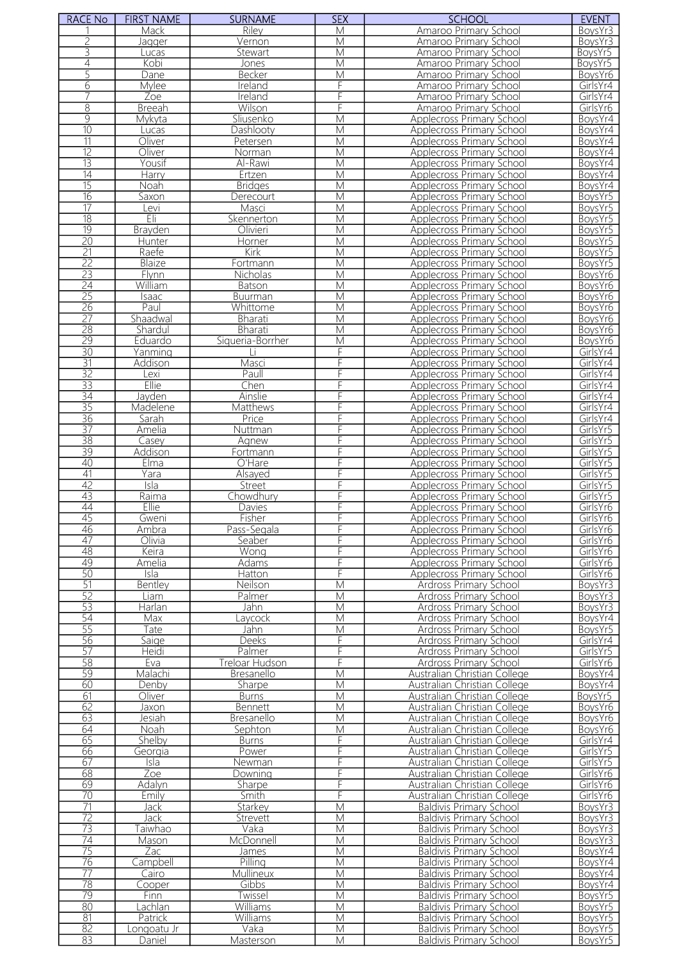| <b>RACE No</b>        | <b>FIRST NAME</b>    | <b>SURNAME</b>    | <b>SEX</b>              | <b>SCHOOL</b>                                                 | <b>EVENT</b>         |
|-----------------------|----------------------|-------------------|-------------------------|---------------------------------------------------------------|----------------------|
|                       | Mack                 | Riley             | M                       | Amaroo Primary School                                         | BoysYr3              |
|                       | Jagger               | Vernon            | M                       | Amaroo Primary School                                         | BoysYr3              |
| 3                     | Lucas                | Stewart           | $\overline{\mathsf{M}}$ | Amaroo Primary School                                         | BoysYr5              |
| 4<br>5                | Kobi                 | Jones             | M                       | Amaroo Primary School                                         | BoysYr5              |
| 6                     | Dane<br>Mylee        | Becker<br>Ireland | M<br>F                  | Amaroo Primary School<br>Amaroo Primary School                | BoysYr6<br>GirlsYr4  |
|                       | Zoe                  | Ireland           | F                       | Amaroo Primary School                                         | GirlsYr4             |
| $\overline{8}$        | <b>Breeah</b>        | Wilson            | F                       | Amaroo Primary School                                         | GirlsYr6             |
| $\overline{9}$        | Mykyta               | Sliusenko         | M                       | Applecross Primary School                                     | BoysYr4              |
| 10                    | Lucas                | Dashlooty         | $\overline{M}$          | <b>Applecross Primary School</b>                              | BoysYr4              |
| $\overline{11}$       | Oliver               | Petersen          | $\overline{\mathsf{M}}$ | Applecross Primary School                                     | BoysYr4              |
| $\overline{12}$       | Oliver               | Norman            | M                       | Applecross Primary School                                     | BoysYr4              |
| $\overline{13}$       | Yousif               | Al-Rawi           | M                       | Applecross Primary School                                     | BoysYr4              |
| $\overline{14}$       | Harry                | Ertzen            | M                       | Applecross Primary School                                     | BoysYr4              |
| $\overline{15}$       | Noah                 | <b>Bridges</b>    | M                       | <b>Applecross Primary School</b>                              | BoysYr4              |
| $\overline{16}$       | Saxon                | Derecourt         | M                       | Applecross Primary School                                     | BoysYr5              |
| 17                    | evi                  | Masci             | М                       | Applecross Primary School                                     | BoysYr5              |
| $\overline{18}$       | Eli                  | Skennerton        | M                       | Applecross Primary School                                     | BoysYr5              |
| $\overline{19}$       | Brayden              | Olivieri          | $\overline{\mathsf{M}}$ | <b>Applecross Primary School</b>                              | BoysYr5              |
| 20<br>$\overline{21}$ | Hunter<br>Raefe      | Horner<br>Kirk    | M<br>$\overline{M}$     | Applecross Primary School<br><b>Applecross Primary School</b> | BoysYr5<br>BoysYr5   |
| 22                    | Blaize               | Fortmann          | M                       | <b>Applecross Primary School</b>                              | BoysYr5              |
| 23                    | Flynn                | Nicholas          | $\overline{M}$          | <b>Applecross Primary School</b>                              | BoysYr6              |
| 24                    | William              | Batson            | M                       | <b>Applecross Primary School</b>                              | BoysYr6              |
| 25                    | <b>Isaac</b>         | <b>Buurman</b>    | M                       | <b>Applecross Primary School</b>                              | BoysYr6              |
| 26                    | Paul                 | Whittome          | M                       | <b>Applecross Primary School</b>                              | BoysYr6              |
| $\overline{27}$       | Shaadwal             | <b>Bharati</b>    | $\overline{M}$          | <b>Applecross Primary School</b>                              | BoysYr6              |
| $\overline{28}$       | Shardul              | Bharati           | M                       | Applecross Primary School                                     | BoysYr6              |
| 29                    | Eduardo              | Siqueria-Borrher  | $\overline{\mathsf{M}}$ | Applecross Primary School                                     | BoysYr6              |
| $\overline{30}$       | Yanming              |                   | F                       | Applecross Primary School                                     | GirlsYr4             |
| $\overline{31}$       | Addison              | Masci             | F                       | Applecross Primary School                                     | GirlsYr4             |
| $\overline{32}$       | Lexi                 | Paull             |                         | <b>Applecross Primary School</b>                              | GirlsYr4             |
| $\overline{33}$       | Ellie                | Chen              | F                       | Applecross Primary School                                     | GirlsYr4             |
| $\overline{34}$       | Jayden               | Ainslie           | F                       | Applecross Primary School                                     | GirlsYr4             |
| 35                    | Madelene             | Matthews          | F<br>F                  | Applecross Primary School                                     | GirlsYr4             |
| 36<br>37              | Sarah<br>Amelia      | Price             | F                       | Applecross Primary School<br><b>Applecross Primary School</b> | GirlsYr4<br>GirlsYr5 |
| 38                    | Casey                | Nuttman<br>Agnew  | F                       | Applecross Primary School                                     | GirlsYr5             |
| 39                    | Addison              | Fortmann          | F                       | <b>Applecross Primary School</b>                              | GirlsYr5             |
| 40                    | Elma                 | O'Hare            | F                       | Applecross Primary School                                     | GirlsYr5             |
| 41                    | Yara                 | Alsayed           | F                       | Applecross Primary School                                     | GirlsYr5             |
| $\overline{42}$       | Isla                 | <b>Street</b>     | F                       | <b>Applecross Primary School</b>                              | GirlsYr5             |
| 43                    | Raima                | Chowdhury         | F                       | Applecross Primary School                                     | GirlsYr5             |
| 44                    | Ellie                | Davies            | F                       | Applecross Primary School                                     | GirlsYr6             |
| 45                    | Gweni                | Fisher            | F                       | Applecross Primary School                                     | GirlsYr6             |
| 46                    | Ambra                | Pass-Segala       |                         | Applecross Primary School                                     | GirlsYr6             |
| 47                    | Olivia               | Seaber            | F                       | <b>Applecross Primary School</b>                              | GirlsYr6             |
| 48                    | Keira                | Wong              | F                       | Applecross Primary School                                     | GirlsYr6             |
| 49<br>50              | Amelia               | Adams             | F                       | Applecross Primary School                                     | GirlsYr6             |
| 51                    | Isla<br>Bentley      | Hatton            | F                       | Applecross Primary School                                     | GirlsYr6             |
| 52                    | Liam                 | Neilson<br>Palmer | M<br>M                  | Ardross Primary School<br>Ardross Primary School              | BoysYr3<br>BoysYr3   |
| $\overline{53}$       | Harlan               | Jahn              | M                       | Ardross Primary School                                        | BoysYr3              |
| 54                    | Max                  | avcock            | M                       | Ardross Primary School                                        | BoysYr4              |
| $\overline{55}$       | Tate                 | Jahn              | M                       | Ardross Primary School                                        | BoysYr5              |
| 56                    | Saige                | <b>Deeks</b>      | F                       | Ardross Primary School                                        | GirlsYr4             |
| 57                    | <b>Heidi</b>         | Palmer            | F                       | Ardross Primary School                                        | GirlsYr5             |
| $\overline{58}$       | Eva                  | Treloar Hudson    | F                       | Ardross Primary School                                        | GirlsYr6             |
| 59                    | Malachi              | Bresanello        | M                       | Australian Christian College                                  | BoysYr4              |
| 60                    | Denby                | Sharpe            | M                       | Australian Christian College                                  | BoysYr4              |
| 61                    | Oliver               | <b>Burns</b>      | M                       | Australian Christian College                                  | BoysYr5              |
| 62                    | Jaxon                | <b>Bennett</b>    | М                       | Australian Christian College                                  | BoysYr6              |
| 63                    | Jesiah               | <b>Bresanello</b> | M                       | Australian Christian College                                  | BoysYr6              |
| 64                    | Noah                 | Sephton           | M                       | Australian Christian College                                  | BoysYr6              |
| 65                    | Shelby               | <b>Burns</b>      | F                       | Australian Christian College                                  | GirlsYr4             |
| 66                    | Georgia              | Power             | F<br>F                  | Australian Christian College                                  | GirlsYr5             |
| 67<br>68              | Isla<br>Zoe          | Newman<br>Downing | F                       | Australian Christian College<br>Australian Christian College  | GirlsYr5<br>GirlsYr6 |
| 69                    | Adalyn               | Sharpe            | F                       | Australian Christian College                                  | GirlsYr6             |
| 70                    | Emilv                | Smith             | F                       | Australian Christian College                                  | GirlsYr6             |
| $\overline{71}$       | Jack                 | Starkey           | M                       | <b>Baldivis Primary School</b>                                | BoysYr3              |
| $\overline{72}$       | Jack                 | Strevett          | M                       | <b>Baldivis Primary School</b>                                | BoysYr3              |
| 73                    | <sup>-</sup> Taiwhao | Vaka              | M                       | <b>Baldivis Primary School</b>                                | BoysYr3              |
| 74                    | Mason                | McDonnell         | M                       | <b>Baldivis Primary School</b>                                | BoysYr3              |
| $\overline{75}$       | Zac                  | James             | M                       | <b>Baldivis Primary School</b>                                | BoysYr4              |
| 76                    | Campbell             | Pilling           | M                       | <b>Baldivis Primary School</b>                                | BoysYr4              |
| $\overline{77}$       | Cairo                | Mullineux         | M                       | <b>Baldivis Primary School</b>                                | BoysYr4              |
| 78                    | Cooper               | Gibbs             | M                       | <b>Baldivis Primary School</b>                                | BoysYr4              |
| 79                    | Finn                 | Twissel           | M                       | <b>Baldivis Primary School</b>                                | BoysYr5              |
| 80                    | _achlan              | Williams          | M                       | <b>Baldivis Primary School</b>                                | BovsYr5              |
| 81                    | Patrick              | Williams          | M                       | <b>Baldivis Primary School</b>                                | BoysYr5              |
| 82<br>83              | Longoatu Jr          | Vaka              | M<br>M                  | <b>Baldivis Primary School</b>                                | BoysYr5              |
|                       | Daniel               | Masterson         |                         | <b>Baldivis Primary School</b>                                | BoysYr5              |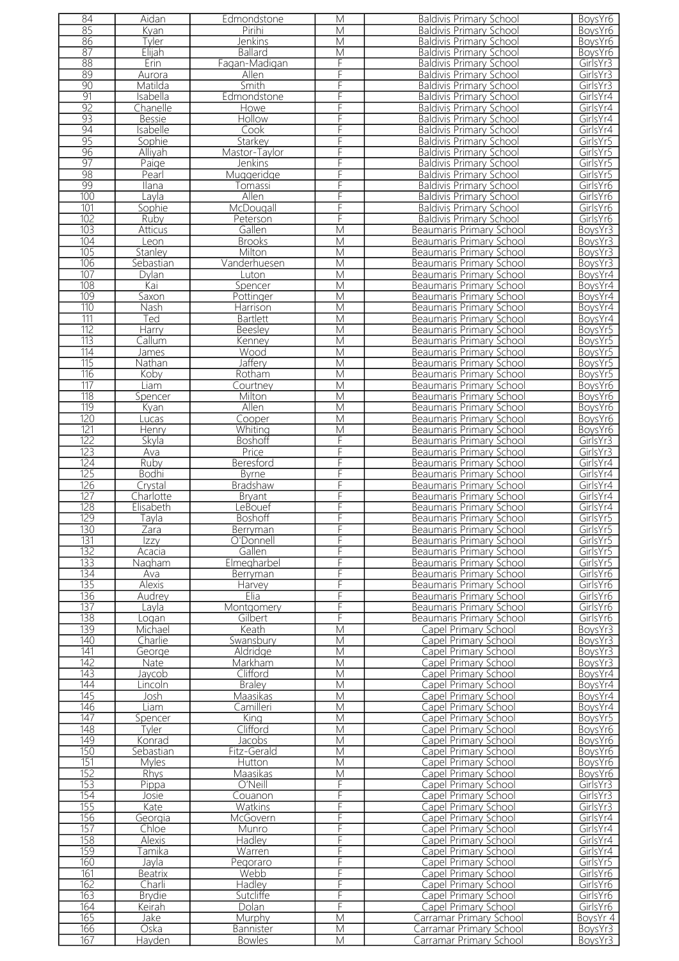| 84               | Aidan          | Edmondstone        | M                       | <b>Baldivis Primary School</b>                                     | BoysYr6  |
|------------------|----------------|--------------------|-------------------------|--------------------------------------------------------------------|----------|
| 85               | Kyan           | Pirihi             | M                       | <b>Baldivis Primary School</b>                                     | BoysYr6  |
| 86               | Tyler          | <b>Jenkins</b>     | M                       | <b>Baldivis Primary School</b>                                     | BoysYr6  |
| 87               | Elijah         | <b>Ballard</b>     | M                       | <b>Baldivis Primary School</b>                                     | BoysYr6  |
| 88               | Erin           | Fagan-Madigan      | F                       | <b>Baldivis Primary School</b>                                     | GirlsYr3 |
| 89               | Aurora         | Allen              | F                       | <b>Baldivis Primary School</b>                                     | GirlsYr3 |
| 90               | Matilda        | Smith              | F                       | <b>Baldivis Primary School</b>                                     | GirlsYr3 |
| 91               | Isabella       | Edmondstone        | F                       | <b>Baldivis Primary School</b>                                     | GirlsYr4 |
| 92               | Chanelle       | Howe               | F                       | <b>Baldivis Primary School</b>                                     | GirlsYr4 |
| 93               | <b>Bessie</b>  | Hollow             | F                       | <b>Baldivis Primary School</b>                                     | GirlsYr4 |
| 94               | Isabelle       | Cook               | F                       | <b>Baldivis Primary School</b>                                     | GirlsYr4 |
| 95               | Sophie         | Starkey            | F                       | <b>Baldivis Primary School</b>                                     | GirlsYr5 |
| 96               | Alliyah        | Mastor-Taylor      | F                       | <b>Baldivis Primary School</b>                                     | GirlsYr5 |
| $\overline{97}$  | Paige          | Jenkins            | F                       | <b>Baldivis Primary School</b>                                     | GirlsYr5 |
| 98               | Pearl          | Muggeridge         | F                       | <b>Baldivis Primary School</b>                                     | GirlsYr5 |
| 99               | Ilana          | Tomassi            | F                       | <b>Baldivis Primary School</b>                                     | GirlsYr6 |
| 100              | Layla          | Allen              | F                       | <b>Baldivis Primary School</b>                                     | GirlsYr6 |
| 101              |                | McDougall          | F                       |                                                                    | GirlsYr6 |
| 102              | Sophie<br>Ruby |                    | F                       | <b>Baldivis Primary School</b>                                     | GirlsYr6 |
| 103              |                | Peterson<br>Gallen | $\overline{M}$          | <b>Baldivis Primary School</b><br><b>Beaumaris Primary School</b>  | BoysYr3  |
| 104              | Atticus        |                    |                         |                                                                    |          |
| 105              | Leon           | <b>Brooks</b>      | M<br>$\overline{M}$     | <b>Beaumaris Primary School</b><br><b>Beaumaris Primary School</b> | BoysYr3  |
|                  | Stanley        | Milton             |                         |                                                                    | BoysYr3  |
| 106              | Sebastian      | Vanderhuesen       | M                       | Beaumaris Primary School                                           | BoysYr3  |
| 107              | Dylan          | Luton              | $\overline{\mathsf{M}}$ | Beaumaris Primary School                                           | BoysYr4  |
| 108              | Kai            | Spencer            | M                       | Beaumaris Primary School                                           | BoysYr4  |
| 109              | Saxon          | Pottinger          | M                       | Beaumaris Primary School                                           | BoysYr4  |
| $\overline{110}$ | Nash           | <b>Harrison</b>    | M                       | <b>Beaumaris Primary School</b>                                    | BoysYr4  |
| 111              | Ted            | <b>Bartlett</b>    | M                       | <b>Beaumaris Primary School</b>                                    | BoysYr4  |
| 112              | Harry          | Beesley            | M                       | Beaumaris Primary School                                           | BoysYr5  |
| $\overline{113}$ | Callum         | Kenney             | $\overline{\mathsf{M}}$ | Beaumaris Primary School                                           | BoysYr5  |
| 114              | James          | Wood               | M                       | Beaumaris Primary School                                           | BoysYr5  |
| $\overline{115}$ | Nathan         | Jaffery            | M                       | Beaumaris Primary School                                           | BoysYr5  |
| 116              | Koby           | Rotham             | M                       | <b>Beaumaris Primary School</b>                                    | BoysYr5  |
| 117              | Liam           | Courtney           | M                       | Beaumaris Primary School                                           | BoysYr6  |
| $\overline{118}$ | Spencer        | Milton             | M                       | <b>Beaumaris Primary School</b>                                    | BoysYr6  |
| 119              | Kyan           | Allen              | M                       | Beaumaris Primary School                                           | BoysYr6  |
| 120              | Lucas          | Cooper             | M                       | Beaumaris Primary School                                           | BoysYr6  |
| 121              | Henry          | Whiting            | $\overline{\mathsf{M}}$ | <b>Beaumaris Primary School</b>                                    | BoysYr6  |
| 122              | Skyla          | Boshoff            | F                       | Beaumaris Primary School                                           | GirlsYr3 |
| 123              | Ava            | Price              | F                       | <b>Beaumaris Primary School</b>                                    | GirlsYr3 |
| 124              | Ruby           | Beresford          | F                       | <b>Beaumaris Primary School</b>                                    | GirlsYr4 |
| 125              | <b>Bodhi</b>   | <b>Byrne</b>       | F                       | Beaumaris Primary School                                           | GirlsYr4 |
| 126              | Crystal        | <b>Bradshaw</b>    | F                       | Beaumaris Primary School                                           | GirlsYr4 |
| 127              | Charlotte      | <b>Bryant</b>      | F                       | Beaumaris Primary School                                           | GirlsYr4 |
| 128              | Elisabeth      | LeBouef            | F                       | Beaumaris Primary School                                           | GirlsYr4 |
| 129              | Tayla          | <b>Boshoff</b>     | F                       | <b>Beaumaris Primary School</b>                                    | GirlsYr5 |
| 130              | ∠ara           | <b>Berryman</b>    |                         | Beaumaris Primary School                                           | GirlsYr5 |
| 131              | Izzy           | O'Donnell          | F                       | Beaumaris Primary School                                           | GirlsYr5 |
| 132              | Acacia         | Gallen             | F                       | Beaumaris Primary School                                           | GirlsYr5 |
| 133              | Nagham         | Elmegharbel        | F                       | Beaumaris Primary School                                           | GirlsYr5 |
| 134              | Ava            | Berryman           | F                       | Beaumaris Primary School                                           | GirlsYr6 |
| 135              | Alexis         | Harvey             | F                       | Beaumaris Primary School                                           | GirlsYr6 |
| 136              | Audrey         | Elia               | F                       | Beaumaris Primary School                                           | GirlsYr6 |
| 137              | Lavla          | Montgomery         | F                       | Beaumaris Primary School                                           | GirlsYr6 |
| 138              | oqan           | Gilbert            | F                       | Beaumaris Primary School                                           | GirlsYr6 |
| 139              | Michael        | Keath              | M                       | Capel Primary School                                               | BoysYr3  |
| 140              | Charlie        | Swansbury          | $\overline{\mathsf{M}}$ | Capel Primary School                                               | BoysYr3  |
| 141              | George         | Aldridae           | M                       | Capel Primary School                                               | BoysYr3  |
| 142              | Nate           | Markham            | M                       | Capel Primary School                                               | BoysYr3  |
| 143              | Jaycob         | Clifford           | M                       | Capel Primary School                                               | BoysYr4  |
| 144              | Lincoln        | <b>Braley</b>      | M                       | Capel Primary School                                               | BoysYr4  |
| 145              | Josh           | Maasikas           | M                       | Capel Primary School                                               | BoysYr4  |
| 146              | Liam           | Camilleri          | M                       | Capel Primary School                                               | BoysYr4  |
| 147              | Spencer        | King               | M                       | Capel Primary School                                               | BoysYr5  |
| 148              | Tvler          | Clifford           | M                       | Capel Primary School                                               | BoysYr6  |
| 149              | Konrad         | Jacobs             | M                       | Capel Primary School                                               | BoysYr6  |
| 150              | Sebastian      | Fitz-Gerald        | M                       | Capel Primary School                                               | BoysYr6  |
| 151              | Myles          | Hutton             | M                       | Capel Primary School                                               | BoysYr6  |
| 152              | Rhys           | Maasikas           | M                       | Capel Primary School                                               | BoysYr6  |
| 153              | Pippa          | O'Neill            | F                       | Capel Primary School                                               | GirlsYr3 |
| 154              | Josie          | Couanon            | F                       | Capel Primary School                                               | GirlsYr3 |
| 155              | Kate           | Watkins            | F                       | Capel Primary School                                               | GirlsYr3 |
| 156              | Georgia        | McGovern           | F                       | Capel Primary School                                               | GirlsYr4 |
| 157              | Chloe          | Munro              | F                       | Capel Primary School                                               | GirlsYr4 |
| 158              | Alexis         | Hadley             | F                       | Capel Primary School                                               | GirlsYr4 |
| 159              | Гаmika         | Warren             | F                       | Capel Primary School                                               | GirlsYr4 |
| 160              | Jayla          | Pegoraro           | F                       | Capel Primary School                                               | GirlsYr5 |
| 161              | <b>Beatrix</b> | Webb               | F                       | Capel Primary School                                               | GirlsYr6 |
| 162              | Charli         | Hadley             | F                       | Capel Primary School                                               | GirlsYr6 |
| 163              | <b>Brydie</b>  | Sutcliffe          | F                       | Capel Primary School                                               | GirlsYr6 |
| 164              | Keirah         | Dolan              | F                       | Capel Primary School                                               | GirlsYr6 |
| 165              | Jake           | Murphy             | M                       | Carramar Primary School                                            | BoysYr 4 |
| 166              | Oska           | Bannister          | M                       | Carramar Primary School                                            | BoysYr3  |
| 167              | Hayden         | <b>Bowles</b>      | M                       | Carramar Primary School                                            | BoysYr3  |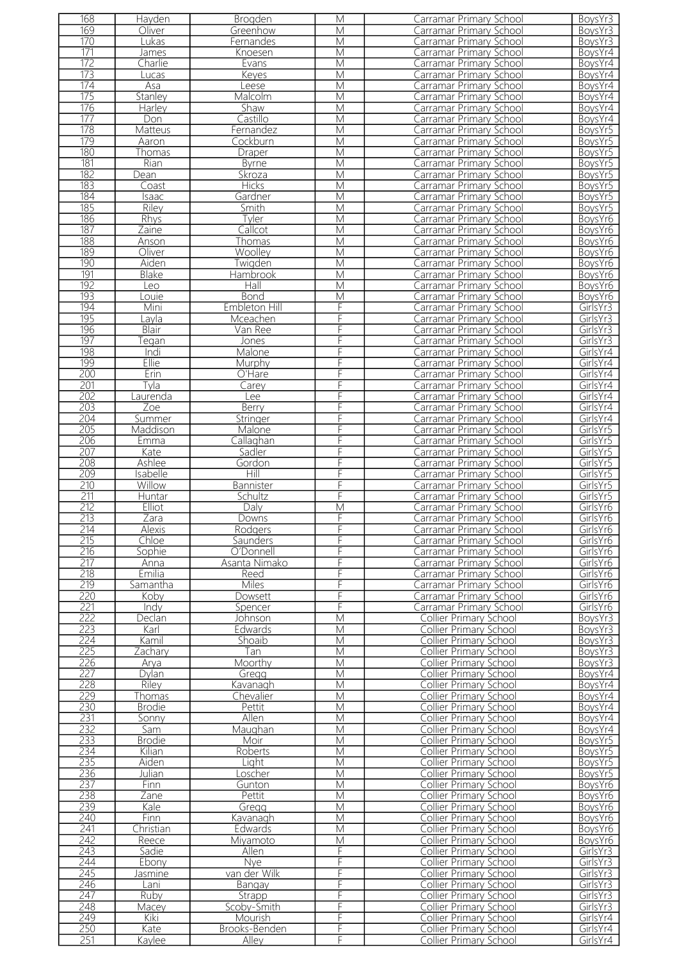| 168              | Hayden         | Brogden                | M                       | Carramar Primary School                          | BoysYr3              |
|------------------|----------------|------------------------|-------------------------|--------------------------------------------------|----------------------|
| 169              | Oliver         | Greenhow               | М                       | Carramar Primary School                          | BoysYr3              |
| 170              | Lukas          | Fernandes              | M                       | Carramar Primary School                          | BoysYr3              |
| 171              |                |                        |                         |                                                  |                      |
|                  | James          | Knoesen                | M                       | Carramar Primary School                          | BoysYr4              |
| 172              | Charlie        | Evans                  | M                       | Carramar Primary School                          | BoysYr4              |
| 173              | ucas           | Keyes                  | M                       | Carramar Primary School                          | BoysYr4              |
| 174              | Asa            | Leese                  | M                       | Carramar Primary School                          | BoysYr4              |
| 175              | Stanley        | Malcolm                | M                       | Carramar Primary School                          | BoysYr4              |
| 176              |                |                        | M                       | Carramar Primary School                          | BoysYr4              |
|                  | Harley         | Shaw                   |                         |                                                  |                      |
| 177              | Don            | Castillo               | M                       | Carramar Primary School                          | BoysYr4              |
| 178              | Matteus        | Fernandez              | M                       | Carramar Primary School                          | BoysYr5              |
| 179              | Aaron          | Cockburn               | $\overline{\mathsf{M}}$ | Carramar Primary School                          | BoysYr5              |
| 180              | Thomas         | Draper                 | M                       | Carramar Primary School                          | BoysYr5              |
|                  |                |                        |                         |                                                  |                      |
| $\overline{181}$ | Rian           | <b>Byrne</b>           | $\overline{M}$          | Carramar Primary School                          | BoysYr5              |
| 182              | Dean           | Skroza                 | M                       | Carramar Primary School                          | BoysYr5              |
| $\overline{183}$ | Coast          | <b>Hicks</b>           | $\overline{\mathsf{M}}$ | Carramar Primary School                          | BoysYr5              |
| 184              | Isaac          | Gardner                | $\overline{\mathsf{M}}$ | Carramar Primary School                          | BoysYr5              |
| 185              | <b>Riley</b>   | Smith                  | M                       | Carramar Primary School                          | BoysYr5              |
| 186              |                |                        | $\overline{M}$          |                                                  |                      |
|                  | <b>Rhys</b>    | Tyler                  |                         | Carramar Primary School                          | BoysYr6              |
| 187              | Zaine          | Callcot                | M                       | Carramar Primary School                          | BoysYr6              |
| 188              | Anson          | Thomas                 | M                       | Carramar Primary School                          | BoysYr6              |
| 189              | Oliver         | Woolley                | M                       | Carramar Primary School                          | BoysYr6              |
| 190              | Aiden          | Twigden                | M                       | Carramar Primary School                          | BoysYr6              |
|                  |                |                        |                         |                                                  |                      |
| 191              | Blake          | Hambrook               | $\overline{\mathsf{M}}$ | Carramar Primary School                          | BoysYr6              |
| 192              | Leo            | Hall                   | $\overline{\mathsf{M}}$ | Carramar Primary School                          | BoysYr6              |
| 193              | Louie          | <b>Bond</b>            | M                       | Carramar Primary School                          | BoysYr6              |
| 194              | Mini           | Embleton Hill          | F                       | Carramar Primary School                          | GirlsYr3             |
| 195              | Lavla          | Mceachen               | F                       | Carramar Primary School                          | GirlsYr3             |
|                  |                |                        |                         |                                                  |                      |
| 196              | Blair          | Van Ree                | F                       | Carramar Primary School                          | GirlsYr3             |
| 197              | eqan           | Jones                  | F                       | Carramar Primary School                          | GirlsYr3             |
| 198              | Indi           | Malone                 | F                       | Carramar Primary School                          | GirlsYr4             |
| 199              | Ellie          | Murphy                 | F                       | Carramar Primary School                          | GirlsYr4             |
| 200              |                |                        |                         |                                                  |                      |
|                  | Erin           | O'Hare                 | F                       | Carramar Primary School                          | GirlsYr4             |
| 201              | Tyla           | Carey                  | F                       | Carramar Primary School                          | GirlsYr4             |
| 202              | aurenda        | ee                     | F                       | Carramar Primary School                          | GirlsYr4             |
| 203              | Zoe            | Berry                  | F                       | Carramar Primary School                          | GirlsYr4             |
| 204              |                |                        | F                       | Carramar Primary School                          | GirlsYr4             |
|                  | Summer         | Stringer               |                         |                                                  |                      |
| 205              | Maddison       | Malone                 | F                       | Carramar Primary School                          | GirlsYr5             |
| 206              | Emma           | Callaghan              | F                       | Carramar Primary School                          | GirlsYr5             |
| 207              | Kate           | Sadler                 | F                       | Carramar Primary School                          | GirlsYr5             |
| 208              | Ashlee         | Gordon                 | F                       | Carramar Primary School                          | GirlsYr5             |
|                  | Isabelle       | Hill                   | F                       |                                                  |                      |
| 209              |                |                        |                         | Carramar Primary School                          | GirlsYr5             |
| 210              | Willow         | Bannister              | F                       | Carramar Primary School                          | GirlsYr5             |
| 211              | Huntar         | Schultz                | F                       | Carramar Primary School                          | GirlsYr5             |
| 212              | <b>Elliot</b>  | Daly                   | $\overline{\mathsf{M}}$ | Carramar Primary School                          | GirlsYr6             |
| 213              | Zara           | Downs                  | F                       | Carramar Primary School                          | GirlsYr6             |
|                  |                |                        |                         |                                                  |                      |
| 214              | Alexis         | Rodgers                | ⊦                       | Carramar Primary School                          | GirlsYr6             |
| 215              | Chloe          | Saunders               | F                       | Carramar Primary School                          | GirlsYr6             |
| 216              | Sophie         | O'Donnell              | F                       | Carramar Primary School                          | GirlsYr6             |
| 217              | Anna           | Asanta Nimako          | F                       | Carramar Primary School                          | GirlsYr6             |
| 218              | <b>Emilia</b>  | Reed                   | F                       | Carramar Primary School                          | GirlsYr6             |
|                  |                |                        |                         |                                                  |                      |
| 219              | Samantha       | Miles                  | F                       | Carramar Primary School                          | GirlsYr6             |
| 220              | Koby           | Dowsett                | F                       | Carramar Primary School                          | GirlsYr6             |
| 221              | Indy           | Spencer                | F                       | Carramar Primary School                          | GirlsYr6             |
| 222              | Declan         | Johnson                | M                       | Collier Primary School                           | BoysYr3              |
| 223              | Karl           | Edwards                | M                       | Collier Primary School                           | BoysYr3              |
|                  |                |                        |                         |                                                  |                      |
| 224              | Kamil          | Shoaib                 | M                       | Collier Primary School                           | BovsYr3              |
| 225              | Zachary        | Tan                    | M                       | Collier Primary School                           | BoysYr3              |
| 226              | Arva           | Moorthy                | M                       | <b>Collier Primary School</b>                    | BoysYr3              |
| 227              | Dylan          | Gregg                  | M                       | Collier Primary School                           | BoysYr4              |
| 228              | Riley          | Kavanagh               | M                       | Collier Primary School                           | BoysYr4              |
| 229              |                |                        |                         |                                                  |                      |
|                  | Thomas         | Chevalier              | M                       | Collier Primary School                           | BoysYr4              |
| 230              | <b>Brodie</b>  | Pettit                 | M                       | Collier Primary School                           | BoysYr4              |
| 231              | Sonny          | Allen                  | M                       | Collier Primary School                           | BoysYr4              |
| 232              | Sam            | Maughan                | M                       | Collier Primary School                           | BoysYr4              |
| 233              | <b>Brodie</b>  | Moir                   | $\overline{\mathsf{M}}$ | Collier Primary School                           | BoysYr5              |
|                  |                |                        |                         |                                                  |                      |
| 234              | Kilian         | Roberts                | M                       | Collier Primary School                           | BoysYr5              |
| 235              | Aiden          | Light                  | M                       | Collier Primary School                           | BoysYr5              |
| 236              | Julian         | Loscher                | M                       | Collier Primary School                           | BoysYr5              |
| 237              | Finn           | Gunton                 | $\overline{\mathsf{M}}$ | Collier Primary School                           | BoysYr6              |
| 238              | Zane           | Pettit                 | M                       | Collier Primary School                           | BoysYr6              |
|                  |                |                        |                         |                                                  |                      |
| 239              | Kale           | Gregg                  | M                       | Collier Primary School                           | BoysYr6              |
| 240              | Finn           | Kavanagh               | M                       | Collier Primary School                           | BoysYr6              |
| 241              | Christian      | Edwards                | M                       | <b>Collier Primary School</b>                    | BoysYr6              |
| 242              | Reece          | Miyamoto               | M                       | Collier Primary School                           | BoysYr6              |
| 243              | Sadie          | Allen                  | F                       | <b>Collier Primary School</b>                    | GirlsYr3             |
|                  |                |                        |                         |                                                  |                      |
| 244              | Ebony          | <b>Nye</b>             | F                       | <b>Collier Primary School</b>                    | GirlsYr3             |
| 245              | Jasmine        | van der Wilk           | F                       | Collier Primary School                           | GirlsYr3             |
| 246              | Lani           | Bangay                 | F                       | <b>Collier Primary School</b>                    | GirlsYr3             |
| 247              | Ruby           | Strapp                 | F                       | <b>Collier Primary School</b>                    | GirlsYr3             |
| 248              |                |                        |                         |                                                  |                      |
|                  | Macey          | Scoby-Smith            | F                       | Collier Primary School                           | GirlsYr3             |
|                  |                |                        |                         |                                                  |                      |
| 249              | Kiki           | Mourish                | F                       | Collier Primary School                           | GirlsYr4             |
| 250<br>251       | Kate<br>Kaylee | Brooks-Benden<br>Alley | F<br>F                  | Collier Primary School<br>Collier Primary School | GirlsYr4<br>GirlsYr4 |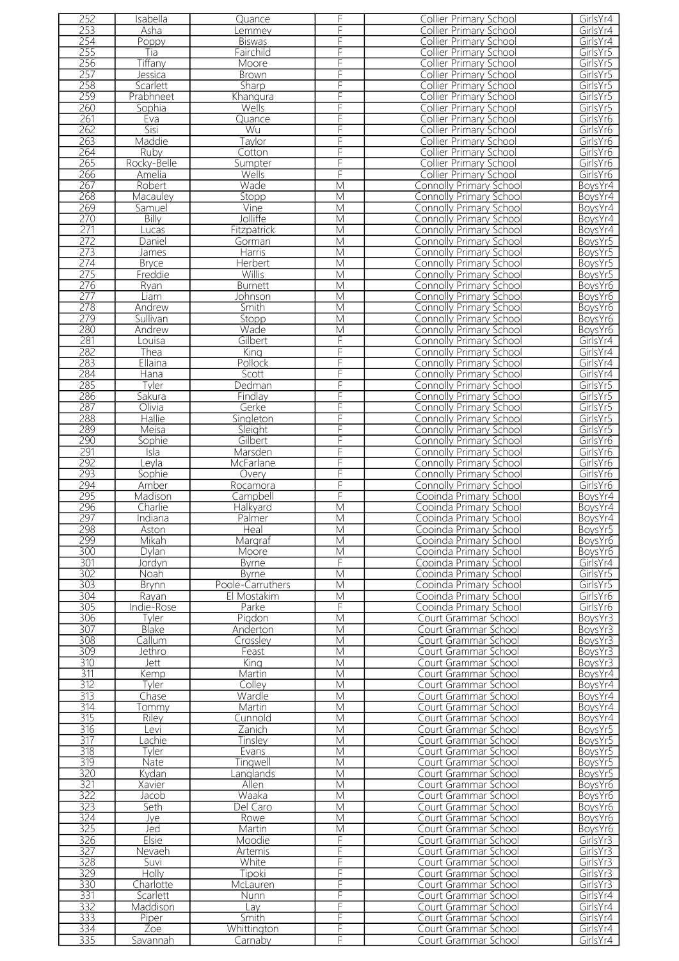| 252              | Isabella                    | Quance           | F                       | Collier Primary School         | GirlsYr4 |
|------------------|-----------------------------|------------------|-------------------------|--------------------------------|----------|
| 253              | Asha                        |                  | F                       | Collier Primary School         | GirlsYr4 |
|                  |                             | _emmey           |                         |                                |          |
| 254              | Poppy                       | <b>Biswas</b>    | F                       | Collier Primary School         | GirlsYr4 |
| 255              | Tia                         | Fairchild        | F                       | <b>Collier Primary School</b>  | GirlsYr5 |
| 256              | Tiffany                     |                  | F                       | Collier Primary School         | GirlsYr5 |
|                  |                             | Moore            |                         |                                |          |
| 257              | Jessica                     | Brown            | F                       | <b>Collier Primary School</b>  | GirlsYr5 |
| 258              | Scarlett                    | Sharp            | F                       | <b>Collier Primary School</b>  | GirlsYr5 |
| 259              | Prabhneet                   | Khangura         | F                       | Collier Primary School         | GirlsYr5 |
|                  |                             |                  |                         |                                |          |
| 260              | Sophia                      | Wells            | F                       | <b>Collier Primary School</b>  | GirlsYr5 |
| 261              | Eva                         | Quance           | F                       | Collier Primary School         | GirlsYr6 |
| 262              | Sisi                        | Wu               | F                       | <b>Collier Primary School</b>  | GirlsYr6 |
|                  |                             |                  |                         |                                |          |
| 263              | Maddie                      | Taylor           | F                       | <b>Collier Primary School</b>  | GirlsYr6 |
| 264              | Ruby                        | Cotton           | F                       | Collier Primary School         | GirlsYr6 |
| 265              | Rocky-Belle                 | Sumpter          | F                       | Collier Primary School         | GirlsYr6 |
|                  |                             |                  |                         |                                |          |
| 266              | Amelia                      | Wells            | F                       | Collier Primary School         | GirlsYr6 |
| 267              | Robert                      | Wade             | $\overline{\mathsf{M}}$ | Connolly Primary School        | BoysYr4  |
| 268              | Macauley                    | Stopp            | M                       | <b>Connolly Primary School</b> | BoysYr4  |
|                  |                             |                  |                         |                                |          |
| 269              | Samuel                      | Vine             | M                       | Connolly Primary School        | BoysYr4  |
| 270              | Billy                       | Jolliffe         | M                       | <b>Connolly Primary School</b> | BoysYr4  |
| 271              | Lucas                       | Fitzpatrick      | M                       | <b>Connolly Primary School</b> | BoysYr4  |
|                  |                             |                  |                         |                                |          |
| 272              | Daniel                      | Gorman           | M                       | Connolly Primary School        | BoysYr5  |
| 273              | James                       | Harris           | M                       | <b>Connolly Primary School</b> | BoysYr5  |
| 274              | <b>Bryce</b>                | Herbert          | M                       | Connolly Primary School        | BoysYr5  |
|                  |                             |                  |                         |                                |          |
| 275              | Freddie                     | <b>Willis</b>    | M                       | <b>Connolly Primary School</b> | BoysYr5  |
| 276              | Ryan                        | <b>Burnett</b>   | $\overline{\mathsf{M}}$ | Connolly Primary School        | BoysYr6  |
| 277              | Liam                        |                  | M                       |                                | BoysYr6  |
|                  |                             | <u>Johnson</u>   |                         | <b>Connolly Primary School</b> |          |
| 278              | Andrew                      | Smith            | $\overline{M}$          | <b>Connolly Primary School</b> | BoysYr6  |
| 279              | Sullivan                    | Stopp            | M                       | <b>Connolly Primary School</b> | BoysYr6  |
|                  |                             |                  | $\overline{\mathsf{M}}$ |                                |          |
| 280              | Andrew                      | Wade             |                         | <b>Connolly Primary School</b> | BoysYr6  |
| 281              | Louisa                      | Gilbert          | F                       | Connolly Primary School        | GirlsYr4 |
| 282              | Thea                        | King             | F                       | Connolly Primary School        | GirlsYr4 |
| 283              |                             |                  | F                       |                                |          |
|                  | <b>Ellaina</b>              | Pollock          |                         | <b>Connolly Primary School</b> | GirlsYr4 |
| 284              | Hana                        | Scott            | F                       | Connolly Primary School        | GirlsYr4 |
| 285              | Tyler                       | Dedman           | F                       | Connolly Primary School        | GirlsYr5 |
|                  |                             |                  | F                       |                                |          |
| 286              | Sakura                      | Findlay          |                         | Connolly Primary School        | GirlsYr5 |
| 287              | Olivia                      | Gerke            | F                       | <b>Connolly Primary School</b> | GirlsYr5 |
| 288              | Hallie                      | Singleton        | F                       | Connolly Primary School        | GirlsYr5 |
|                  |                             |                  |                         |                                |          |
| 289              | Meisa                       | Sleight          | F                       | Connolly Primary School        | GirlsYr5 |
| 290              | Sophie                      | Gilbert          | F                       | Connolly Primary School        | GirlsYr6 |
| 291              | Isla                        | Marsden          | F                       | Connolly Primary School        | GirlsYr6 |
|                  |                             |                  |                         |                                |          |
| 292              | Leyla                       | <b>McFarlane</b> | F                       | Connolly Primary School        | GirlsYr6 |
| 293              | Sophie                      | Overy            | F                       | <b>Connolly Primary School</b> | GirlsYr6 |
| 294              | Amber                       | Rocamora         | F                       | <b>Connolly Primary School</b> | GirlsYr6 |
| 295              | Madison                     |                  | F                       |                                | BoysYr4  |
|                  |                             | Campbell         |                         | Cooinda Primary School         |          |
| 296              | Charlie                     | Halkyard         | M                       | Cooinda Primary School         | BoysYr4  |
| 297              | Indiana                     | Palmer           | M                       | Cooinda Primary School         | BoysYr4  |
|                  |                             |                  |                         |                                |          |
| 298              | Aston                       | Heal             | М                       | Cooinda Primary School         | BoysYr5  |
| 299              | Mikah                       | Margraf          | M                       | Cooinda Primary School         | BoysYr6  |
| 300              | Dylan                       | Moore            | M                       | Cooinda Primary School         | BoysYr6  |
| 301              | Jordyn                      | <b>Byrne</b>     | F                       | Cooinda Primary School         | GirlsYr4 |
|                  |                             |                  |                         |                                |          |
| 302              | Noah                        | <b>B</b> vrne    | M                       | Cooinda Primary School         | GirlsYr5 |
| 303              | Brynn                       | Poole-Carruthers | M                       | Cooinda Primary School         | GirlsYr5 |
| 304              | Rayan                       | El Mostakim      | M                       | Cooinda Primary School         | GirlsYr6 |
|                  |                             |                  |                         |                                |          |
| 305              | Indie-Rose                  | Parke            | F                       | Cooinda Primary School         | GirlsYr6 |
| 306              | Tyler                       | Pigdon           | M                       | Court Grammar School           | BoysYr3  |
| 307              | Blake                       | Anderton         | M                       | Court Grammar School           | BoysYr3  |
|                  |                             |                  |                         |                                |          |
| 308              | $\overline{\text{Call}}$ um | Crossley         | M                       | Court Grammar School           |          |
| 309              | Jethro                      | Feast            |                         |                                | BoysYr3  |
| 310              | Jett                        |                  | M                       | Court Grammar School           |          |
|                  |                             |                  |                         |                                | BoysYr3  |
|                  |                             | King             | M                       | Court Grammar School           | BoysYr3  |
| 311              | Kemp                        | Martin           | M                       | Court Grammar School           | BoysYr4  |
| 312              | Tyler                       | Colley           | M                       | Court Grammar School           | BoysYr4  |
|                  |                             |                  |                         |                                |          |
| 313              | Chase                       | Wardle           | M                       | Court Grammar School           | BoysYr4  |
| $\overline{314}$ | Tommy                       | Martin           | M                       | Court Grammar School           | BoysYr4  |
| 315              | Riley                       | Cunnold          | M                       | Court Grammar School           | BoysYr4  |
|                  |                             |                  |                         |                                |          |
| 316              | Levi                        | Zanich           | M                       | Court Grammar School           | BoysYr5  |
| $\overline{317}$ | _achie                      | Tinsley          | M                       | Court Grammar School           | BoysYr5  |
| 318              | Tyler                       | Evans            | M                       | Court Grammar School           | BoysYr5  |
|                  |                             |                  |                         |                                |          |
| 319              | Nate                        | <b>Tingwell</b>  | M                       | Court Grammar School           | BoysYr5  |
| 320              | Kydan                       | anglands         | M                       | Court Grammar School           | BoysYr5  |
| 321              | Xavier                      | Allen            | M                       | Court Grammar School           | BoysYr6  |
|                  |                             |                  |                         |                                |          |
| 322              | Jacob                       | Waaka            | M                       | Court Grammar School           | BoysYr6  |
| 323              | Seth                        | Del Caro         | M                       | Court Grammar School           | BoysYr6  |
| 324              | Jye                         | Rowe             | M                       | Court Grammar School           | BoysYr6  |
|                  | Jed                         |                  |                         |                                |          |
| 325              |                             | Martin           | M                       | Court Grammar School           | BoysYr6  |
| 326              | Elsie                       | Moodie           | F                       | Court Grammar School           | GirlsYr3 |
| 327              | <b>Nevaeh</b>               | Artemis          | F                       | Court Grammar School           | GirlsYr3 |
| 328              | Suvi                        | White            | F                       | Court Grammar School           | GirlsYr3 |
|                  |                             |                  |                         |                                |          |
| 329              | Holly                       | Tipoki           | F                       | Court Grammar School           | GirlsYr3 |
| 330              | Charlotte                   | McLauren         | F                       | Court Grammar School           | GirlsYr3 |
|                  | Scarlett                    | <b>Nunn</b>      | F                       |                                |          |
| 331              |                             |                  |                         | Court Grammar School           | GirlsYr4 |
| 332              | Maddison                    | Lav              | F                       | Court Grammar School           | GirlsYr4 |
| 333              | Piper                       | Smith            | F                       | Court Grammar School           | GirlsYr4 |
| 334<br>335       | Zoe                         | Whittington      | F                       | Court Grammar School           | GirlsYr4 |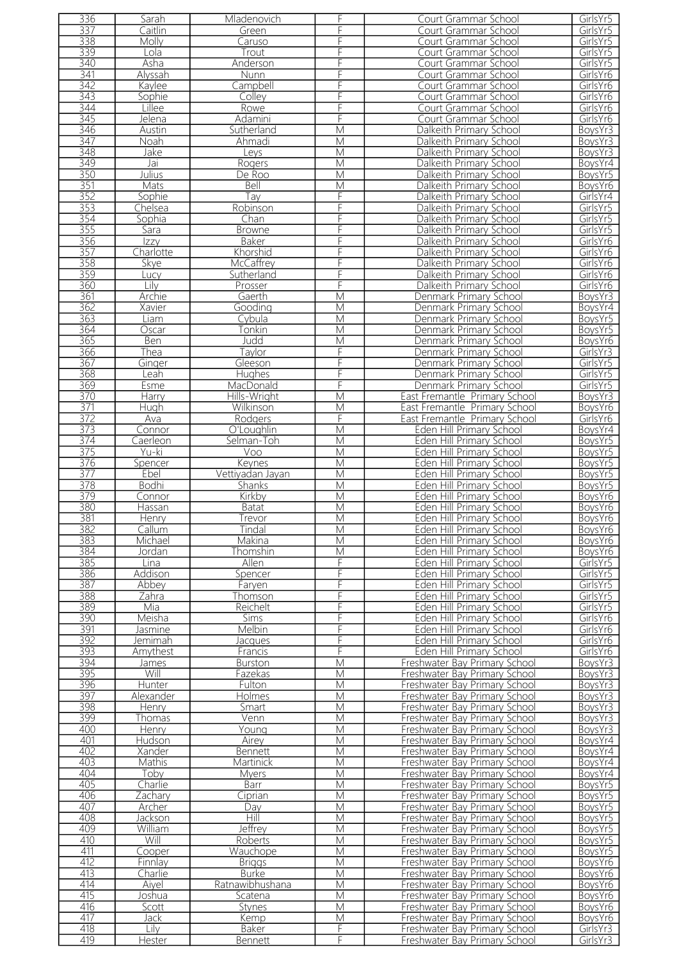| 336        | Sarah                 | Mladenovich                    | F                       | Court Grammar School                                           | GirlsYr5             |
|------------|-----------------------|--------------------------------|-------------------------|----------------------------------------------------------------|----------------------|
| 337        | Caitlin               | Green                          | F                       | Court Grammar School                                           | GirlsYr5             |
|            |                       |                                |                         |                                                                |                      |
| 338        | Molly                 | Caruso                         | F                       | Court Grammar School                                           | GirlsYr5             |
| 339        | Lola                  | Trout                          | F                       | Court Grammar School                                           | GirlsYr5             |
| 340        | Asha                  | Anderson                       | F                       | Court Grammar School                                           | GirlsYr5             |
|            |                       |                                |                         |                                                                |                      |
| 341        | Alyssah               | <b>Nunn</b>                    | F                       | Court Grammar School                                           | GirlsYr6             |
| 342        | Kaylee                | Campbell                       | F                       | Court Grammar School                                           | GirlsYr6             |
| 343        | Sophie                | Colley                         | F                       | Court Grammar School                                           | GirlsYr6             |
| 344        | Lillee                | Rowe                           | F                       | Court Grammar School                                           | GirlsYr6             |
|            |                       |                                |                         |                                                                |                      |
| 345        | Jelena                | Adamini                        | F                       | Court Grammar School                                           | GirlsYr6             |
| 346        | Austin                | Sutherland                     | $\overline{\mathsf{M}}$ | Dalkeith Primary School                                        | BoysYr3              |
| 347        | Noah                  | Ahmadi                         | M                       | Dalkeith Primary School                                        | BoysYr3              |
|            |                       |                                |                         |                                                                |                      |
| 348        | Jake                  | Leys                           | $\overline{\mathsf{M}}$ | Dalkeith Primary School                                        | BoysYr3              |
| 349        | Jai                   | Rogers                         | M                       | Dalkeith Primary School                                        | BoysYr4              |
| 350        | Julius                | De Roo                         | M                       | Dalkeith Primary School                                        | BoysYr5              |
| 351        | <b>Mats</b>           | Bell                           | M                       | Dalkeith Primary School                                        | BoysYr6              |
|            |                       |                                |                         |                                                                |                      |
| 352        | Sophie                | Tay                            | F                       | Dalkeith Primary School                                        | GirlsYr4             |
| 353        | Chelsea               | Robinson                       | F                       | Dalkeith Primary School                                        | GirlsYr5             |
| 354        | Sophia                | Chan                           | F                       | Dalkeith Primary School                                        | GirlsYr5             |
| 355        | Sara                  | <b>Browne</b>                  | F                       | Dalkeith Primary School                                        | GirlsYr5             |
|            |                       |                                |                         |                                                                |                      |
| 356        | Izzy                  | Baker                          | F                       | Dalkeith Primary School                                        | GirlsYr6             |
| 357        | Charlotte             | Khorshid                       | F                       | Dalkeith Primary School                                        | GirlsYr6             |
| 358        | Skye                  | McCaffrey                      | F                       | Dalkeith Primary School                                        | GirlsYr6             |
|            |                       |                                |                         |                                                                |                      |
| 359        | Lucy                  | Sutherland                     | F                       | Dalkeith Primary School                                        | GirlsYr6             |
| 360        | Lilv                  | Prosser                        | F                       | Dalkeith Primary School                                        | GirlsYr6             |
| 361        | Archie                | Gaerth                         | $\overline{\mathsf{M}}$ | Denmark Primary School                                         | BoysYr3              |
| 362        | Xavier                |                                | M                       | Denmark Primary School                                         | BoysYr4              |
|            |                       | Gooding                        |                         |                                                                |                      |
| 363        | Liam                  | Cybula                         | M                       | Denmark Primary School                                         | BoysYr5              |
| 364        | <b>Oscar</b>          | <b>Tonkin</b>                  | M                       | Denmark Primary School                                         | BoysYr5              |
| 365        | Ben                   | Judd                           | M                       | Denmark Primary School                                         | BoysYr6              |
|            |                       |                                |                         |                                                                |                      |
| 366        | Thea                  | Taylor                         | F                       | Denmark Primary School                                         | GirlsYr3             |
| 367        | <u>Ginger</u>         | Gleeson                        | F                       | Denmark Primary School                                         | GirlsYr5             |
| 368        | Leah                  | <b>Hughes</b>                  | F                       | Denmark Primary School                                         | GirlsYr5             |
| 369        | Esme                  | MacDonald                      | F                       | Denmark Primary School                                         | GirlsYr5             |
|            |                       |                                |                         |                                                                |                      |
| 370        | <b>Harry</b>          | Hills-Wright                   | M                       | East Fremantle Primary School                                  | BoysYr3              |
| 371        | Hugh                  | Wilkinson                      | M                       | East Fremantle Primary School                                  | BoysYr6              |
| 372        | Ava                   | Rodgers                        | F                       | East Fremantle Primary School                                  | GirlsYr6             |
|            |                       |                                |                         |                                                                |                      |
| 373        | Connor                | O'Loughlin                     | $\overline{\mathsf{M}}$ | Eden Hill Primary School                                       | BoysYr4              |
| 374        | Caerleon              | Selman-Toh                     | M                       | Eden Hill Primary School                                       | BoysYr5              |
| 375        | Yu-ki                 | Voo                            | M                       | Eden Hill Primary School                                       | BoysYr5              |
| 376        | Spencer               | Keynes                         | M                       | Eden Hill Primary School                                       | BoysYr5              |
|            |                       |                                |                         |                                                                |                      |
| 377        | Ebel                  | Vettiyadan Jayan               | $\overline{\mathsf{M}}$ | Eden Hill Primary School                                       | BoysYr5              |
| 378        | <b>Bodhi</b>          | Shanks                         | M                       | Eden Hill Primary School                                       | BoysYr5              |
| 379        | Connor                | Kirkby                         | M                       | Eden Hill Primary School                                       | BoysYr6              |
| 380        | Hassan                |                                | M                       | Eden Hill Primary School                                       | BoysYr6              |
|            |                       | <b>Batat</b>                   |                         |                                                                |                      |
| 381        | <b>Henry</b>          | Trevor                         | M                       | Eden Hill Primary School                                       | BoysYr6              |
| 382        | Callum                | <i>I</i> indal                 | M                       | Eden Hill Primary School                                       | Boys Yr 6            |
| 383        | Michael               | Makina                         | M                       | Eden Hill Primary School                                       | BoysYr6              |
|            |                       |                                |                         |                                                                |                      |
| 384        | Jordan                | Thomshin                       | M                       | Eden Hill Primary School                                       | BoysYr6              |
| 385        | Lina                  | Allen                          | F                       | Eden Hill Primary School                                       | GirlsYr5             |
| 386        | Addison               | Spencer                        | F                       | Eden Hill Primary School                                       | GirlsYr5             |
| 387        | Abbey                 | Farven                         | F                       | Eden Hill Primary School                                       | GirlsYr5             |
|            |                       |                                |                         |                                                                |                      |
| 388        | Zahra                 | Thomson                        | F                       | Eden Hill Primary School                                       | GirlsYr5             |
| 389        | Mia                   | Reichelt                       | F                       | Eden Hill Primary School                                       | GirlsYr5             |
| 390        | Meisha                | Sims                           | F                       | Eden Hill Primary School                                       | GirlsYr6             |
| 391        | Jasmine               | Melbin                         | F                       | Eden Hill Primary School                                       | GirlsYr6             |
|            |                       |                                |                         |                                                                |                      |
| 392        | Jemimah               | Jacques                        | F                       | Eden Hill Primary School                                       | GirlsYr6             |
| 393        | Amythest              | Francis                        | F                       | Eden Hill Primary School                                       | GirlsYr6             |
| 394        | James                 | Burston                        | M                       | Freshwater Bay Primary School                                  | BoysYr3              |
| 395        | Will                  | Fazekas                        | M                       | Freshwater Bay Primary School                                  | BoysYr3              |
|            |                       |                                |                         |                                                                |                      |
| 396        | Hunter                | Fulton                         | M                       | Freshwater Bay Primary School                                  | BoysYr3              |
| 397        | Alexander             | <b>Holmes</b>                  | M                       | Freshwater Bay Primary School                                  | BoysYr3              |
| 398        | Henry                 | Smart                          | M                       | Freshwater Bay Primary School                                  | BoysYr3              |
| 399        | Thomas                | Venn                           | M                       | Freshwater Bay Primary School                                  | BoysYr3              |
|            |                       |                                |                         |                                                                |                      |
| 400        | Henry                 | Young                          | M                       | Freshwater Bay Primary School                                  | BoysYr3              |
| 401        | Hudson                | Airey                          | M                       | Freshwater Bay Primary School                                  | BoysYr4              |
| 402        | Xander                | <b>Bennett</b>                 | M                       | Freshwater Bay Primary School                                  | BoysYr4              |
| 403        | Mathis                | Martinick                      | M                       | Freshwater Bay Primary School                                  | BoysYr4              |
|            |                       |                                |                         |                                                                |                      |
| 404        | Toby                  | <b>Myers</b>                   | M                       | Freshwater Bay Primary School                                  | BoysYr4              |
| 405        | Charlie               | Barr                           | M                       | Freshwater Bay Primary School                                  | BoysYr5              |
| 406        | Zachary               | Ciprian                        | M                       | Freshwater Bay Primary School                                  | BoysYr5              |
| 407        | Archer                | Dav                            | M                       | Freshwater Bay Primary School                                  | BoysYr5              |
|            |                       |                                |                         |                                                                |                      |
| 408        | Jackson               | <b>Hill</b>                    | M                       | Freshwater Bay Primary School                                  | BoysYr5              |
|            |                       |                                | M                       | Freshwater Bay Primary School                                  | BoysYr5              |
| 409        | William               | <b>Jeffrey</b>                 |                         |                                                                |                      |
|            |                       |                                |                         |                                                                |                      |
| 410        | Will                  | Roberts                        | M                       | Freshwater Bay Primary School                                  | BoysYr5              |
| 411        | Cooper                | Wauchope                       | M                       | Freshwater Bay Primary School                                  | BoysYr5              |
| 412        | Finnlay               | <b>Briggs</b>                  | M                       | Freshwater Bay Primary School                                  | BoysYr6              |
| 413        | Charlie               | <b>Burke</b>                   | M                       | Freshwater Bay Primary School                                  | BoysYr6              |
|            |                       |                                |                         |                                                                |                      |
| 414        | Aiyel                 | Ratnawibhushana                | M                       | Freshwater Bay Primary School                                  | BoysYr6              |
| 415        | Joshua                | Scatena                        | M                       | Freshwater Bay Primary School                                  | BoysYr6              |
| 416        | Scott                 | Stynes                         | M                       | Freshwater Bay Primary School                                  | BoysYr6              |
| 417        | Jack                  |                                | M                       | Freshwater Bay Primary School                                  |                      |
|            |                       | Kemp                           |                         |                                                                | BoysYr6              |
| 418<br>419 | Lilv<br><b>Hester</b> | <b>Baker</b><br><b>Bennett</b> | F<br>F                  | Freshwater Bay Primary School<br>Freshwater Bay Primary School | GirlsYr3<br>GirlsYr3 |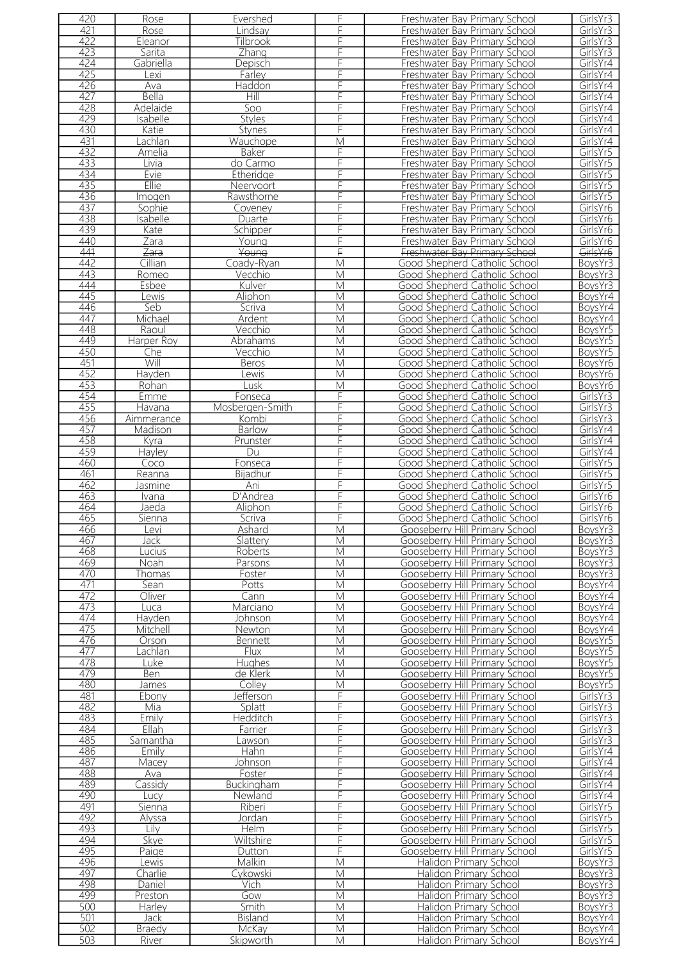| 420        | Rose                   | Evershed           | F                       | Freshwater Bay Primary School                    | GirlsYr3           |
|------------|------------------------|--------------------|-------------------------|--------------------------------------------------|--------------------|
| 421        | Rose                   | Lindsav            | F                       | Freshwater Bay Primary School                    | GirlsYr3           |
| 422        | Eleanor                | <b>Tilbrook</b>    | F                       | Freshwater Bay Primary School                    | GirlsYr3           |
| 423        |                        |                    | F                       |                                                  |                    |
|            | Sarita                 | Zhang              |                         | Freshwater Bay Primary School                    | GirlsYr3           |
| 424        | Gabriella              | Depisch            | F                       | Freshwater Bay Primary School                    | GirlsYr4           |
| 425        | Lexi                   | Farley             |                         | Freshwater Bay Primary School                    | GirlsYr4           |
| 426        | Ava                    | Haddon             |                         | Freshwater Bay Primary School                    | GirlsYr4           |
| 427        | Bella                  | Hill               | F                       | Freshwater Bay Primary School                    | GirlsYr4           |
| 428        | Adelaide               | Soo                | F                       | Freshwater Bay Primary School                    | GirlsYr4           |
| 429        | Isabelle               | Styles             | F                       | Freshwater Bay Primary School                    | GirlsYr4           |
|            |                        |                    |                         |                                                  |                    |
| 430        | Katie                  | <b>Stynes</b>      | F                       | Freshwater Bay Primary School                    | GirlsYr4           |
| 431        | Lachlan                | Wauchope           | $\overline{\mathsf{M}}$ | Freshwater Bay Primary School                    | GirlsYr4           |
| 432        | Amelia                 | Baker              | F                       | Freshwater Bay Primary School                    | GirlsYr5           |
| 433        | Livia                  | do Carmo           | F                       | Freshwater Bay Primary School                    | GirlsYr5           |
| 434        | Evie                   | Etheridge          | F                       | Freshwater Bay Primary School                    | GirlsYr5           |
| 435        | Ellie                  | Neervoort          | F                       | Freshwater Bay Primary School                    | GirlsYr5           |
| 436        | Imogen                 | Rawsthorne         | F                       | Freshwater Bay Primary School                    | GirlsYr5           |
| 437        | Sophie                 |                    | F                       |                                                  | GirlsYr6           |
|            |                        | Coveney            |                         | Freshwater Bay Primary School                    |                    |
| 438        | <b>Isabelle</b>        | Duarte             | F                       | Freshwater Bay Primary School                    | GirlsYr6           |
| 439        | Kate                   | Schipper           | F                       | Freshwater Bay Primary School                    | GirlsYr6           |
| 440        | Zara                   | Young              | F                       | Freshwater Bay Primary School                    | GirlsYr6           |
| 441        | Zara                   | Young              | F                       | Freshwater Bay Primary School                    | GirlsYr6           |
| 442        | Cillian                | Coady-Ryan         | $\overline{\mathsf{M}}$ | Good Shepherd Catholic School                    | BoysYr3            |
| 443        | Romeo                  | Vecchio            | $\overline{\mathsf{M}}$ | Good Shepherd Catholic School                    | BoysYr3            |
| 444        | Esbee                  | Kulver             | $\overline{\mathsf{M}}$ |                                                  | BoysYr3            |
|            |                        |                    |                         | Good Shepherd Catholic School                    |                    |
| 445        | Lewis                  | Aliphon            | M                       | Good Shepherd Catholic School                    | BoysYr4            |
| 446        | Seb                    | Scriva             | M                       | Good Shepherd Catholic School                    | BoysYr4            |
| 447        | Michael                | Ardent             | M                       | Good Shepherd Catholic School                    | BoysYr4            |
| 448        | Raoul                  | Vecchio            | M                       | Good Shepherd Catholic School                    | BoysYr5            |
| 449        | <b>Harper Roy</b>      | Abrahams           | M                       | Good Shepherd Catholic School                    | BoysYr5            |
| 450        | Che                    | Vecchio            | M                       | Good Shepherd Catholic School                    | BoysYr5            |
| 451        | Will                   | Beros              | M                       | Good Shepherd Catholic School                    | BoysYr6            |
| 452        | Hayden                 | ewis               | M                       | Good Shepherd Catholic School                    | BoysYr6            |
|            |                        |                    |                         |                                                  |                    |
| 453        | Rohan                  | Lusk               | M                       | Good Shepherd Catholic School                    | BoysYr6            |
| 454        | Emme                   | Fonseca            | F                       | Good Shepherd Catholic School                    | GirlsYr3           |
| 455        | Havana                 | Mosbergen-Smith    | F                       | Good Shepherd Catholic School                    | GirlsYr3           |
| 456        | Aimmerance             | Kombi              | F                       | Good Shepherd Catholic School                    | GirlsYr3           |
| 457        | Madison                | <b>Barlow</b>      | F                       | Good Shepherd Catholic School                    | GirlsYr4           |
| 458        | Kyra                   | Prunster           | F                       | Good Shepherd Catholic School                    | GirlsYr4           |
| 459        |                        | Du                 | F                       |                                                  |                    |
|            | Hayley                 |                    |                         | Good Shepherd Catholic School                    | GirlsYr4           |
| 460        | Coco                   | Fonseca            | F                       | Good Shepherd Catholic School                    | GirlsYr5           |
| 461        | Reanna                 | Bijadhur           | F                       | Good Shepherd Catholic School                    | GirlsYr5           |
| 462        | <u>Jasmine</u>         | Ani                | F                       | Good Shepherd Catholic School                    | GirlsYr5           |
| 463        | Ivana                  | D'Andrea           | F                       | Good Shepherd Catholic School                    | GirlsYr6           |
| 464        | Jaeda                  | Aliphon            | F                       | Good Shepherd Catholic School                    | GirlsYr6           |
| 465        | Sienna                 | Scriva             | F                       | Good Shepherd Catholic School                    | GirlsYr6           |
| 466        | Levi                   | Ashard             | M                       | Gooseberry Hill Primary School                   | BoysYr3            |
| 467        |                        |                    | M                       |                                                  |                    |
|            | Jack                   | Slattery           |                         | Gooseberry Hill Primary School                   | BoysYr3            |
| 468        | Lucius                 | Roberts            | M                       | Gooseberry Hill Primary School                   | BoysYr3            |
| 469        | <b>Noah</b>            | Parsons            | M                       | Gooseberry Hill Primary School                   | BoysYr3            |
| 470        | Thomas                 | Foster             | M                       | Gooseberry Hill Primary School                   | BoysYr3            |
| 471        | Sean                   | Potts              | M                       | Gooseberry Hill Primary School                   | BoysYr4            |
| 472        | Oliver                 | Cann               | M                       | Gooseberry Hill Primary School                   | BoysYr4            |
| 473        | Luca                   | Marciano           | M                       | Gooseberry Hill Primary School                   | BoysYr4            |
| 474        | Hayden                 | Johnson            | М                       | Gooseberry Hill Primary School                   | BoysYr4            |
| 475        |                        |                    | M                       |                                                  |                    |
|            | Mitchell               | Newton             |                         | Gooseberry Hill Primary School                   | BoysYr4            |
| 476        | Orson                  | <b>Bennett</b>     | M                       | Gooseberry Hill Primary School                   | BovsYr5            |
| 477        | Lachlan                | Flux               | M                       | Gooseberry Hill Primary School                   | BoysYr5            |
| 478        | Luke                   | <b>Hughes</b>      | M                       | Gooseberry Hill Primary School                   | BoysYr5            |
| 479        | Ben                    | de Klerk           | M                       | Gooseberry Hill Primary School                   | BoysYr5            |
| 480        | James                  | Colley             | M                       | Gooseberry Hill Primary School                   | BoysYr5            |
| 481        | Ebony                  | Jefferson          | F                       | Gooseberry Hill Primary School                   | GirlsYr3           |
| 482        | Mia                    | Splatt             | F                       | Gooseberry Hill Primary School                   | GirlsYr3           |
| 483        | Emily                  | Hedditch           | F                       | Gooseberry Hill Primary School                   | GirlsYr3           |
| 484        | Ellah                  | Farrier            | F                       | Gooseberry Hill Primary School                   | GirlsYr3           |
|            |                        |                    |                         |                                                  |                    |
| 485        | Samantha               | awson              | F                       | Gooseberry Hill Primary School                   | GirlsYr3           |
| 486        | Emily                  | Hahn               | F                       | Gooseberry Hill Primary School                   | GirlsYr4           |
| 487        | Macey                  | Johnson            | F                       | Gooseberry Hill Primary School                   | GirlsYr4           |
| 488        | Ava                    | Foster             | F                       | Gooseberry Hill Primary School                   | GirlsYr4           |
| 489        | Cassidy                | Buckingham         | F                       | Gooseberry Hill Primary School                   | GirlsYr4           |
| 490        | Lucy                   | Newland            | F                       | Gooseberry Hill Primary School                   | GirlsYr4           |
| 491        | Sienna                 | Riberi             | F                       | Gooseberry Hill Primary School                   | GirlsYr5           |
| 492        | Alyssa                 | Jordan             | F                       | Gooseberry Hill Primary School                   | GirlsYr5           |
| 493        | Lilv                   | Helm               | F                       |                                                  |                    |
|            |                        |                    |                         | Gooseberry Hill Primary School                   | GirlsYr5           |
|            |                        |                    |                         |                                                  |                    |
| 494        | Skye                   | Wiltshire          | F                       | Gooseberry Hill Primary School                   | GirlsYr5           |
| 495        | Paige                  | <b>Dutton</b>      | F                       | Gooseberry Hill Primary School                   | GirlsYr5           |
| 496        | ewis                   | Malkin             | M                       | Halidon Primary School                           | BoysYr3            |
| 497        | Charlie                | Cykowski           | M                       | Halidon Primary School                           | BoysYr3            |
|            |                        |                    |                         |                                                  |                    |
| 498        | Daniel                 | Vich               | M                       | Halidon Primary School                           | BoysYr3            |
| 499        | Preston                | Gow                | M                       | Halidon Primary School                           | BoysYr3            |
| 500        | Harley                 | Smith              | M                       | Halidon Primary School                           | BoysYr3            |
| 501        | Jack                   | Bisland            | M                       | Halidon Primary School                           | BoysYr4            |
| 502<br>503 | <b>Braedy</b><br>River | McKay<br>Skipworth | M<br>M                  | Halidon Primary School<br>Halidon Primary School | BoysYr4<br>BoysYr4 |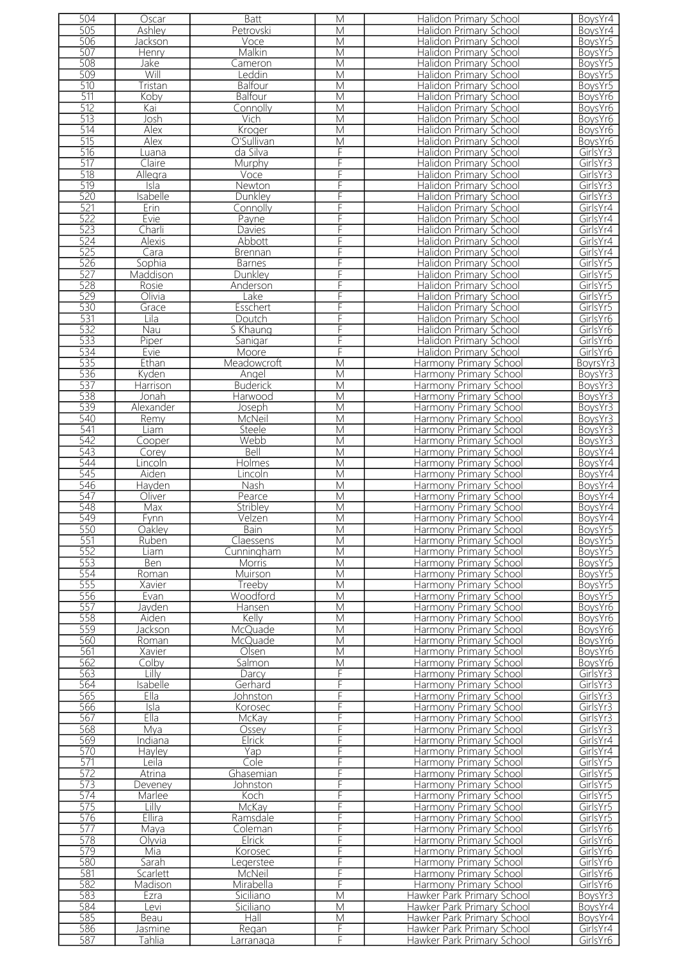| 504        | Oscar             | Batt               | M                       | Halidon Primary School                                   | BoysYr4              |
|------------|-------------------|--------------------|-------------------------|----------------------------------------------------------|----------------------|
|            |                   |                    |                         |                                                          |                      |
| 505        | Ashley            | Petrovski          | M                       | Halidon Primary School                                   | BoysYr4              |
| 506        | Jackson           | Voce               | M                       | Halidon Primary School                                   | BoysYr5              |
| 507        | Henry             | Malkin             | M                       | Halidon Primary School                                   | BoysYr5              |
| 508        |                   |                    | M                       | Halidon Primary School                                   | BoysYr5              |
|            | Jake              | Cameron            |                         |                                                          |                      |
| 509        | Will              | Leddin             | $\overline{M}$          | Halidon Primary School                                   | BoysYr5              |
| 510        | Tristan           | Balfour            | M                       | Halidon Primary School                                   | BoysYr5              |
| 511        | Koby              | Balfour            | $\overline{\mathsf{M}}$ | Halidon Primary School                                   | BoysYr6              |
|            |                   |                    |                         |                                                          |                      |
| 512        | Kai               | Connolly           | $\overline{\mathsf{M}}$ | Halidon Primary School                                   | BoysYr6              |
| 513        | Josh              | Vich               | M                       | Halidon Primary School                                   | BoysYr6              |
| 514        | <b>Alex</b>       | Kroger             | M                       | Halidon Primary School                                   | BoysYr6              |
|            |                   |                    |                         |                                                          |                      |
| 515        | Alex              | O'Sullivan         | $\overline{\mathsf{M}}$ | Halidon Primary School                                   | BoysYr6              |
| 516        | Luana             | da Silva           | F                       | Halidon Primary School                                   | GirlsYr3             |
| 517        | Claire            | Murphy             | F                       | Halidon Primary School                                   | GirlsYr3             |
| 518        | Allegra           |                    | F                       | <b>Halidon Primary School</b>                            | GirlsYr3             |
|            |                   | Voce               |                         |                                                          |                      |
| 519        | Isla              | Newton             | F                       | Halidon Primary School                                   | GirlsYr3             |
| 520        | Isabelle          | Dunkley            | F                       | Halidon Primary School                                   | GirlsYr3             |
| 521        | Erin              | Connolly           | F                       | Halidon Primary School                                   | GirlsYr4             |
|            |                   |                    |                         |                                                          |                      |
| 522        | Evie              | Payne              | F                       | Halidon Primary School                                   | GirlsYr4             |
| 523        | Charli            | Davies             | F                       | Halidon Primary School                                   | GirlsYr4             |
| 524        | Alexis            | Abbott             | F                       | Halidon Primary School                                   | GirlsYr4             |
|            |                   |                    |                         |                                                          |                      |
| 525        | Cara              | Brennan            | F                       | Halidon Primary School                                   | GirlsYr4             |
| 526        | Sophia            | <b>Barnes</b>      | F                       | Halidon Primary School                                   | GirlsYr5             |
| 527        | Maddison          | Dunkley            | F                       | Halidon Primary School                                   | GirlsYr5             |
| 528        |                   |                    |                         |                                                          |                      |
|            | Rosie             | Anderson           | F                       | Halidon Primary School                                   | GirlsYr5             |
| 529        | Olivia            | Lake               | F                       | Halidon Primary School                                   | GirlsYr5             |
| 530        | Grace             | Esschert           | F                       | <b>Halidon Primary School</b>                            | GirlsYr5             |
| 531        | Lila              |                    | F                       |                                                          | GirlsYr6             |
|            |                   | Doutch             |                         | Halidon Primary School                                   |                      |
| 532        | Nau               | S Khaung           | F                       | Halidon Primary School                                   | GirlsYr6             |
| 533        | Piper             | Sanigar            | F                       | Halidon Primary School                                   | GirlsYr6             |
| 534        | Evie              | Moore              | F                       | Halidon Primary School                                   | GirlsYr6             |
|            |                   |                    |                         |                                                          |                      |
| 535        | Ethan             | Meadowcroft        | $\overline{\mathsf{M}}$ | Harmony Primary School                                   | BoyrsYr3             |
| 536        | Kyden             | Angel              | $\overline{\mathsf{M}}$ | Harmony Primary School                                   | BoysYr3              |
| 537        | Harrison          | <b>Buderick</b>    | M                       | Harmony Primary School                                   | BoysYr3              |
|            |                   |                    |                         |                                                          |                      |
| 538        | Jonah             | Harwood            | $\overline{M}$          | Harmony Primary School                                   | BoysYr3              |
| 539        | Alexander         | Joseph             | M                       | Harmony Primary School                                   | BoysYr3              |
| 540        | Remy              | McNeil             | $\overline{\mathsf{M}}$ | Harmony Primary School                                   | BoysYr3              |
|            |                   |                    |                         |                                                          |                      |
| 541        | Liam              | Steele             | $\overline{\mathsf{M}}$ | Harmony Primary School                                   | BoysYr3              |
| 542        | Cooper            | Webb               | M                       | Harmony Primary School                                   | BoysYr3              |
| 543        | Corey             | Bell               | M                       | Harmony Primary School                                   | BoysYr4              |
| 544        | Lincoln           |                    | M                       | Harmony Primary School                                   | BoysYr4              |
|            |                   | Holmes             |                         |                                                          |                      |
| 545        | Aiden             | Lincoln            | M                       | Harmony Primary School                                   | BoysYr4              |
| 546        | Hayden            | <b>Nash</b>        | M                       | Harmony Primary School                                   | BoysYr4              |
| 547        | Oliver            | Pearce             | M                       | Harmony Primary School                                   | BoysYr4              |
|            |                   |                    |                         |                                                          |                      |
| 548        | Max               | Stribley           | M                       | Harmony Primary School                                   | BoysYr4              |
| 549        | Fynn              | Velzen             | M                       | Harmony Primary School                                   | BoysYr4              |
| 550        | Oakley            | Bain               | М                       | Harmony Primary School                                   | BoysYr5              |
|            |                   |                    |                         |                                                          |                      |
| 551        | Ruben             | Claessens          | M                       | Harmony Primary School                                   | BoysYr5              |
| 552        | Liam              | Cunningham         | M                       | Harmony Primary School                                   | BoysYr5              |
| 553        | Ben               | <b>Morris</b>      | M                       | Harmony Primary School                                   | BoysYr5              |
| 554        | Roman             | Muirson            | M                       | Harmony Primary School                                   | BoysYr5              |
|            |                   |                    |                         |                                                          |                      |
| 555        | Xavier            | Treeby             | M                       | Harmony Primary School                                   | BoysYr5              |
| 556        | Evan              | Woodford           | M                       | Harmony Primary School                                   | BoysYr5              |
| 557        | Jayden            | Hansen             | M                       | Harmony Primary School                                   | BoysYr6              |
|            |                   |                    |                         |                                                          |                      |
| 558        | Aiden             | Kelly              | M                       | Harmony Primary School                                   | BoysYr6              |
| 559        | Jackson           | <b>McQuade</b>     | M                       | Harmony Primary School                                   | BoysYr6              |
| 560        | Roman             | McOuade            | M                       | Harmony Primary School                                   | BoysYr6              |
|            |                   |                    |                         |                                                          |                      |
| 561        | Xavier            | Olsen              | M                       | Harmony Primary School                                   | BoysYr6              |
| 562        | Colby             | Salmon             | M                       | Harmony Primary School                                   | BoysYr6              |
| 563        | Lillv             | Darcy              | F                       | Harmony Primary School                                   | GirlsYr3             |
| 564        | sabelle           | Gerhard            | F                       | Harmony Primary School                                   | GirlsYr3             |
|            |                   |                    | F                       |                                                          |                      |
| 565        | Ella              | Johnston           |                         | Harmony Primary School                                   | GirlsYr3             |
| 566        | Isla              | Korosec            | F                       | Harmony Primary School                                   | GirlsYr3             |
| 567        | Ella              | McKay              | F                       | Harmony Primary School                                   | GirlsYr3             |
| 568        | Mya               | Ossey              | F                       | Harmony Primary School                                   | GirlsYr3             |
|            |                   |                    |                         |                                                          |                      |
| 569        | Indiana           |                    |                         |                                                          | GirlsYr4             |
| 570        |                   | Elrick             | F                       | Harmony Primary School                                   |                      |
|            | Hayley            | Yap                | F                       | Harmony Primary School                                   | GirlsYr4             |
|            |                   |                    |                         |                                                          |                      |
| 571        | Leila             | Cole               | F                       | Harmony Primary School                                   | GirlsYr5             |
| 572        | <b>Atrina</b>     | Ghasemian          | F                       | Harmony Primary School                                   | GirlsYr5             |
| 573        | Deveney           | Johnston           | F                       | Harmony Primary School                                   | GirlsYr5             |
|            |                   |                    |                         |                                                          |                      |
| 574        | Marlee            | Koch               | F                       | Harmony Primary School                                   | GirlsYr5             |
| 575        | Lilly             | McKay              | F                       | Harmony Primary School                                   | GirlsYr5             |
| 576        | <b>Ellira</b>     | Ramsdale           | F                       | Harmony Primary School                                   | GirlsYr5             |
|            |                   |                    |                         |                                                          |                      |
| 577        | Maya              | Coleman            | F                       | Harmony Primary School                                   | GirlsYr6             |
| 578        | Olyvia            | Elrick             | F                       | Harmony Primary School                                   | GirlsYr6             |
| 579        | Mia               | Korosec            | F                       | Harmony Primary School                                   | GirlsYr6             |
| 580        | Sarah             | egerstee           | F                       | Harmony Primary School                                   | GirlsYr6             |
|            |                   |                    |                         |                                                          |                      |
| 581        | Scarlett          | McNeil             | F                       | Harmony Primary School                                   | GirlsYr6             |
| 582        | Madison           | Mirabella          | F                       | Harmony Primary School                                   | GirlsYr6             |
| 583        | Ezra              | Siciliano          | M                       | Hawker Park Primary School                               | BoysYr3              |
|            |                   |                    |                         |                                                          |                      |
| 584        | evi               | Siciliano          | M                       | Hawker Park Primary School                               | BoysYr4              |
| 585        | Beau              | Hall               | M                       | Hawker Park Primary School                               | BoysYr4              |
| 586<br>587 | Jasmine<br>Tahlia | Regan<br>Larranaga | F<br>F                  | Hawker Park Primary School<br>Hawker Park Primary School | GirlsYr4<br>GirlsYr6 |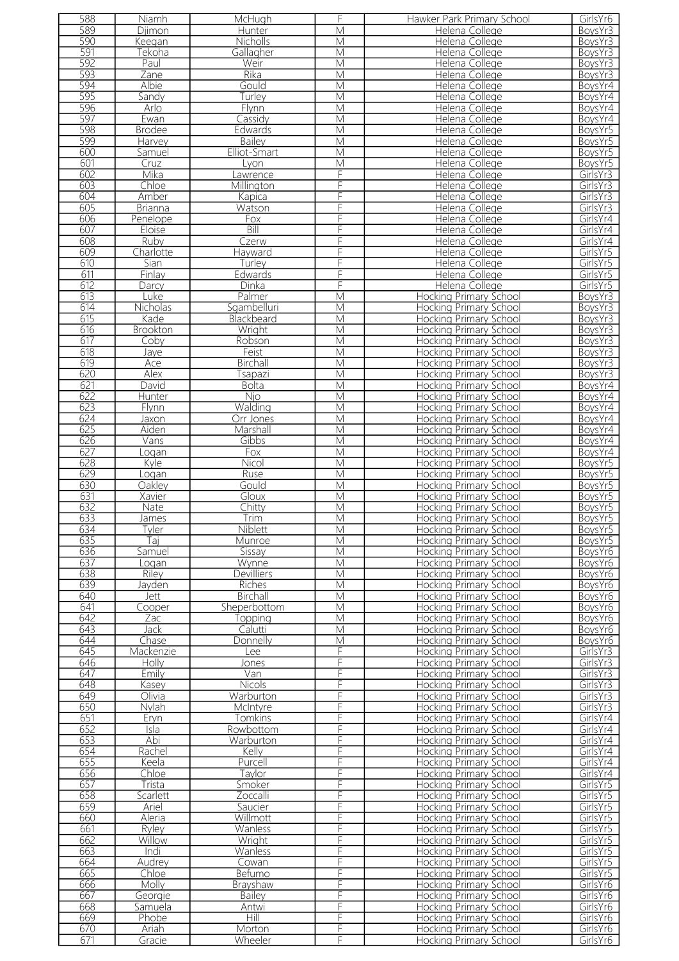| 588 | Niamh           | McHugh            | F                       | Hawker Park Primary School    | GirlsYr6             |
|-----|-----------------|-------------------|-------------------------|-------------------------------|----------------------|
| 589 | Djimon          | Hunter            | $\overline{\mathsf{M}}$ | Helena College                | BoysYr3              |
| 590 | Keegan          | Nicholls          | M                       | Helena College                | BoysYr3              |
| 591 | Tekoha          | Gallagher         | M                       | Helena College                | BoysYr3              |
|     |                 |                   |                         |                               |                      |
| 592 | Paul            | Weir              | M                       | Helena College                | BoysYr3              |
| 593 | Zane            | Rika              | M                       | Helena College                | BoysYr3              |
| 594 | Albie           | Gould             | M                       | Helena College                | BoysYr4              |
| 595 | Sandy           | Turley            | M                       | Helena College                | BoysYr4              |
| 596 | Arlo            | Flynn             | M                       | Helena College                | BoysYr4              |
| 597 | Ewan            | Cassidy           | M                       | Helena College                | BoysYr4              |
| 598 | <b>Brodee</b>   | Edwards           | $\overline{\mathsf{M}}$ | Helena College                | BoysYr5              |
| 599 | Harvey          | Bailey            | M                       | Helena College                | BoysYr5              |
|     |                 |                   |                         |                               |                      |
| 600 | Samuel          | Elliot-Smart      | $\overline{\mathsf{M}}$ | Helena College                | BoysYr5              |
| 601 | Cruz            | Lyon              | $\overline{\mathsf{M}}$ | Helena College                | BoysYr5              |
| 602 | Mika            | Lawrence          | F                       | Helena College                | GirlsYr3             |
| 603 | Chloe           | Millington        | F                       | Helena College                | GirlsYr3             |
| 604 | Amber           | Kapica            | F                       | Helena College                | GirlsYr3             |
| 605 | <b>Brianna</b>  | Watson            | F                       | Helena College                | GirlsYr3             |
| 606 | Penelope        | Fox               | F                       | Helena College                | GirlsYr4             |
|     |                 | Bill              | F                       |                               |                      |
| 607 | Eloise          |                   |                         | Helena College                | GirlsYr4             |
| 608 | Ruby            | Czerw             | F                       | Helena College                | GirlsYr4             |
| 609 | Charlotte       | Hayward           | F                       | Helena College                | GirlsYr5             |
| 610 | Sian            | Turley            | F                       | Helena College                | GirlsYr5             |
| 611 | Finlay          | Edwards           | F                       | Helena College                | GirlsYr5             |
| 612 | Darcy           | Dinka             | F                       | Helena College                | GirlsYr5             |
| 613 | Luke            | Palmer            | $\overline{\mathsf{M}}$ | <b>Hocking Primary School</b> | BoysYr3              |
| 614 | Nicholas        | Sgambelluri       | M                       | <b>Hocking Primary School</b> | BoysYr3              |
| 615 |                 |                   |                         |                               |                      |
|     | Kade            | Blackbeard        | M                       | Hocking Primary School        | BoysYr3              |
| 616 | <b>Brookton</b> | Wright            | $\overline{\mathsf{M}}$ | Hocking Primary School        | BoysYr3              |
| 617 | Coby            | Robson            | M                       | Hocking Primary School        | BoysYr3              |
| 618 | Jaye            | Feist             | M                       | Hocking Primary School        | BoysYr3              |
| 619 | Ace             | Birchall          | $\overline{\mathsf{M}}$ | <b>Hocking Primary School</b> | BoysYr3              |
| 620 | Alex            | Tsapazi           | M                       | Hocking Primary School        | BoysYr3              |
| 621 | David           | <b>Bolta</b>      | $\overline{\mathsf{M}}$ | Hocking Primary School        | BoysYr4              |
| 622 | Hunter          | <b>Njo</b>        | M                       | Hocking Primary School        | BoysYr4              |
| 623 | Flynn           | Walding           | M                       | <b>Hocking Primary School</b> | BoysYr4              |
| 624 | Jaxon           | Orr Jones         | $\overline{\mathsf{M}}$ | <b>Hocking Primary School</b> | BoysYr4              |
| 625 | Aiden           | Marshall          | $\overline{\mathsf{M}}$ | Hocking Primary School        | BoysYr4              |
| 626 | Vans            | Gibbs             | M                       | Hocking Primary School        | BoysYr4              |
| 627 |                 |                   |                         | <b>Hocking Primary School</b> |                      |
|     | Logan           | Fox               | M                       |                               | BoysYr4              |
| 628 | Kyle            | Nicol             | M                       | Hocking Primary School        | BoysYr5              |
| 629 | Logan           | <b>Ruse</b>       | $\overline{\mathsf{M}}$ | <b>Hocking Primary School</b> | BoysYr5              |
| 630 | Oakley          | Gould             | $\overline{\mathsf{M}}$ | Hocking Primary School        | BoysYr5              |
| 631 | Xavier          | Gloux             | M                       | Hocking Primary School        | BoysYr5              |
| 632 | Nate            | Chitty            | M                       | Hocking Primary School        | BoysYr5              |
| 633 | James           | Trim              | M                       | <b>Hocking Primary School</b> | BoysYr5              |
| 634 | l yler          | <b>Niblett</b>    | M                       | Hocking Primary School        | BOYSYr5              |
| 635 | Tai             | Munroe            | M                       | <b>Hocking Primary School</b> | BoysYr5              |
| 636 | Samuel          | Sissay            | М                       | Hocking Primary School        | BoysYr6              |
| 637 | oqan            | Wynne             | M                       | Hocking Primary School        | BoysYr6              |
| 638 | Riley           | <b>Devilliers</b> | $\overline{\mathsf{M}}$ | Hocking Primary School        | BoysYr6              |
| 639 | Javden          | Riches            | M                       | <b>Hocking Primary School</b> | BoysYr6              |
| 640 |                 | Birchall          | $\overline{M}$          |                               |                      |
|     | Jett            |                   |                         | <b>Hocking Primary School</b> | BoysYr6              |
| 641 | Cooper          | Sheperbottom      | M                       | Hocking Primary School        | BoysYr6              |
| 642 | Zac             | Topping           | $\overline{\mathsf{M}}$ | <b>Hocking Primary School</b> | BoysYr6              |
| 643 | Jack            | Calutti           | M                       | <b>Hocking Primary School</b> | BoysYr6              |
| 644 | Chase           | Donnelly          | M                       | Hocking Primary School        | BoysYr6              |
| 645 | Mackenzie       | Lee               | F                       | <b>Hocking Primary School</b> | GirlsYr3             |
| 646 | Holly           | Jones             | F                       | <b>Hocking Primary School</b> | GirlsYr3             |
| 647 | Emily           | Van               | F                       | Hocking Primary School        | GirlsYr3             |
| 648 | Kasey           | Nicols            | F                       | <b>Hocking Primary School</b> | GirlsYr3             |
| 649 | Olivia          | Warburton         | F                       | Hocking Primary School        | GirlsYr3             |
| 650 | Nylah           | McIntyre          | F                       | <b>Hocking Primary School</b> | GirlsYr3             |
|     |                 |                   |                         |                               |                      |
| 651 | Eryn            | <b>Tomkins</b>    | F                       | <b>Hocking Primary School</b> | GirlsYr4             |
| 652 | Isla            | Rowbottom         | F                       | <b>Hocking Primary School</b> | GirlsYr4             |
| 653 | Abi             | Warburton         | F                       | <b>Hocking Primary School</b> | GirlsYr4             |
| 654 | Rachel          | Kelly             | F                       | <b>Hocking Primary School</b> | GirlsYr4             |
| 655 | Keela           | Purcell           | F                       | <b>Hocking Primary School</b> | GirlsYr4             |
| 656 | Chloe           | Taylor            | F                       | Hocking Primary School        | GirlsYr4             |
| 657 | Trista          | Smoker            | F                       | Hocking Primary School        | GirlsYr5             |
| 658 | Scarlett        | Zoccalli          | F                       | <b>Hocking Primary School</b> | GirlsYr5             |
| 659 | Ariel           | Saucier           | F                       | <b>Hocking Primary School</b> | GirlsYr5             |
| 660 | Aleria          | Willmott          | F                       | Hocking Primary School        | GirlsYr5             |
| 661 | Ryley           | Wanless           | F                       | <b>Hocking Primary School</b> | GirlsYr5             |
| 662 | Willow          | Wright            | F                       | Hocking Primary School        | GirlsYr5             |
| 663 | Indi            | Wanless           | F                       | <b>Hocking Primary School</b> | GirlsYr5             |
| 664 | Audrey          | Cowan             | F                       | <b>Hocking Primary School</b> | GirlsYr5             |
| 665 | Chloe           | Befumo            | F                       | Hocking Primary School        | GirlsYr5             |
| 666 | <b>Molly</b>    | Brayshaw          | F                       | Hocking Primary School        | GirlsYr6             |
| 667 |                 | <b>Bailey</b>     | F                       | Hocking Primary School        |                      |
|     | Georgie         |                   |                         |                               | GirlsYr6             |
| 668 | Samuela         | Antwi             | F                       | <b>Hocking Primary School</b> | GirlsYr <sub>6</sub> |
| 669 | Phobe           | Hill              | F                       | Hocking Primary School        | GirlsYr6             |
| 670 | Ariah           | Morton            | F                       | <b>Hocking Primary School</b> | GirlsYr6             |
| 671 | Gracie          | Wheeler           | F                       | <b>Hocking Primary School</b> | GirlsYr6             |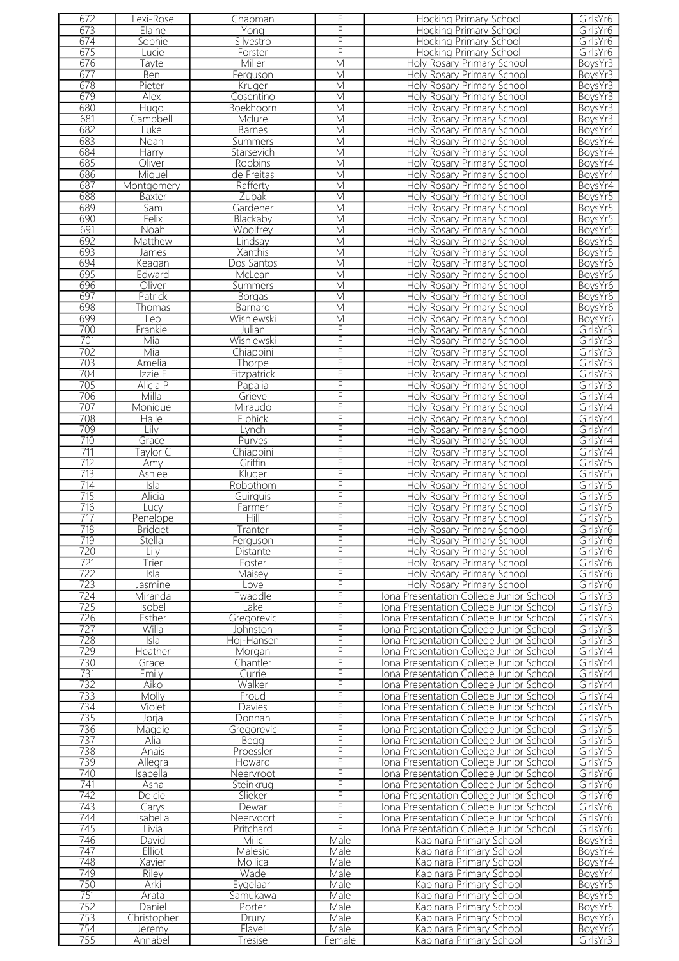| 672 | Lexi-Rose                | Chapman        | F                       | <b>Hocking Primary School</b>           | GirlsYr6 |
|-----|--------------------------|----------------|-------------------------|-----------------------------------------|----------|
| 673 | Elaine                   | Yong           | F                       | <b>Hocking Primary School</b>           | GirlsYr6 |
| 674 | Sophie                   | Silvestro      | F                       | <b>Hocking Primary School</b>           | GirlsYr6 |
| 675 |                          |                | F                       |                                         |          |
|     | Lucie                    | Forster        |                         | <b>Hocking Primary School</b>           | GirlsYr6 |
| 676 | Tayte                    | Miller         | M                       | Holy Rosary Primary School              | BoysYr3  |
| 677 | <b>Ben</b>               | Ferguson       | $\overline{M}$          | Holy Rosary Primary School              | BoysYr3  |
| 678 | Pieter                   | Kruger         | M                       | <b>Holy Rosary Primary School</b>       | BoysYr3  |
| 679 | Alex                     | Cosentino      | $\overline{\mathsf{M}}$ | Holy Rosary Primary School              | BoysYr3  |
|     |                          |                |                         |                                         |          |
| 680 | Hugo                     | Boekhoorn      | M                       | Holy Rosary Primary School              | BoysYr3  |
| 681 | Campbell                 | Mclure         | M                       | <b>Holy Rosary Primary School</b>       | BoysYr3  |
| 682 | Luke                     | <b>Barnes</b>  | $\overline{M}$          | Holy Rosary Primary School              | BoysYr4  |
| 683 | Noah                     | Summers        | $\overline{\mathsf{M}}$ | Holy Rosary Primary School              | BoysYr4  |
| 684 | Harry                    | Starsevich     | M                       | Holy Rosary Primary School              | BoysYr4  |
|     |                          |                |                         |                                         |          |
| 685 | Oliver                   | Robbins        | M                       | Holy Rosary Primary School              | BoysYr4  |
| 686 | Miguel                   | de Freitas     | M                       | Holy Rosary Primary School              | BoysYr4  |
| 687 | Montgomery               | Rafferty       | M                       | Holy Rosary Primary School              | BoysYr4  |
| 688 | Baxter                   | Zubak          | M                       | Holy Rosary Primary School              | BoysYr5  |
| 689 |                          |                | M                       |                                         | BoysYr5  |
|     | Sam                      | Gardener       |                         | Holy Rosary Primary School              |          |
| 690 | Felix                    | Blackaby       | M                       | Holy Rosary Primary School              | BoysYr5  |
| 691 | Noah                     | Woolfrey       | M                       | Holy Rosary Primary School              | BoysYr5  |
| 692 | Matthew                  | Lindsay        | M                       | Holy Rosary Primary School              | BoysYr5  |
| 693 | James                    | Xanthis        | M                       | Holy Rosary Primary School              | BoysYr5  |
|     |                          |                |                         |                                         |          |
| 694 | Keagan                   | Dos Santos     | M                       | Holy Rosary Primary School              | BoysYr6  |
| 695 | Edward                   | McLean         | $\overline{\mathsf{M}}$ | Holy Rosary Primary School              | BoysYr6  |
| 696 | Oliver                   | Summers        | $\overline{\mathsf{M}}$ | Holy Rosary Primary School              | BoysYr6  |
| 697 | Patrick                  | <b>Borgas</b>  | M                       | Holy Rosary Primary School              | BoysYr6  |
| 698 |                          |                | $\overline{M}$          | <b>Holy Rosary Primary School</b>       |          |
|     | Thomas                   | <b>Barnard</b> |                         |                                         | BoysYr6  |
| 699 | Leo                      | Wisniewski     | M                       | Holy Rosary Primary School              | BoysYr6  |
| 700 | Frankie                  | Julian         | $\overline{F}$          | Holy Rosary Primary School              | GirlsYr3 |
| 701 | Mia                      | Wisniewski     | F                       | Holy Rosary Primary School              | GirlsYr3 |
| 702 | Mia                      | Chiappini      | F                       | Holy Rosary Primary School              | GirlsYr3 |
|     |                          |                |                         |                                         |          |
| 703 | Amelia                   | Thorpe         | F                       | Holy Rosary Primary School              | GirlsYr3 |
| 704 | Izzie F                  | Fitzpatrick    | F                       | Holy Rosary Primary School              | GirlsYr3 |
| 705 | Alicia P                 | Papalia        | F                       | Holy Rosary Primary School              | GirlsYr3 |
| 706 | Milla                    | Grieve         | F                       | Holy Rosary Primary School              | GirlsYr4 |
| 707 |                          |                | F                       | Holy Rosary Primary School              | GirlsYr4 |
|     | Monique                  | Miraudo        |                         |                                         |          |
| 708 | Halle                    | Elphick        | F                       | Holy Rosary Primary School              | GirlsYr4 |
| 709 | Lilv                     | Lynch          | F                       | Holy Rosary Primary School              | GirlsYr4 |
| 710 | Grace                    | Purves         | F                       | Holy Rosary Primary School              | GirlsYr4 |
| 711 | aylor C                  | Chiappini      | F                       | Holy Rosary Primary School              | GirlsYr4 |
|     |                          |                |                         |                                         |          |
| 712 | Amy                      | Griffin        | F                       | Holy Rosary Primary School              | GirlsYr5 |
| 713 | Ashlee                   | Kluger         | F                       | Holy Rosary Primary School              | GirlsYr5 |
| 714 | $\overline{\text{Isla}}$ | Robothom       | F                       | Holy Rosary Primary School              | GirlsYr5 |
| 715 | Alicia                   | Guirguis       | F                       | Holy Rosary Primary School              | GirlsYr5 |
| 716 |                          |                | F                       | Holy Rosary Primary School              | GirlsYr5 |
|     | Lucy                     | Farmer         |                         |                                         |          |
| 717 | Penelope                 | Hill           | F                       | Holy Rosary Primary School              | GirlsYr5 |
| 718 | <b>Bridget</b>           | Tranter        | F                       | Holy Rosary Primary School              | GirlsYr6 |
| 719 | Stella                   | Ferguson       | F                       | Holy Rosary Primary School              | GirlsYr6 |
| 720 | Lilv                     | Distante       | F                       | Holy Rosary Primary School              | GirlsYr6 |
|     |                          |                |                         |                                         |          |
| 721 | Trier                    | Foster         | F                       | Holy Rosary Primary School              | GirlsYr6 |
| 722 | Isla                     | Maisey         | F                       | Holy Rosary Primary School              | GirlsYr6 |
| 723 | Jasmine                  | ove            | F                       | Holy Rosary Primary School              | GirlsYr6 |
| 724 | Miranda                  | Twaddle        | F                       | Iona Presentation College Junior School | GirlsYr3 |
| 725 | Isobel                   | Lake           | F                       | Iona Presentation College Junior School | GirlsYr3 |
|     |                          |                |                         |                                         |          |
| 726 | Esther                   | Gregorevic     | F                       | Iona Presentation College Junior School | GirlsYr3 |
| 727 | Willa                    | Johnston       | F                       | Iona Presentation College Junior School | GirlsYr3 |
| 728 | Isla                     | Hoj-Hansen     | F                       | Iona Presentation College Junior School | GirlsYr3 |
| 729 | Heather                  | Morgan         | F                       | Iona Presentation College Junior School | GirlsYr4 |
| 730 |                          |                |                         |                                         |          |
|     | Grace                    | Chantler       | F                       | Iona Presentation College Junior School | GirlsYr4 |
| 731 | Emily                    | Currie         | F                       | Iona Presentation College Junior School | GirlsYr4 |
| 732 | Aiko                     | Walker         | F                       | Iona Presentation College Junior School | GirlsYr4 |
| 733 | Molly                    | Froud          | F                       | Iona Presentation College Junior School | GirlsYr4 |
| 734 | Violet                   | Davies         | F                       | Iona Presentation College Junior School | GirlsYr5 |
|     |                          |                | F                       |                                         |          |
| 735 | Jorja                    | Donnan         |                         | Iona Presentation College Junior School | GirlsYr5 |
| 736 | Maggie                   | Gregorevic     | F                       | Iona Presentation College Junior School | GirlsYr5 |
| 737 | Alia                     | Begg           | F                       | Iona Presentation College Junior School | GirlsYr5 |
| 738 | Anais                    | Proessler      | F                       | Iona Presentation College Junior School | GirlsYr5 |
| 739 | Allegra                  | Howard         | F                       | Iona Presentation College Junior School | GirlsYr5 |
|     |                          |                |                         |                                         |          |
| 740 | <b>Isabella</b>          | Neervroot      | F                       | Iona Presentation College Junior School | GirlsYr6 |
| 741 | Asha                     | Steinkrug      | F                       | Iona Presentation College Junior School | GirlsYr6 |
| 742 | Dolcie                   | Slieker        | F                       | Iona Presentation College Junior School | GirlsYr6 |
| 743 | Carys                    | Dewar          | F                       | Iona Presentation College Junior School | GirlsYr6 |
| 744 | Isabella                 |                | F                       |                                         | GirlsYr6 |
|     |                          | Neervoort      |                         | Iona Presentation College Junior School |          |
| 745 | Livia                    | Pritchard      | F                       | Iona Presentation College Junior School | GirlsYr6 |
| 746 | David                    | Milic          | Male                    | Kapinara Primary School                 | BoysYr3  |
| 747 | Elliot                   | Malesic        | Male                    | Kapinara Primary School                 | BoysYr4  |
| 748 | Xavier                   | Mollica        | Male                    | Kapinara Primary School                 | BoysYr4  |
|     |                          |                |                         |                                         |          |
| 749 | Riley                    | Wade           | Male                    | Kapinara Primary School                 | BoysYr4  |
| 750 | Arki                     | Eygelaar       | Male                    | Kapinara Primary School                 | BoysYr5  |
| 751 | Arata                    | Samukawa       | Male                    | Kapinara Primary School                 | BoysYr5  |
| 752 | Daniel                   | Porter         | Male                    | Kapinara Primary School                 | BoysYr5  |
| 753 | Christopher              | Drury          | Male                    |                                         |          |
|     |                          |                |                         | Kapinara Primary School                 | BoysYr6  |
| 754 | Jeremy                   | Flavel         | Male                    | Kapinara Primary School                 | BoysYr6  |
| 755 | Annabel                  | Tresise        | Female                  | Kapinara Primary School                 | GirlsYr3 |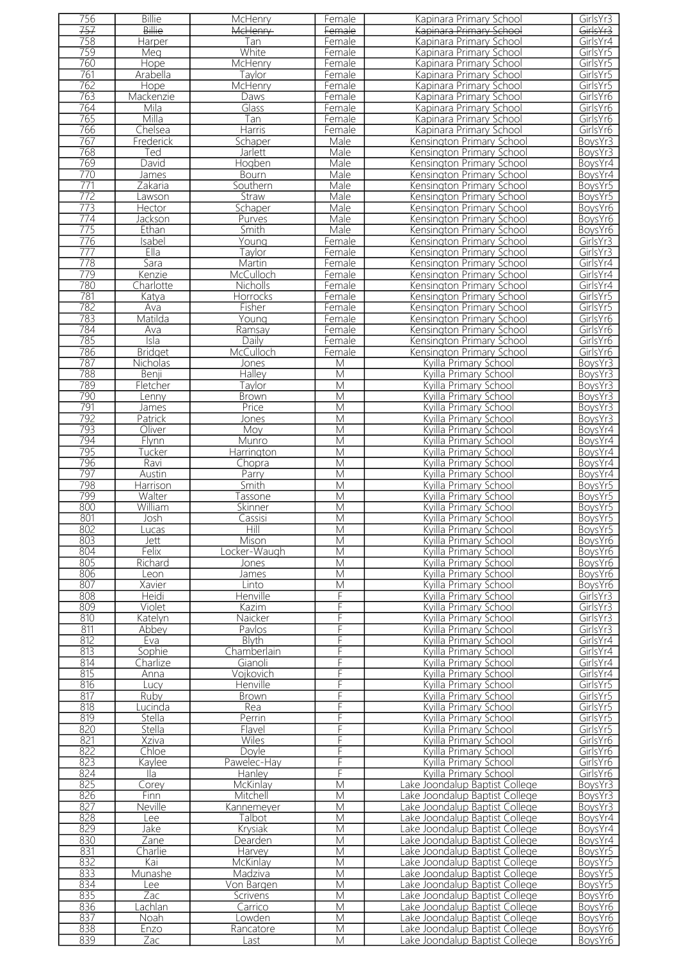| 756              | <b>Billie</b>   | McHenry          | Female                  | Kapinara Primary School        | GirlsYr3 |
|------------------|-----------------|------------------|-------------------------|--------------------------------|----------|
| 757              | <b>Billie</b>   | <b>McHenry</b>   | Female                  | Kapinara Primary School        | GirlsYr3 |
| 758              | <b>Harper</b>   | Tan              | Female                  | Kapinara Primary School        | GirlsYr4 |
| 759              | Meg             | White            | Female                  | Kapinara Primary School        | GirlsYr5 |
| 760              | <b>Hope</b>     | McHenry          | Female                  | Kapinara Primary School        | GirlsYr5 |
| 761              | Arabella        | Taylor           | Female                  | Kapinara Primary School        | GirlsYr5 |
| 762              | Hope            | McHenry          | Female                  | Kapinara Primary School        | GirlsYr5 |
| 763              | Mackenzie       | Daws             | Female                  | Kapinara Primary School        | GirlsYr6 |
| 764              | Mila            | Glass            | Female                  | Kapinara Primary School        | GirlsYr6 |
| 765              | Milla           | Tan              | Female                  | Kapinara Primary School        | GirlsYr6 |
| 766              | Chelsea         | Harris           | Female                  | Kapinara Primary School        | GirlsYr6 |
| 767              | Frederick       | Schaper          | Male                    | Kensington Primary School      | BoysYr3  |
| 768              | Ted             | Jarlett          | Male                    | Kensington Primary School      | BoysYr3  |
| 769              | David           | Hogben           | Male                    | Kensington Primary School      | BoysYr4  |
| 770              | James           | Bourn            | Male                    | Kensington Primary School      | BoysYr4  |
| $\overline{771}$ | Zakaria         | Southern         | Male                    | Kensington Primary School      | BoysYr5  |
| 772              | awson           | Straw            | Male                    | Kensington Primary School      | BoysYr5  |
| 773              | Hector          | Schaper          | Male                    | Kensington Primary School      | BoysYr6  |
| 774              | Jackson         | Purves           | Male                    | Kensington Primary School      | BoysYr6  |
| 775              | Ethan           | Smith            | Male                    | Kensington Primary School      | BoysYr6  |
| 776              | Isabel          |                  | Female                  | Kensington Primary School      | GirlsYr3 |
| 777              | Ella            | Young            |                         | Kensington Primary School      | GirlsYr3 |
| 778              |                 | Taylor<br>Martin | Female                  |                                | GirlsYr4 |
|                  | Sara            |                  | Female                  | Kensington Primary School      |          |
| 779              | Kenzie          | McCulloch        | Female                  | Kensington Primary School      | GirlsYr4 |
| 780              | Charlotte       | Nicholls         | Female                  | Kensington Primary School      | GirlsYr4 |
| 781              | Katya           | Horrocks         | Female                  | Kensington Primary School      | GirlsYr5 |
| 782              | Ava             | Fisher           | <u>Female</u>           | Kensington Primary School      | GirlsYr5 |
| 783              | Matilda         | Young            | Female                  | Kensington Primary School      | GirlsYr6 |
| 784              | Ava             | Ramsay           | Female                  | Kensington Primary School      | GirlsYr6 |
| 785              | Isla            | Daily            | Female                  | Kensington Primary School      | GirlsYr6 |
| 786              | <b>Bridget</b>  | McCulloch        | Female                  | Kensington Primary School      | GirlsYr6 |
| 787              | <b>Nicholas</b> | Jones            | M                       | Kyilla Primary School          | BoysYr3  |
| 788              | Benji           | <b>Halley</b>    | $\overline{\mathsf{M}}$ | Kyilla Primary School          | BoysYr3  |
| 789              | Fletcher        | Taylor           | M                       | Kyilla Primary School          | BoysYr3  |
| 790              | enny            | <b>Brown</b>     | M                       | Kyilla Primary School          | BoysYr3  |
| 791              | James           | Price            | M                       | Kyilla Primary School          | BoysYr3  |
| 792              | Patrick         | Jones            | M                       | Kyilla Primary School          | BoysYr3  |
| 793              | Oliver          | Moy              | M                       | Kyilla Primary School          | BoysYr4  |
| 794              | Flynn           | Munro            | M                       | Kyilla Primary School          | BoysYr4  |
| 795              | Tucker          | Harrington       | M                       | Kyilla Primary School          | BoysYr4  |
| 796              | Ravi            | Chopra           | $\overline{\mathsf{M}}$ | Kyilla Primary School          | BoysYr4  |
| 797              | <b>Austin</b>   | Parry            | M                       | Kyilla Primary School          | BoysYr4  |
| 798              | Harrison        | Smith            | M                       | Kyilla Primary School          | BoysYr5  |
| 799              | Walter          | Tassone          | M                       | Kyilla Primary School          | BoysYr5  |
| 800              | William         | Skinner          | M                       | Kyilla Primary School          | BoysYr5  |
| 801              | Josh            | Cassisi          | M                       | Kyilla Primary School          | BoysYr5  |
| 802              | Lucas           | Hill             | М                       | Kyilla Primary School          | BoysYr5  |
| 803              | Jett            | Mison            | M                       | Kyilla Primary School          | BoysYr6  |
| 804              | Felix           | _ocker-Waugh     | M                       | Kyilla Primary School          | BoysYr6  |
| 805              | Richard         | Jones            | M                       | Kyilla Primary School          | BoysYr6  |
| 806              | Leon            | James            | M                       | Kyilla Primary School          | BoysYr6  |
| 807              | Xavier          | Linto            | M                       | Kyilla Primary School          | BoysYr6  |
| 808              | Heidi           | <b>Henville</b>  | F                       | Kyilla Primary School          | GirlsYr3 |
| 809              | Violet          | Kazim            | F                       | Kyilla Primary School          | GirlsYr3 |
| 810              | Katelyn         | Naicker          | F                       | Kyilla Primary School          | GirlsYr3 |
| 811              | Abbey           | Pavlos           | F                       | Kyilla Primary School          | GirlsYr3 |
| 812              | Eva             | <b>Blyth</b>     | F                       | Kvilla Primary School          | GirlsYr4 |
| 813              | Sophie          | Chamberlain      | F                       | Kyilla Primary School          | GirlsYr4 |
| 814              | Charlize        | Gianoli          | F                       | Kyilla Primary School          | GirlsYr4 |
| 815              | Anna            | Vojkovich        | F                       | Kyilla Primary School          | GirlsYr4 |
| 816              | Lucy            | <b>Henville</b>  | F                       | Kyilla Primary School          | GirlsYr5 |
| 817              | Ruby            | <b>Brown</b>     | F                       | Kyilla Primary School          | GirlsYr5 |
| 818              | Lucinda         | Rea              | F                       | Kyilla Primary School          | GirlsYr5 |
| 819              | Stella          | Perrin           | F                       | Kyilla Primary School          | GirlsYr5 |
| 820              | Stella          | Flavel           | F                       | Kyilla Primary School          | GirlsYr5 |
| 821              | Xziva           | <b>Wiles</b>     | F                       | Kyilla Primary School          | GirlsYr6 |
| 822              | Chloe           | <b>Doyle</b>     | F                       | Kyilla Primary School          | GirlsYr6 |
| 823              | Kaylee          | Pawelec-Hay      | F                       | Kyilla Primary School          | GirlsYr6 |
| 824              | lla             | Hanley           | F                       | Kyilla Primary School          | GirlsYr6 |
| 825              | Corey           | <b>McKinlay</b>  | M                       | ake Joondalup Baptist College  | BoysYr3  |
| 826              | Finn            | Mitchell         | M                       | Lake Joondalup Baptist College | BoysYr3  |
| 827              | <b>Neville</b>  | Kannemeyer       | M                       | Lake Joondalup Baptist College | BoysYr3  |
| 828              | Lee             | Talbot           | M                       | Lake Joondalup Baptist College | BoysYr4  |
| 829              | Jake            | Krysiak          | M                       | Lake Joondalup Baptist College | BoysYr4  |
| 830              | Zane            | Dearden          | M                       | Lake Joondalup Baptist College | BoysYr4  |
| 831              | Charlie         | Harvey           | М                       | Lake Joondalup Baptist College | BoysYr5  |
| 832              | Kai             | McKinlay         | M                       | Lake Joondalup Baptist College | BoysYr5  |
| 833              | Munashe         | Madziva          | M                       | Lake Joondalup Baptist College | BoysYr5  |
| 834              | Lee             | Von Bargen       | M                       | Lake Joondalup Baptist College | BoysYr5  |
| 835              | Zac             | Scrivens         | M                       | Lake Joondalup Baptist College | BoysYr6  |
| 836              | .achlan         | Carrico          | M                       | Lake Joondalup Baptist College | BoysYr6  |
| 837              | Noah            | Lowden           | M                       | Lake Joondalup Baptist College | BoysYr6  |
| 838              | Enzo            | Rancatore        | M                       | Lake Joondalup Baptist College | BoysYr6  |
| 839              | Zac             | Last             | M                       | Lake Joondalup Baptist College | BoysYr6  |
|                  |                 |                  |                         |                                |          |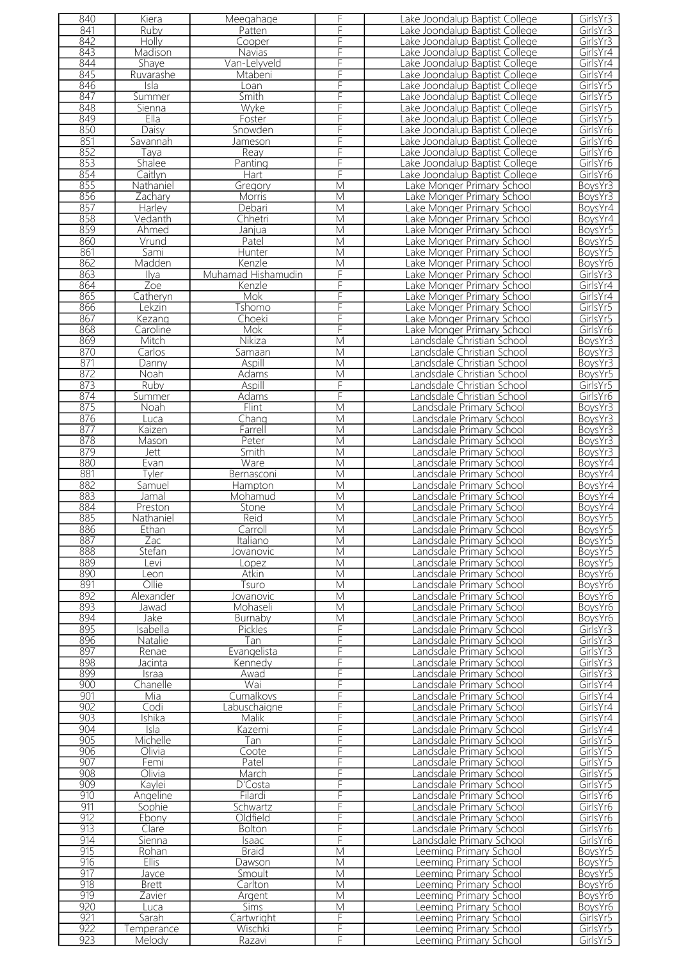| 840 | Kiera        | Meegahage          | F                       | Lake Joondalup Baptist College | GirlsYr3 |
|-----|--------------|--------------------|-------------------------|--------------------------------|----------|
| 841 | Ruby         | Patten             | F                       | Lake Joondalup Baptist College | GirlsYr3 |
| 842 | Holly        | Cooper             | F                       | Lake Joondalup Baptist College | GirlsYr3 |
| 843 |              |                    | F                       |                                |          |
|     | Madison      | Navias             |                         | Lake Joondalup Baptist College | GirlsYr4 |
| 844 | Shaye        | Van-Lelyveld       | F                       | Lake Joondalup Baptist College | GirlsYr4 |
| 845 | Ruvarashe    | Mtabeni            |                         | Lake Joondalup Baptist College | GirlsYr4 |
| 846 | Isla         | Loan               | F                       | Lake Joondalup Baptist College | GirlsYr5 |
| 847 | Summer       | Smith              | F                       | Lake Joondalup Baptist College | GirlsYr5 |
| 848 | Sienna       | Wyke               | F                       | Lake Joondalup Baptist College | GirlsYr5 |
| 849 | Ella         | Foster             | F                       | Lake Joondalup Baptist College | GirlsYr5 |
| 850 |              |                    |                         |                                |          |
|     | Daisy        | Snowden            | F                       | Lake Joondalup Baptist College | GirlsYr6 |
| 851 | Savannah     | Jameson            | F                       | Lake Joondalup Baptist College | GirlsYr6 |
| 852 | Taya         | Reay               | F                       | Lake Joondalup Baptist College | GirlsYr6 |
| 853 | Shalee       | Panting            | F                       | Lake Joondalup Baptist College | GirlsYr6 |
| 854 | Caitlyn      | Hart               | F                       | Lake Joondalup Baptist College | GirlsYr6 |
| 855 | Nathaniel    | Gregory            | $\overline{\mathsf{M}}$ | Lake Monger Primary School     | BoysYr3  |
| 856 | Zachary      | Morris             | M                       | Lake Monger Primary School     | BoysYr3  |
| 857 |              |                    | M                       |                                | BoysYr4  |
|     | Harley       | Debari             |                         | Lake Monger Primary School     |          |
| 858 | Vedanth      | Chhetri            | $\overline{\mathsf{M}}$ | ake Monger Primary School      | BoysYr4  |
| 859 | Ahmed        | Janjua             | $\overline{M}$          | Lake Monger Primary School     | BoysYr5  |
| 860 | Vrund        | Patel              | M                       | ake Monger Primary School      | BoysYr5  |
| 861 | Sami         | Hunter             | $\overline{M}$          | Lake Monger Primary School     | BoysYr5  |
| 862 | Madden       | Kenzle             | M                       | Lake Monger Primary School     | BoysYr6  |
| 863 | Ilya         | Muhamad Hishamudin | F                       | ake Monger Primary School      | GirlsYr3 |
| 864 | Zoe          | Kenzle             | F                       | Lake Monger Primary School     | GirlsYr4 |
|     |              |                    |                         |                                |          |
| 865 | Catheryn     | Mok                | F                       | ake Monger Primary School      | GirlsYr4 |
| 866 | Lekzin       | Tshomo             | F                       | ake Monger Primary School      | GirlsYr5 |
| 867 | Kezang       | Choeki             | F                       | ake Monger Primary School      | GirlsYr5 |
| 868 | Caroline     | Mok                | F                       | ake Monger Primary School      | GirlsYr6 |
| 869 | Mitch        | Nikiza             | M                       | Landsdale Christian School     | BoysYr3  |
| 870 | Carlos       | <u>Samaan</u>      | M                       | andsdale Christian School      | BoysYr3  |
| 871 | Danny        | Aspill             | $\overline{\mathsf{M}}$ | andsdale Christian School      | BoysYr3  |
|     |              |                    |                         |                                |          |
| 872 | Noah         | <b>Adams</b>       | $\overline{M}$          | andsdale Christian School      | BoysYr5  |
| 873 | Ruby         | <b>Aspill</b>      | F                       | andsdale Christian School      | GirlsYr5 |
| 874 | Summer       | Adams              | F                       | andsdale Christian School      | GirlsYr6 |
| 875 | <b>Noah</b>  | Flint              | M                       | andsdale Primary School        | BoysYr3  |
| 876 | Luca         | Chang              | $\overline{\mathsf{M}}$ | andsdale Primary School        | BoysYr3  |
| 877 | Kaizen       | Farrell            | $\overline{\mathsf{M}}$ | andsdale Primary School        | BoysYr3  |
| 878 | Mason        | Peter              | $\overline{\mathsf{M}}$ | andsdale Primary School        | BoysYr3  |
|     |              |                    |                         |                                |          |
| 879 | Jett         | Smith              | $\overline{\mathsf{M}}$ | andsdale Primary School        | BoysYr3  |
| 880 | Evan         | Ware               | $\overline{\mathsf{M}}$ | andsdale Primary School        | BoysYr4  |
| 881 | Tyler        | Bernasconi         | M                       | andsdale Primary School        | BoysYr4  |
| 882 | Samuel       | Hampton            | $\overline{\mathsf{M}}$ | andsdale Primary School        | BoysYr4  |
| 883 | Jamal        | Mohamud            | M                       | andsdale Primary School        | BoysYr4  |
| 884 | Preston      | Stone              | $\overline{\mathsf{M}}$ | andsdale Primary School        | BoysYr4  |
| 885 | Nathaniel    | Reid               | M                       | andsdale Primary School        | BoysYr5  |
|     |              |                    |                         |                                |          |
| 886 | Ethan        | Carroll            | M                       | andsdale Primary School        | BoysYr5  |
| 887 | Zac          | Italiano           | M                       | andsdale Primary School        | BoysYr5  |
| 888 | Stefan       | lovanovic          | M                       | andsdale Primary School        | BovsYr5  |
| 889 | Levi         | Lopez              | M                       | andsdale Primary School        | BoysYr5  |
| 890 | Leon         | Atkin              | $\overline{M}$          | andsdale Primary School        | BoysYr6  |
| 891 | Ollie        | Tsuro              | M                       | andsdale Primary School        | BoysYr6  |
| 892 | Alexander    | lovanovic          | $\overline{\mathsf{M}}$ | andsdale Primary School        | BoysYr6  |
| 893 | Jawad        | Mohaseli           | M                       | andsdale Primary School        | BoysYr6  |
|     |              |                    |                         |                                |          |
| 894 | Jake         | Burnaby            | M                       | andsdale Primary School        | BoysYr6  |
| 895 | sabella      | Pickles            | F                       | andsdale Primary School        | GirlsYr3 |
| 896 | Natalie      | Tan                | F                       | andsdale Primary School        | GirlsYr3 |
| 897 | Renae        | Evangelista        | F                       | andsdale Primary School        | GirlsYr3 |
| 898 | Jacinta      | Kennedy            | F                       | andsdale Primary School        | GirlsYr3 |
| 899 | Israa        | Awad               | F                       | andsdale Primary School        | GirlsYr3 |
| 900 | Chanelle     | Wai                | F                       | andsdale Primary School        | GirlsYr4 |
| 901 | Mia          | Cumalkovs          | F                       | andsdale Primary School        | GirlsYr4 |
| 902 | Codi         | Labuschaigne       | F                       | andsdale Primary School        | GirlsYr4 |
|     |              |                    |                         |                                |          |
| 903 | Ishika       | Malik              | F                       | andsdale Primary School        | GirlsYr4 |
| 904 | Isla         | Kazemi             | F                       | andsdale Primary School        | GirlsYr4 |
| 905 | Michelle     | Tan                | F                       | andsdale Primary School        | GirlsYr5 |
| 906 | Olivia       | Coote              | F                       | andsdale Primary School        | GirlsYr5 |
| 907 | Femi         | Patel              | F                       | andsdale Primary School        | GirlsYr5 |
| 908 | Olivia       | March              | F                       | andsdale Primary School        | GirlsYr5 |
| 909 | Kavlei       | D'Costa            | F                       | andsdale Primary School        | GirlsYr5 |
| 910 | Angeline     | Filardi            | F                       | andsdale Primary School        | GirlsYr6 |
| 911 |              |                    | F                       |                                |          |
|     | Sophie       | Schwartz           |                         | andsdale Primary School        | GirlsYr6 |
| 912 | Ebony        | Oldfield           | F                       | andsdale Primary School        | GirlsYr6 |
| 913 | Clare        | <b>Bolton</b>      | F                       | andsdale Primary School        | GirlsYr6 |
| 914 | Sienna       | Isaac              | F                       | andsdale Primary School        | GirlsYr6 |
| 915 | Rohan        | <b>Braid</b>       | M                       | Leeming Primary School         | BoysYr5  |
| 916 | Ellis        | Dawson             | M                       | eeming Primary School          | BoysYr5  |
| 917 | Jayce        | Smoult             | M                       | eeming Primary School          | BoysYr5  |
| 918 | <b>Brett</b> | Carlton            | M                       | eeming Primary School          | BoysYr6  |
|     |              |                    |                         |                                |          |
| 919 | Zavier       | Argent             | M                       | eeming Primary School          | BoysYr6  |
| 920 | Luca         | <b>Sims</b>        | М                       | eeming Primary School          | BoysYr6  |
| 921 | Sarah        | Cartwright         | F                       | eeming Primary School          | GirlsYr5 |
| 922 | Temperance   | Wischki            | F                       | eeming Primary School          | GirlsYr5 |
| 923 | Melody       | Razavi             | F                       | eeming Primary School          | GirlsYr5 |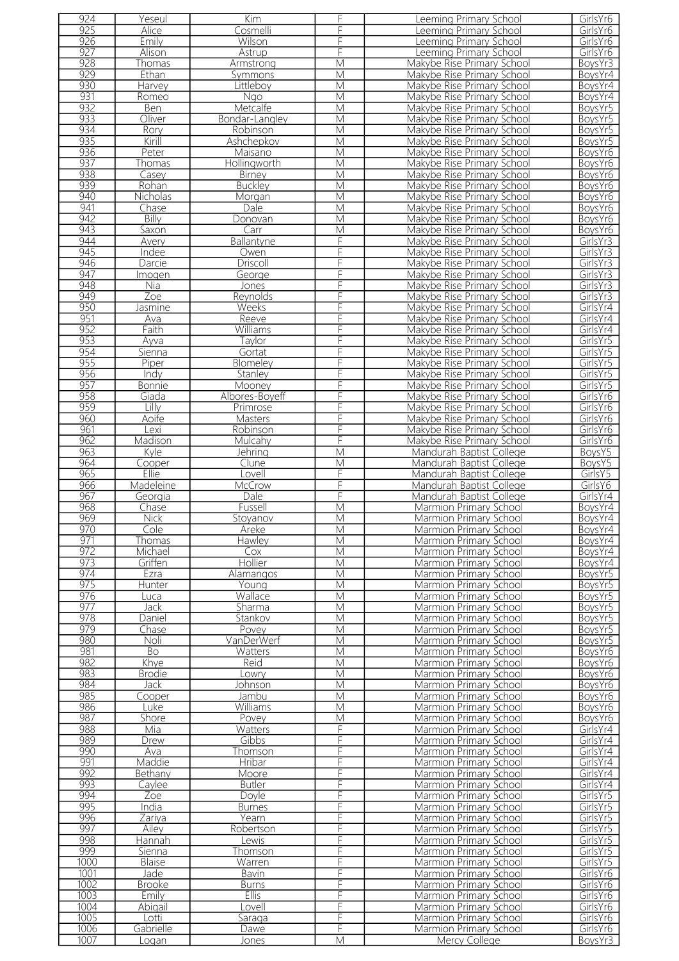| 924  | Yeseul         | Kim            | F                       | Leeming Primary School        | GirlsYr6 |
|------|----------------|----------------|-------------------------|-------------------------------|----------|
| 925  | Alice          | Cosmelli       | F                       | eeming Primary School         | GirlsYr6 |
| 926  | Emily          | Wilson         | F                       | eeming Primary School         | GirlsYr6 |
| 927  | Alison         | Astrup         | $\overline{F}$          | Leeming Primary School        | GirlsYr6 |
| 928  | Thomas         | Armstrong      | M                       | Makybe Rise Primary School    | BoysYr3  |
| 929  | Ethan          |                | M                       |                               | BoysYr4  |
|      |                | Symmons        |                         | Makybe Rise Primary School    |          |
| 930  | Harvey         | Littlebov      | M                       | Makybe Rise Primary School    | BoysYr4  |
| 931  | Romeo          | Ngo            | $\overline{M}$          | Makybe Rise Primary School    | BoysYr4  |
| 932  | Ben            | Metcalfe       | M                       | Makybe Rise Primary School    | BoysYr5  |
| 933  | Oliver         | Bondar-Langley | $\overline{\mathsf{M}}$ | Makybe Rise Primary School    | BoysYr5  |
| 934  | Rory           | Robinson       | $\overline{\mathsf{M}}$ | Makybe Rise Primary School    | BoysYr5  |
| 935  | Kirill         | Ashchepkov     | $\overline{\mathsf{M}}$ | Makybe Rise Primary School    | BoysYr5  |
| 936  | Peter          | Maisano        | M                       | Makybe Rise Primary School    | BoysYr6  |
| 937  |                |                | $\overline{\mathsf{M}}$ |                               |          |
|      | <b>Thomas</b>  | Hollingworth   |                         | Makybe Rise Primary School    | BoysYr6  |
| 938  | Casey          | Birney         | M                       | Makybe Rise Primary School    | BoysYr6  |
| 939  | Rohan          | <b>Buckley</b> | $\overline{\mathsf{M}}$ | Makybe Rise Primary School    | BoysYr6  |
| 940  | Nicholas       | Morgan         | M                       | Makybe Rise Primary School    | BoysYr6  |
| 941  | Chase          | Dale           | M                       | Makybe Rise Primary School    | BoysYr6  |
| 942  | Billy          | Donovan        | M                       | Makybe Rise Primary School    | BoysYr6  |
| 943  | Saxon          | Carr           | M                       | Makybe Rise Primary School    | BoysYr6  |
| 944  | Avery          | Ballantyne     | F                       | Makybe Rise Primary School    | GirlsYr3 |
| 945  |                |                | F                       |                               | GirlsYr3 |
|      | Indee          | Owen           |                         | Makybe Rise Primary School    |          |
| 946  | Darcie         | Driscoll       | F                       | Makybe Rise Primary School    | GirlsYr3 |
| 947  | Imogen         | George         | F                       | Makybe Rise Primary School    | GirlsYr3 |
| 948  | Nia            | Jones          | F                       | Makybe Rise Primary School    | GirlsYr3 |
| 949  | Zoe            | Reynolds       | F                       | Makybe Rise Primary School    | GirlsYr3 |
| 950  | <u>lasmine</u> | Weeks          | F                       | Makybe Rise Primary School    | GirlsYr4 |
| 951  | Ava            | Reeve          | F                       | Makybe Rise Primary School    | GirlsYr4 |
| 952  | Faith          | Williams       | F                       | Makybe Rise Primary School    | GirlsYr4 |
| 953  |                |                | F                       |                               |          |
|      | Ayva           | Taylor         |                         | Makybe Rise Primary School    | GirlsYr5 |
| 954  | <u>Sienna</u>  | Gortat         | F                       | Makybe Rise Primary School    | GirlsYr5 |
| 955  | Piper          | Blomeley       | F                       | Makybe Rise Primary School    | GirlsYr5 |
| 956  | Indy           | Stanley        | F                       | Makybe Rise Primary School    | GirlsYr5 |
| 957  | <b>Bonnie</b>  | Mooney         | F                       | Makybe Rise Primary School    | GirlsYr5 |
| 958  | Giada          | Albores-Boyeff | F                       | Makybe Rise Primary School    | GirlsYr6 |
| 959  | Lilly          | Primrose       | F                       | Makybe Rise Primary School    | GirlsYr6 |
| 960  | Aoife          | Masters        | F                       | Makybe Rise Primary School    | GirlsYr6 |
|      |                |                |                         |                               |          |
| 961  | Lexi           | Robinson       | F                       | Makybe Rise Primary School    | GirlsYr6 |
| 962  | Madison        | Mulcahy        | F                       | Makybe Rise Primary School    | GirlsYr6 |
| 963  | Kyle           | Jehring        | $\overline{\mathsf{M}}$ | Mandurah Baptist College      | BoysY5   |
| 964  | Cooper         | Clune          | $\overline{\mathsf{M}}$ | Mandurah Baptist College      | BoysY5   |
| 965  | Ellie          | Lovell         | F                       | Mandurah Baptist College      | GirlsY5  |
| 966  | Madeleine      | McCrow         | $\overline{F}$          | Mandurah Baptist College      | GirlsY6  |
| 967  | Georgia        | Dale           | F                       | Mandurah Baptist College      | GirlsYr4 |
| 968  | Chase          | Fussell        | $\overline{\mathsf{M}}$ | Marmion Primary School        | BoysYr4  |
| 969  |                |                | M                       |                               |          |
|      | <b>Nick</b>    | Stoyanov       |                         | Marmion Primary School        | BoysYr4  |
| 970  | Cole           | Areke          | M                       | Marmion Primary School        | BoysYr4  |
| 971  | Thomas         | Hawley         | M                       | Marmion Primary School        | BoysYr4  |
| 972  | Michael        | Cox            | M                       | Marmion Primary School        | BoysYr4  |
| 973  | Griffen        | Hollier        | M                       | Marmion Primary School        | BoysYr4  |
| 974  | Ezra           | Alamangos      | $\overline{M}$          | Marmion Primary School        | BoysYr5  |
| 975  | Hunter         | Youna          | M                       | Marmion Primary School        | BoysYr5  |
| 976  | Luca           | Wallace        | $\overline{\mathsf{M}}$ | Marmion Primary School        | BoysYr5  |
| 977  | <b>Jack</b>    | Sharma         | M                       | Marmion Primary School        | BoysYr5  |
|      |                |                |                         |                               |          |
| 978  | Daniel         | Stankov        | M                       | Marmion Primary School        | BoysYr5  |
| 979  | Chase          | Povey          | M                       | Marmion Primary School        | BoysYr5  |
| 980  | Noli           | VanDerWerf     | M                       | Marmion Primary School        | BoysYr5  |
| 981  | Bo             | Watters        | M                       | Marmion Primary School        | BoysYr6  |
| 982  | Khye           | Reid           | M                       | Marmion Primary School        | BoysYr6  |
| 983  | <b>Brodie</b>  | LOWITY         | M                       | Marmion Primary School        | BoysYr6  |
| 984  | Jack           | Johnson        | M                       | Marmion Primary School        | BoysYr6  |
| 985  | Cooper         | Jambu          | M                       | Marmion Primary School        | BoysYr6  |
| 986  | Luke           | Williams       | М                       | Marmion Primary School        | BoysYr6  |
| 987  | Shore          | Povey          | M                       | Marmion Primary School        | BoysYr6  |
|      |                |                |                         |                               |          |
| 988  | Mia            | Watters        | F                       | Marmion Primary School        | GirlsYr4 |
| 989  | Drew           | Gibbs          | F                       | Marmion Primary School        | GirlsYr4 |
| 990  | Ava            | Thomson        | F                       | Marmion Primary School        | GirlsYr4 |
| 991  | Maddie         | Hribar         | F                       | Marmion Primary School        | GirlsYr4 |
| 992  | Bethany        | Moore          | F                       | <b>Marmion Primary School</b> | GirlsYr4 |
| 993  | Caylee         | <b>Butler</b>  | F                       | Marmion Primary School        | GirlsYr4 |
| 994  | Zoe            | Doyle          | F                       | Marmion Primary School        | GirlsYr5 |
| 995  | India          | <b>Burnes</b>  | F                       | Marmion Primary School        | GirlsYr5 |
| 996  |                |                |                         |                               |          |
|      | Zariya         | Yearn          | F                       | Marmion Primary School        | GirlsYr5 |
| 997  | Ailey          | Robertson      | F                       | Marmion Primary School        | GirlsYr5 |
| 998  | Hannah         | Lewis          | F                       | Marmion Primary School        | GirlsYr5 |
| 999  | Sienna         | Thomson        | F                       | Marmion Primary School        | GirlsYr5 |
| 1000 | Blaise         | Warren         | F                       | Marmion Primary School        | GirlsYr5 |
| 1001 | Jade           | Bavin          | F                       | Marmion Primary School        | GirlsYr6 |
| 1002 | <b>Brooke</b>  | <b>Burns</b>   | F                       | Marmion Primary School        | GirlsYr6 |
| 1003 | Emily          | <b>Ellis</b>   | F                       | Marmion Primary School        | GirlsYr6 |
| 1004 | Abigail        | Lovell         | F                       | Marmion Primary School        | GirlsYr6 |
| 1005 | Lotti          |                | F                       | Marmion Primary School        |          |
|      |                | <u>Saraga</u>  |                         |                               | GirlsYr6 |
| 1006 | Gabrielle      | Dawe           | F                       | Marmion Primary School        | GirlsYr6 |
| 1007 | Logan          | Jones          | $\overline{\mathsf{M}}$ | Mercy College                 | BoysYr3  |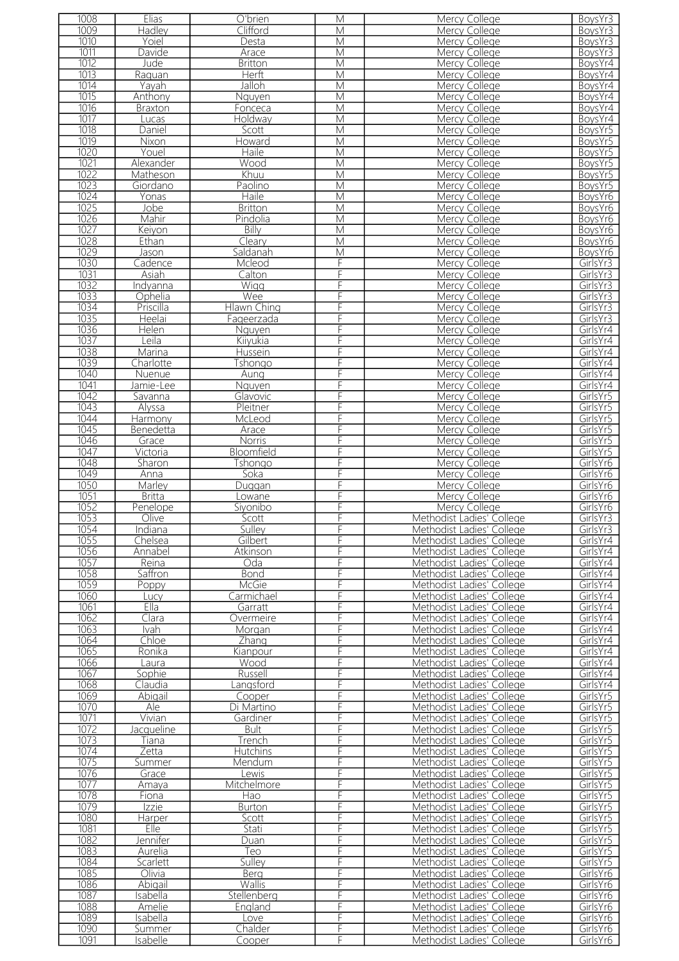| 1008              | Elias          | O'brien            | M              | <b>Mercy College</b>      | BoysYr3  |
|-------------------|----------------|--------------------|----------------|---------------------------|----------|
| 1009              | Hadley         | Clifford           | $\overline{M}$ | Mercy College             | BoysYr3  |
| 1010              | Yoiel          | Desta              | $\overline{M}$ | Mercy College             | BoysYr3  |
| 1011              |                |                    | M              |                           |          |
|                   | Davide         | Arace              |                | Mercy College             | BoysYr3  |
| 1012              | Jude           | <b>Britton</b>     | M              | Mercy College             | BoysYr4  |
| 1013              | Raquan         | <b>Herft</b>       | $\overline{M}$ | Mercy College             | BoysYr4  |
| 1014              | Yayah          | Jalloh             | M              | Mercy College             | BoysYr4  |
| 1015              | Anthony        | Nguyen             | $\overline{M}$ | Mercy College             | BoysYr4  |
| 1016              | <b>Braxton</b> | Fonceca            | $\overline{M}$ | Mercy College             | BoysYr4  |
| 1017              | Lucas          | <b>Holdway</b>     | M              | Mercy College             | BoysYr4  |
| 1018              |                |                    |                |                           |          |
|                   | Daniel         | Scott              | M              | Mercy College             | BoysYr5  |
| 1019              | Nixon          | Howard             | $\overline{M}$ | Mercy College             | BoysYr5  |
| 1020              | Youel          | <b>Haile</b>       | M              | Mercy College             | BoysYr5  |
| 1021              | Alexander      | Wood               | M              | Mercy College             | BoysYr5  |
| $\overline{1022}$ | Matheson       | Khuu               | M              | Mercy College             | BoysYr5  |
| 1023              | Giordano       | Paolino            | M              | Mercy College             | BoysYr5  |
| 1024              | Yonas          | <b>Haile</b>       | $\overline{M}$ | Mercy College             | BoysYr6  |
| 1025              | Jobe           | <b>Britton</b>     | M              | Mercy College             | BoysYr6  |
|                   |                |                    |                |                           |          |
| 1026              | Mahir          | Pindolia           | M              | Mercy College             | BoysYr6  |
| 1027              | Keiyon         | Billy              | M              | Mercy College             | BoysYr6  |
| 1028              | Ethan          | Cleary             | M              | Mercy College             | BoysYr6  |
| 1029              | Jason          | Saldanah           | M              | Mercy College             | BoysYr6  |
| 1030              | Cadence        | Mcleod             | F              | Mercy College             | GirlsYr3 |
| 1031              | Asiah          | Calton             | F              | Mercy College             | GirlsYr3 |
| 1032              | Indvanna       | Wigg               | F              |                           | GirlsYr3 |
|                   |                |                    | F              | Mercy College             | GirlsYr3 |
| 1033              | Ophelia        | Wee                |                | Mercy College             |          |
| 1034              | Priscilla      | <b>Hlawn Ching</b> | F              | <b>Mercy College</b>      | GirlsYr3 |
| 1035              | Heelai         | Fageerzada         |                | Mercy College             | GirlsYr3 |
| 1036              | Helen          | Nguyen             | F              | Mercy College             | GirlsYr4 |
| 1037              | Leila          | Kiiyukia           | F              | Mercy College             | GirlsYr4 |
| 1038              | Marina         | Hussein            | F              | Mercy College             | GirlsYr4 |
| 1039              | Charlotte      | Tshongo            | F              | Mercy College             | GirlsYr4 |
| 1040              | <b>Nuenue</b>  | Aung               | F              | Mercy College             | GirlsYr4 |
|                   |                |                    |                |                           |          |
| 1041              | Jamie-Lee      | Nguyen             | F              | Mercy College             | GirlsYr4 |
| 1042              | Savanna        | Glavovic           | F              | Mercy College             | GirlsYr5 |
| 1043              | Alyssa         | Pleitner           | F              | Mercy College             | GirlsYr5 |
| 1044              | Harmony        | McLeod             | F              | Mercy College             | GirlsYr5 |
| 1045              | Benedetta      | Arace              | F              | Mercy College             | GirlsYr5 |
| 1046              | Grace          | <b>Norris</b>      | F              | Mercy College             | GirlsYr5 |
| 1047              | Victoria       | Bloomfield         | F              | Mercy College             | GirlsYr5 |
| 1048              |                |                    | F              | Mercy College             | GirlsYr6 |
|                   | Sharon         | Tshongo            |                |                           |          |
| 1049              | Anna           | Soka               | F              | Mercy College             | GirlsYr6 |
| 1050              | Marley         | Duggan             | F              | Mercy College             | GirlsYr6 |
| 1051              | <b>Britta</b>  | Lowane             | F              | Mercy College             | GirlsYr6 |
| 1052              | Penelope       | Siyonibo           |                | Mercy College             | GirlsYr6 |
| 1053              | Olive          | Scott              | F              | Methodist Ladies' College | GirlsYr3 |
| 1054              | Indiana        | Sulley             |                | Methodist Ladies' College | GirlsYr3 |
| 1055              | Chelsea        | Gilbert            |                | Methodist Ladies' College | GirlsYr4 |
| 1056              | Annabel        | Atkinson           |                | Methodist Ladies' College | GirlsYr4 |
|                   |                |                    |                |                           |          |
| 1057              | Reina          | Oda                | F              | Methodist Ladies' College | GirlsYr4 |
| 1058              | Saffron        | Bond               |                | Methodist Ladies' College | GirlsYr4 |
| 1059              | Poppy          | McGie              |                | Methodist Ladies' College | GirlsYr4 |
| 1060              | Lucv           | Carmichael         |                | Methodist Ladies' College | GirlsYr4 |
| 1061              | Ella           | Garratt            | F              | Methodist Ladies' College | GirlsYr4 |
| 1062              | Clara          | Overmeire          | F              | Methodist Ladies' College | GirlsYr4 |
| 1063              | Ivah           | Morgan             | F              | Methodist Ladies' College | GirlsYr4 |
| 1064              | <b>Chloe</b>   | Zhang              |                | Methodist Ladies' College | GirlsYr4 |
| 1065              | Ronika         | Kianpour           | F              | Methodist Ladies' College | GirlsYr4 |
|                   |                |                    |                |                           |          |
| 1066              | Laura          | Wood               | F              | Methodist Ladies' College | GirlsYr4 |
| 1067              | Sophie         | Russell            | F              | Methodist Ladies' College | GirlsYr4 |
| 1068              | Claudia        | angsford           | F              | Methodist Ladies' College | GirlsYr4 |
| 1069              | Abigail        | Cooper             | F              | Methodist Ladies' College | GirlsYr5 |
| 1070              | Ale            | Di Martino         | F              | Methodist Ladies' College | GirlsYr5 |
| 1071              | Vivian         | Gardiner           | F              | Methodist Ladies' College | GirlsYr5 |
| 1072              | Jacqueline     | <b>Bult</b>        | F              | Methodist Ladies' College | GirlsYr5 |
| 1073              | Tiana          | Trench             | F              | Methodist Ladies' College | GirlsYr5 |
| 1074              | Zetta          | <b>Hutchins</b>    | F              | Methodist Ladies' College | GirlsYr5 |
|                   |                |                    | F              |                           |          |
| 1075              | Summer         | Mendum             |                | Methodist Ladies' College | GirlsYr5 |
| 1076              | Grace          | Lewis              | F              | Methodist Ladies' College | GirlsYr5 |
| 1077              | Amaya          | Mitchelmore        | F              | Methodist Ladies' College | GirlsYr5 |
| 1078              | Fiona          | Hao                | F              | Methodist Ladies' College | GirlsYr5 |
| 1079              | Izzie          | <b>Burton</b>      | F              | Methodist Ladies' College | GirlsYr5 |
| 1080              | Harper         | Scott              |                | Methodist Ladies' College | GirlsYr5 |
| 1081              | Elle           | Stati              |                | Methodist Ladies' College | GirlsYr5 |
| 1082              | Jennifer       | Duan               | F              | Methodist Ladies' College | GirlsYr5 |
| $\overline{1083}$ | Aurelia        | Teo                | F              | Methodist Ladies' College | GirlsYr5 |
|                   |                |                    |                |                           |          |
| 1084              | Scarlett       | Sulley             |                | Methodist Ladies' College | GirlsYr5 |
| 1085              | Olivia         | <b>Berg</b>        |                | Methodist Ladies' College | GirlsYr6 |
| 1086              | Abigail        | Wallis             | F              | Methodist Ladies' College | GirlsYr6 |
| 1087              | Isabella       | Stellenberg        | F              | Methodist Ladies' College | GirlsYr6 |
| 1088              | Amelie         | England            | F              | Methodist Ladies' College | GirlsYr6 |
| 1089              | Isabella       | Love               | F              | Methodist Ladies' College | GirlsYr6 |
| 1090              | <b>Summer</b>  | Chalder            | F              | Methodist Ladies' College | GirlsYr6 |
| 1091              | Isabelle       | Cooper             | F              | Methodist Ladies' College | GirlsYr6 |
|                   |                |                    |                |                           |          |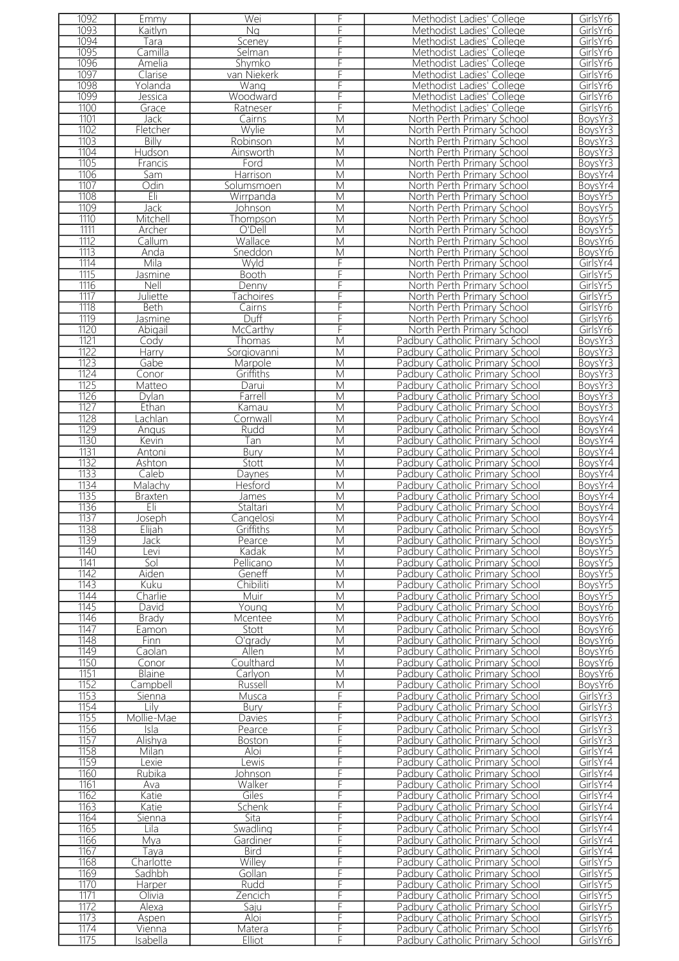| 1092         | Emmy               | Wei              | F                       | Methodist Ladies' College                                          | GirlsYr6             |
|--------------|--------------------|------------------|-------------------------|--------------------------------------------------------------------|----------------------|
| 1093         | Kaitlyn            | Ng               | F                       | Methodist Ladies' College                                          | GirlsYr6             |
|              |                    |                  |                         |                                                                    |                      |
| 1094         | Tara               | Sceney           | F                       | Methodist Ladies' College                                          | GirlsYr6             |
| 1095         | Camilla            | Selman           | F                       | Methodist Ladies' College                                          | GirlsYr6             |
| 1096         | Amelia             | Shymko           | F                       | Methodist Ladies' College                                          | GirlsYr6             |
| 1097         |                    |                  | F                       |                                                                    | GirlsYr6             |
|              | Clarise            | van Niekerk      |                         | Methodist Ladies' College                                          |                      |
| 1098         | Yolanda            | Wang             | F                       | Methodist Ladies' College                                          | GirlsYr6             |
| 1099         | Jessica            | Woodward         | F                       | Methodist Ladies' College                                          | GirlsYr6             |
| 1100         | Grace              | Ratneser         | F                       | Methodist Ladies' College                                          | GirlsYr6             |
|              |                    |                  |                         |                                                                    |                      |
| 1101         | Jack               | Cairns           | $\overline{\mathsf{M}}$ | North Perth Primary School                                         | BoysYr3              |
| 1102         | Fletcher           | Wylie            | $\overline{M}$          | North Perth Primary School                                         | BoysYr3              |
| 1103         | Billy              | Robinson         | $\overline{\mathsf{M}}$ | North Perth Primary School                                         | BoysYr3              |
| 1104         | Hudson             | Ainsworth        | $\overline{\mathsf{M}}$ | North Perth Primary School                                         | BoysYr3              |
|              |                    |                  |                         |                                                                    |                      |
| 1105         | Francis            | Ford             | M                       | North Perth Primary School                                         | BoysYr3              |
| 1106         | Sam                | Harrison         | M                       | North Perth Primary School                                         | BoysYr4              |
| 1107         | Odin               | Solumsmoen       | M                       | North Perth Primary School                                         | BoysYr4              |
| 1108         | Eli                |                  | $\overline{\mathsf{M}}$ |                                                                    |                      |
|              |                    | Wirrpanda        |                         | North Perth Primary School                                         | BoysYr5              |
| 1109         | Jack               | Johnson          | M                       | North Perth Primary School                                         | BoysYr5              |
| 1110         | Mitchell           | Thompson         | $\overline{M}$          | North Perth Primary School                                         | BoysYr5              |
| 1111         | Archer             | O'Dell           | M                       | North Perth Primary School                                         | BoysYr5              |
| 1112         |                    |                  |                         |                                                                    |                      |
|              | Callum             | Wallace          | $\overline{M}$          | North Perth Primary School                                         | BoysYr6              |
| 1113         | Anda               | Sneddon          | M                       | North Perth Primary School                                         | BoysYr6              |
| 1114         | Mila               | Wyld             | F                       | North Perth Primary School                                         | GirlsYr4             |
| 1115         |                    | Booth            | F                       |                                                                    | GirlsYr5             |
|              | lasmine            |                  |                         | North Perth Primary School                                         |                      |
| 1116         | Nell               | Denny            | F                       | North Perth Primary School                                         | GirlsYr5             |
| 1117         | Juliette           | achoires         | F                       | North Perth Primary School                                         | GirlsYr5             |
| 1118         | Beth               | Cairns           | F                       | North Perth Primary School                                         | GirlsYr6             |
|              |                    |                  |                         |                                                                    |                      |
| 1119         | Jasmine            | Duff             | F                       | North Perth Primary School                                         | GirlsYr6             |
| 1120         | Abigail            | McCarthy         | F                       | North Perth Primary School                                         | GirlsYr6             |
| 1121         | Cody               | Thomas           | $\overline{\mathsf{M}}$ | Padbury Catholic Primary School                                    | BoysYr3              |
| 1122         | Harry              | Sorgiovanni      | M                       | Padbury Catholic Primary School                                    | BoysYr3              |
|              |                    |                  |                         |                                                                    |                      |
| 1123         | Gabe               | Marpole          | M                       | Padbury Catholic Primary School                                    | BoysYr3              |
| 1124         | Conor              | Griffiths        | M                       | Padbury Catholic Primary School                                    | BoysYr3              |
| 1125         | Matteo             | Darui            | M                       | Padbury Catholic Primary School                                    | BoysYr3              |
| 1126         |                    |                  | M                       |                                                                    |                      |
|              | Dylan              | Farrell          |                         | Padbury Catholic Primary School                                    | BoysYr3              |
| 1127         | Ethan              | Kamau            | M                       | Padbury Catholic Primary School                                    | BoysYr3              |
| 1128         | achlan             | Cornwall         | $\overline{\mathsf{M}}$ | Padbury Catholic Primary School                                    | BoysYr4              |
| 1129         | Angus              | Rudd             | $\overline{\mathsf{M}}$ | Padbury Catholic Primary School                                    | BoysYr4              |
|              |                    |                  |                         |                                                                    |                      |
| 1130         | Kevin              | Tan              | M                       | Padbury Catholic Primary School                                    | BoysYr4              |
| 1131         | Antoni             | Bury             | $\overline{M}$          | Padbury Catholic Primary School                                    | BoysYr4              |
| 1132         | Ashton             | Stott            | M                       | Padbury Catholic Primary School                                    | BoysYr4              |
| 1133         | Caleb              | Daynes           | $\overline{\mathsf{M}}$ | Padbury Catholic Primary School                                    | BoysYr4              |
|              |                    |                  |                         |                                                                    |                      |
| 1134         | Malachy            | Hesford          | M                       | Padbury Catholic Primary School                                    | BoysYr4              |
| 1135         | Braxten            | James            | M                       | Padbury Catholic Primary School                                    | BoysYr4              |
| 1136         | Eli                | Staltari         | M                       | Padbury Catholic Primary School                                    | BoysYr4              |
|              |                    |                  | M                       |                                                                    |                      |
| 1137         | Joseph             | Cangelosi        |                         | Padbury Catholic Primary School                                    | BoysYr4              |
| 1138         | Elijah             | Grittiths        | M                       | Padbury Catholic Primary School                                    | BoysYr5              |
| 1139         | Jack               | Pearce           | M                       | Padbury Catholic Primary School                                    | BoysYr5              |
| 1140         | Levi               | Kadak            | M                       | Padbury Catholic Primary School                                    | BoysYr5              |
|              |                    |                  |                         |                                                                    |                      |
| 1141         | Sol                | Pellicano        | M                       | Padbury Catholic Primary School                                    | BoysYr5              |
| 1142         | Aiden              | Geneff           | M                       | Padbury Catholic Primary School                                    | BoysYr5              |
| 1143         | Kuku               | Chibiliti        | М                       | Padbury Catholic Primary School                                    | BoysYr5              |
| 1144         | Charlie            | Muir             | M                       | Padbury Catholic Primary School                                    | BoysYr5              |
|              |                    |                  |                         |                                                                    |                      |
| 1145         | David              | Young            | M                       | Padbury Catholic Primary School                                    | BoysYr6              |
| 1146         | <b>Brady</b>       | Mcentee          | M                       | Padbury Catholic Primary School                                    | BoysYr6              |
| 1147         | Eamon              | Stott            | M                       | Padbury Catholic Primary School                                    | BoysYr6              |
| 1148         | <b>Finn</b>        | O'grady          | M                       | Padbury Catholic Primary School                                    | BoysYr6              |
|              |                    |                  |                         |                                                                    |                      |
| 1149         | Caolan             | Allen            | M                       | Padbury Catholic Primary School                                    | BoysYr6              |
| 1150         | Conor              | Coulthard        | M                       | Padbury Catholic Primary School                                    | BoysYr6              |
| 1151         | <b>Blaine</b>      | Carlyon          | М                       | Padbury Catholic Primary School                                    | BoysYr6              |
| 1152         | Campbell           | Russell          | M                       | Padbury Catholic Primary School                                    | BoysYr6              |
| 1153         |                    |                  | F                       | Padbury Catholic Primary School                                    | GirlsYr3             |
|              | Sienna             | Musca            |                         |                                                                    |                      |
| 1154         | Lilv               | Bury             | F                       | Padbury Catholic Primary School                                    | GirlsYr3             |
| 1155         | Mollie-Mae         | Davies           | F                       | Padbury Catholic Primary School                                    | GirlsYr3             |
| 1156         | Isla               | Pearce           | F                       | Padbury Catholic Primary School                                    | GirlsYr3             |
| 1157         |                    |                  | F                       |                                                                    |                      |
|              | Alishya            | <b>Boston</b>    |                         | Padbury Catholic Primary School                                    | GirlsYr3             |
| 1158         | Milan              | Aloi             | F                       | Padbury Catholic Primary School                                    | GirlsYr4             |
| 1159         | exie               | Lewis            | F                       | Padbury Catholic Primary School                                    | GirlsYr4             |
| 1160         | Rubika             | Johnson          | F                       | Padbury Catholic Primary School                                    | GirlsYr4             |
| 1161         |                    |                  |                         |                                                                    |                      |
|              | Ava                | Walker           | F                       | Padbury Catholic Primary School                                    | GirlsYr4             |
| 1162         | Katie              | Giles            | F                       | Padbury Catholic Primary School                                    | GirlsYr4             |
| 1163         | Katie              | Schenk           | F                       | Padbury Catholic Primary School                                    | GirlsYr4             |
| 1164         | Sienna             | Sita             | F                       | Padbury Catholic Primary School                                    | GirlsYr4             |
| 1165         |                    |                  | F                       |                                                                    |                      |
|              | Lila               | Swadling         |                         | Padbury Catholic Primary School                                    | GirlsYr4             |
| 1166         | Mya                | Gardiner         | F                       | Padbury Catholic Primary School                                    | GirlsYr4             |
| 1167         | Taya               | <b>Bird</b>      | F                       | Padbury Catholic Primary School                                    | GirlsYr4             |
| 1168         | Charlotte          | Willey           | F                       | Padbury Catholic Primary School                                    | GirlsYr5             |
|              |                    |                  |                         |                                                                    |                      |
| 1169         | Sadhbh             | Gollan           | F                       | Padbury Catholic Primary School                                    | GirlsYr5             |
| 1170         | Harper             | Rudd             | F                       | Padbury Catholic Primary School                                    | GirlsYr5             |
|              |                    |                  |                         | Padbury Catholic Primary School                                    |                      |
| 1171         | Olivia             | Zencich          | F                       |                                                                    | GirlsYr5             |
|              |                    |                  |                         |                                                                    |                      |
| 1172         | Alexa              | Saju             | F                       | Padbury Catholic Primary School                                    | GirlsYr5             |
| 1173         | Aspen              | Aloi             | F                       | Padbury Catholic Primary School                                    | GirlsYr5             |
| 1174<br>1175 | Vienna<br>Isabella | Matera<br>Elliot | F<br>F                  | Padbury Catholic Primary School<br>Padbury Catholic Primary School | GirlsYr6<br>GirlsYr6 |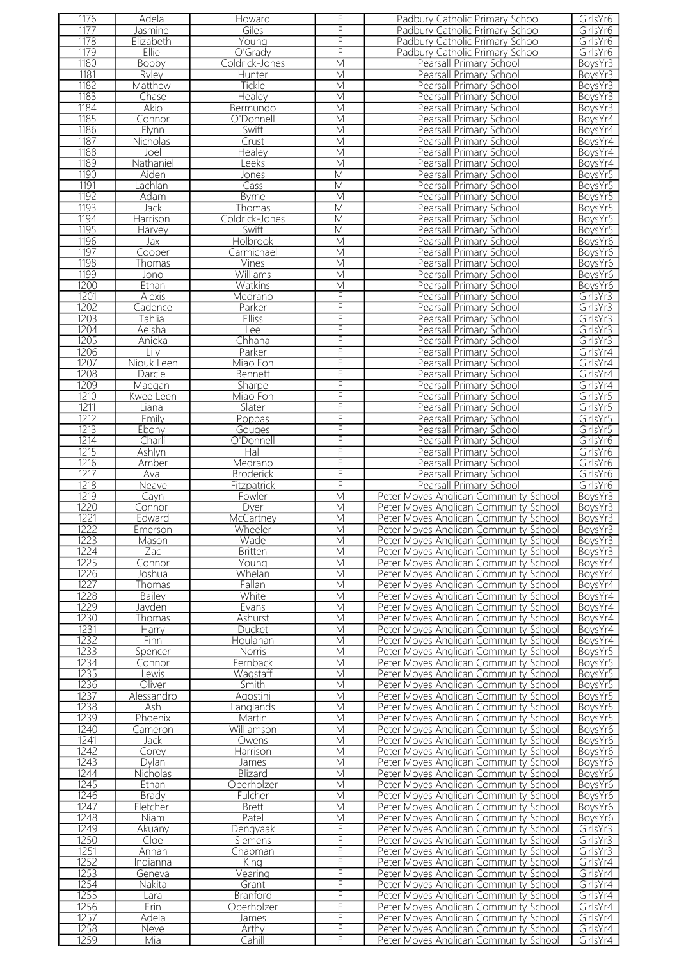| 1176 | Adela           | Howard           | F | Padbury Catholic Primary School       | GirlsYr6 |
|------|-----------------|------------------|---|---------------------------------------|----------|
| 1177 | Jasmine         | Giles            | F | Padbury Catholic Primary School       | GirlsYr6 |
|      |                 |                  |   |                                       |          |
| 1178 | Elizabeth       | Young            | F | Padbury Catholic Primary School       | GirlsYr6 |
| 1179 | Ellie           | O'Grady          | F | Padbury Catholic Primary School       | GirlsYr6 |
| 1180 | <b>Bobby</b>    | Coldrick-Jones   | M | Pearsall Primary School               | BoysYr3  |
|      |                 |                  |   |                                       |          |
| 1181 | Ryley           | Hunter           | M | Pearsall Primary School               | BoysYr3  |
| 1182 | Matthew         | <b>Tickle</b>    | M | Pearsall Primary School               | BoysYr3  |
| 1183 | Chase           | Healey           | M | Pearsall Primary School               | BoysYr3  |
| 1184 | Akio            | Bermundo         | M | Pearsall Primary School               | BoysYr3  |
|      |                 |                  |   |                                       |          |
| 1185 | Connor          | O'Donnell        | М | Pearsall Primary School               | BoysYr4  |
| 1186 | Flynn           | Swift            | M | Pearsall Primary School               | BoysYr4  |
| 1187 | <b>Nicholas</b> | Crust            | M | Pearsall Primary School               | BoysYr4  |
|      |                 |                  |   |                                       |          |
| 1188 | Joel            | Healey           | M | Pearsall Primary School               | BoysYr4  |
| 1189 | Nathaniel       | Leeks            | M | Pearsall Primary School               | BoysYr4  |
| 1190 | Aiden           | Jones            | М | Pearsall Primary School               | BoysYr5  |
| 1191 | achlan          | Cass             | M | Pearsall Primary School               | BoysYr5  |
| 1192 |                 |                  |   |                                       |          |
|      | Adam            | <b>Byrne</b>     | M | Pearsall Primary School               | BoysYr5  |
| 1193 | Jack            | Thomas           | М | Pearsall Primary School               | BoysYr5  |
| 1194 | Harrison        | Coldrick-Jones   | M | Pearsall Primary School               | BoysYr5  |
| 1195 | Harvey          | Swift            | М | Pearsall Primary School               | BoysYr5  |
|      |                 |                  |   |                                       |          |
| 1196 | Jax             | <b>Holbrook</b>  | M | Pearsall Primary School               | BoysYr6  |
| 1197 | Cooper          | Carmichael       | M | Pearsall Primary School               | BoysYr6  |
| 1198 | Thomas          | Vines            | M | Pearsall Primary School               | BoysYr6  |
| 1199 | Jono            | Williams         | M | Pearsall Primary School               | BoysYr6  |
|      |                 |                  |   |                                       |          |
| 1200 | Ethan           | Watkins          | M | Pearsall Primary School               | BoysYr6  |
| 1201 | <b>Alexis</b>   | Medrano          | F | Pearsall Primary School               | GirlsYr3 |
| 1202 | Cadence         | Parker           | F | Pearsall Primary School               | GirlsYr3 |
| 1203 | Tahlia          |                  | F | Pearsall Primary School               | GirlsYr3 |
|      |                 | <b>Elliss</b>    |   |                                       |          |
| 1204 | Aeisha          | ee               | F | Pearsall Primary School               | GirlsYr3 |
| 1205 | Anieka          | Chhana           | F | Pearsall Primary School               | GirlsYr3 |
| 1206 | Lilv            | Parker           | F | Pearsall Primary School               | GirlsYr4 |
|      |                 |                  |   |                                       |          |
| 1207 | Niouk Leen      | Miao Foh         | F | Pearsall Primary School               | GirlsYr4 |
| 1208 | Darcie          | Bennett          | F | Pearsall Primary School               | GirlsYr4 |
| 1209 | Maegan          | Sharpe           | F | Pearsall Primary School               | GirlsYr4 |
| 1210 | Kwee Leen       | Miao Foh         | F | Pearsall Primary School               | GirlsYr5 |
|      |                 |                  |   |                                       |          |
| 1211 | Liana           | Slater           | F | Pearsall Primary School               | GirlsYr5 |
| 1212 | Emily           | Poppas           | F | Pearsall Primary School               | GirlsYr5 |
| 1213 | Ebony           | Gouges           | F | Pearsall Primary School               | GirlsYr5 |
| 1214 | Charli          | O'Donnell        | F | Pearsall Primary School               | GirlsYr6 |
|      |                 |                  |   |                                       |          |
| 1215 | Ashlyn          | Hall             | F | Pearsall Primary School               | GirlsYr6 |
| 1216 | <u>Amber</u>    | Medrano          | F | Pearsall Primary School               | GirlsYr6 |
| 1217 | Ava             | <b>Broderick</b> | F | Pearsall Primary School               | GirlsYr6 |
| 1218 | Neave           | Fitzpatrick      | F | Pearsall Primary School               | GirlsYr6 |
|      |                 |                  |   |                                       |          |
| 1219 | Cayn            | Fowler           | M | Peter Moyes Anglican Community School | BoysYr3  |
| 1220 | Connor          | Dyer             | M | Peter Moyes Anglican Community School | BoysYr3  |
| 1221 | Edward          | McCartney        | M | Peter Moyes Anglican Community School | BoysYr3  |
| 1222 |                 |                  |   |                                       |          |
|      | Emerson         | Wheeler          | M | Peter Moyes Anglican Community School | BoysYr3  |
| 1223 | Mason           | Wade             | М | Peter Moyes Anglican Community School | BoysYr3  |
| 1224 | Zac             | <b>Britten</b>   | M | Peter Moyes Anglican Community School | BoysYr3  |
| 1225 | Connor          | Young            | M | Peter Moyes Anglican Community School | BoysYr4  |
| 1226 | Joshua          | Whelan           | M | Peter Moyes Anglican Community School | BoysYr4  |
|      |                 |                  |   |                                       |          |
| 1227 | Thomas          | Fallan           | M | Peter Moyes Anglican Community School | BoysYr4  |
| 1228 | Bailey          | White            | M | Peter Moyes Anglican Community School | BoysYr4  |
| 1229 | Javden          | Evans            | M | Peter Moyes Anglican Community School | BoysYr4  |
| 1230 | Thomas          | Ashurst          | М | Peter Moyes Anglican Community School | BoysYr4  |
|      |                 |                  |   |                                       |          |
| 1231 | <b>Harry</b>    | Ducket           | M | Peter Moyes Anglican Community School | BoysYr4  |
| 1232 | Finn            | Houlahan         | M | Peter Moyes Anglican Community School | BoysYr4  |
| 1233 | Spencer         | <b>Norris</b>    | M | Peter Moyes Anglican Community School | BoysYr5  |
| 1234 | Connor          | Fernback         | M | Peter Moyes Anglican Community School | BoysYr5  |
| 1235 | Lewis           |                  | М |                                       |          |
|      |                 | Wagstaff         |   | Peter Moyes Anglican Community School | BoysYr5  |
| 1236 | Oliver          | Smith            | M | Peter Moyes Anglican Community School | BoysYr5  |
| 1237 | Alessandro      | Agostini         | M | Peter Moyes Anglican Community School | BoysYr5  |
| 1238 | Ash             | anglands         | M | Peter Moyes Anglican Community School | BoysYr5  |
| 1239 | Phoenix         | Martin           | M | Peter Moyes Anglican Community School | BoysYr5  |
|      |                 |                  |   |                                       |          |
| 1240 | Cameron         | Williamson       | M | Peter Moyes Anglican Community School | BoysYr6  |
| 1241 | Jack            | Owens            | M | Peter Moyes Anglican Community School | BoysYr6  |
| 1242 | Corey           | Harrison         | M | Peter Moyes Anglican Community School | BoysYr6  |
| 1243 | Dvlan           | James            | М | Peter Moyes Anglican Community School | BoysYr6  |
|      |                 |                  |   |                                       |          |
| 1244 | <b>Nicholas</b> | Blizard          | M | Peter Moyes Anglican Community School | BoysYr6  |
| 1245 | Ethan           | Oberholzer       | M | Peter Moyes Anglican Community School | BoysYr6  |
| 1246 | <b>Brady</b>    | Fulcher          | M | Peter Moyes Anglican Community School | BoysYr6  |
| 1247 | Fletcher        | <b>Brett</b>     | М | Peter Moyes Anglican Community School | BoysYr6  |
|      |                 |                  |   |                                       |          |
| 1248 | Niam            | Patel            | M | Peter Moyes Anglican Community School | BoysYr6  |
| 1249 | Akuany          | Dengyaak         | F | Peter Moyes Anglican Community School | GirlsYr3 |
| 1250 | Cloe            | Siemens          | F | Peter Moyes Anglican Community School | GirlsYr3 |
| 1251 | Annah           | Chapman          | F | Peter Moyes Anglican Community School | GirlsYr3 |
| 1252 |                 |                  | F |                                       |          |
|      | Indianna        | King             |   | Peter Moyes Anglican Community School | GirlsYr4 |
| 1253 | Geneva          | Vearing          | F | Peter Moyes Anglican Community School | GirlsYr4 |
| 1254 | Nakita          | Grant            | F | Peter Moyes Anglican Community School | GirlsYr4 |
| 1255 | Lara            | <b>Branford</b>  | F | Peter Moyes Anglican Community School | GirlsYr4 |
|      |                 |                  |   |                                       |          |
| 1256 | Erin            | Oberholzer       | F | Peter Moyes Anglican Community School | GirlsYr4 |
| 1257 | Adela           | James            | F | Peter Moyes Anglican Community School | GirlsYr4 |
| 1258 | Neve            | Arthy            | F | Peter Moyes Anglican Community School | GirlsYr4 |
| 1259 | Mia             | Cahill           | F | Peter Moyes Anglican Community School | GirlsYr4 |
|      |                 |                  |   |                                       |          |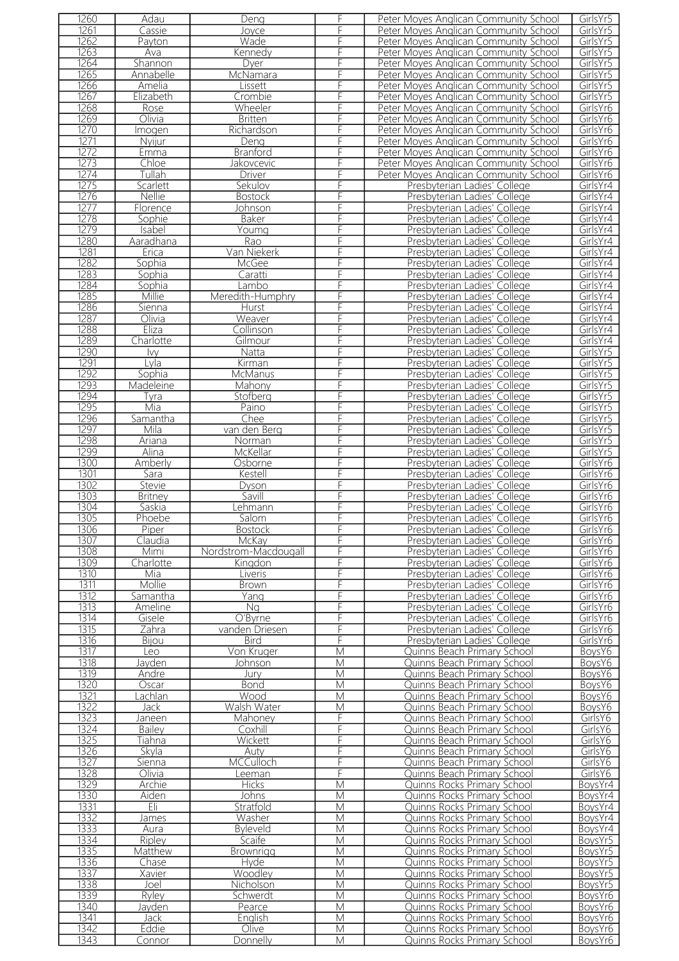| 1260         | Adau            | Deng                 |                | Peter Moyes Anglican Community School                      | GirlsYr5            |
|--------------|-----------------|----------------------|----------------|------------------------------------------------------------|---------------------|
| 1261         | Cassie          | Joyce                |                | Peter Moyes Anglican Community School                      | GirlsYr5            |
| 1262         | Payton          | Wade                 |                | Peter Moyes Anglican Community School                      | GirlsYr5            |
|              |                 |                      |                |                                                            |                     |
| 1263         | Ava             | Kennedy              |                | Peter Moyes Anglican Community School                      | GirlsYr5            |
| 1264         | Shannon         | Dyer                 |                | Peter Moyes Anglican Community School                      | GirlsYr5            |
| 1265         | Annabelle       | McNamara             |                | Peter Moyes Anglican Community School                      | GirlsYr5            |
| 1266         | Amelia          | Lissett              |                | Peter Moyes Anglican Community School                      | GirlsYr5            |
| 1267         | Elizabeth       | Crombie              |                | Peter Moyes Anglican Community School                      | GirlsYr5            |
| 1268         |                 | Wheeler              |                |                                                            | GirlsYr6            |
|              | Rose            |                      |                | Peter Moyes Anglican Community School                      |                     |
| 1269         | Olivia          | <b>Britten</b>       |                | Peter Moyes Anglican Community School                      | GirlsYr6            |
| 1270         | Imogen          | Richardson           |                | Peter Moyes Anglican Community School                      | GirlsYr6            |
| 1271         | Nyijur          | Deng                 |                | Peter Moyes Anglican Community School                      | GirlsYr6            |
| 1272         | Emma            | <b>Branford</b>      |                | Peter Moyes Anglican Community School                      | GirlsYr6            |
| 1273         | Chloe           | Jakovcevic           |                | Peter Moyes Anglican Community School                      | GirlsYr6            |
| 1274         | Tullah          | Driver               |                | Peter Moyes Anglican Community School                      | GirlsYr6            |
|              |                 |                      |                |                                                            |                     |
| 1275         | Scarlett        | Sekulov              | F              | Presbyterian Ladies' College                               | GirlsYr4            |
| 1276         | Nellie          | <b>Bostock</b>       | F              | Presbyterian Ladies' College                               | GirlsYr4            |
| 1277         | Florence        | Johnson              |                | Presbyterian Ladies' College                               | GirlsYr4            |
| 1278         | Sophie          | <b>Baker</b>         | F              | Presbyterian Ladies' College                               | GirlsYr4            |
| 1279         | Isabel          | Youmg                | F              | Presbyterian Ladies' College                               | GirlsYr4            |
| 1280         | Aaradhana       | Rao                  | F              | Presbyterian Ladies' College                               | GirlsYr4            |
| 1281         | Erica           | Van Niekerk          | F              | Presbyterian Ladies' College                               | GirlsYr4            |
|              |                 |                      |                |                                                            |                     |
| 1282         | Sophia          | McGee                | F              | Presbyterian Ladies' College                               | GirlsYr4            |
| 1283         | Sophia          | Caratti              | F              | Presbyterian Ladies' College                               | GirlsYr4            |
| 1284         | Sophia          | Lambo                | F              | Presbyterian Ladies' College                               | GirlsYr4            |
| 1285         | Millie          | Meredith-Humphry     |                | Presbyterian Ladies' College                               | GirlsYr4            |
| 1286         | Sienna          | Hurst                | F              | Presbyterian Ladies' College                               | GirlsYr4            |
| 1287         | Olivia          | Weaver               | F              | Presbyterian Ladies' College                               | GirlsYr4            |
|              |                 |                      |                |                                                            |                     |
| 1288         | Eliza           | Collinson            | F              | Presbyterian Ladies' College                               | GirlsYr4            |
| 1289         | Charlotte       | Gilmour              |                | Presbyterian Ladies' College                               | GirlsYr4            |
| 1290         | <b>Ivy</b>      | Natta                |                | Presbyterian Ladies' College                               | GirlsYr5            |
| 1291         | Lvla            | Kirman               | F              | Presbyterian Ladies' College                               | GirlsYr5            |
| 1292         | Sophia          | McManus              |                | Presbyterian Ladies' College                               | GirlsYr5            |
| 1293         | Madeleine       | Mahony               |                | Presbyterian Ladies' College                               | GirlsYr5            |
| 1294         |                 |                      |                |                                                            |                     |
|              | Tyra            | Stofberg             |                | Presbyterian Ladies' College                               | GirlsYr5            |
| 1295         | Mia             | Paino                |                | Presbyterian Ladies' College                               | GirlsYr5            |
| 1296         | Samantha        | Chee                 |                | Presbyterian Ladies' College                               | GirlsYr5            |
| 1297         | Mila            | van den Berg         |                | Presbyterian Ladies' College                               | GirlsYr5            |
| 1298         | Ariana          | Norman               |                | Presbyterian Ladies' College                               | GirlsYr5            |
| 1299         | Alina           | McKellar             | F              | Presbyterian Ladies' College                               | GirlsYr5            |
| 1300         | Amberly         | Osborne              |                | Presbyterian Ladies' College                               | GirlsYr6            |
|              |                 |                      |                |                                                            |                     |
| 1301         | Sara            | Kestell              | F              | Presbyterian Ladies' College                               | GirlsYr6            |
| 1302         | <b>Stevie</b>   | Dyson                | F              | Presbyterian Ladies' College                               | GirlsYr6            |
| 1303         | <b>Britney</b>  | Savill               |                |                                                            |                     |
|              |                 |                      |                | Presbyterian Ladies' College                               | GirlsYr6            |
|              | Saskia          |                      | F              | Presbyterian Ladies' College                               | GirlsYr6            |
| 1304         |                 | <u>Lehmann</u>       |                |                                                            |                     |
| 1305         | Phoebe          | Salom                | F              | Presbyterian Ladies' College                               | GirlsYr6            |
| 1306         | Piper           | <b>Bostock</b>       |                | Presbyterian Ladies' College                               | GirlsYr6            |
| 1307         | Claudia         | McKay                | F              | Presbyterian Ladies' College                               | GirlsYr6            |
| 1308         | Mimi            | Nordstrom-Macdougall | F              | Presbyterian Ladies' College                               | GirlsYr6            |
| 1309         | Charlotte       | Kingdon              | F              | Presbyterian Ladies' College                               | GirlsYr6            |
| 1310         | Mia             | Liveris              | F              | Presbyterian Ladies' College                               | GirlsYr6            |
|              |                 |                      | F              | Presbyterian Ladies' College                               |                     |
| 1311         | Mollie          | Brown                |                |                                                            | GirlsYr6            |
| 1312         | Samantha        | Yang                 | F              | Presbyterian Ladies' College                               | GirlsYr6            |
| 1313         | Ameline         | Na                   | F              | Presbyterian Ladies' College                               | GirlsYr6            |
| 1314         | Gisele          | O'Byrne              | F              | Presbyterian Ladies' College                               | GirlsYr6            |
| 1315         | Zahra           | vanden Driesen       | F              | Presbyterian Ladies' College                               | GirlsYr6            |
| 1316         | Bijou           | <b>Bird</b>          | F              | Presbyterian Ladies' College                               | GirlsYr6            |
| 1317         | Leo             | Von Kruger           | M              | Quinns Beach Primary School                                | BoysY6              |
| 1318         | Jayden          | Johnson              | M              | Quinns Beach Primary School                                | BoysY6              |
|              | Andre           | Jury                 |                |                                                            |                     |
| 1319         |                 |                      | M              | Quinns Beach Primary School                                | BoysY6              |
| 1320         | Oscar           | <b>Bond</b>          | M              | Quinns Beach Primary School                                | BoysY6              |
| 1321         | .achlan         | Wood                 | M              | Quinns Beach Primary School                                | BoysY6              |
| 1322         | Jack            | Walsh Water          | M              | Quinns Beach Primary School                                | BoysY6              |
| 1323         | Janeen          | Mahoney              | F              | Quinns Beach Primary School                                | GirlsY6             |
| 1324         | <b>Bailey</b>   | Coxhill              | F              | Quinns Beach Primary School                                | GirlsY6             |
| 1325         | Tiahna          | Wickett              | F              | Quinns Beach Primary School                                | GirlsY6             |
|              |                 |                      | F              |                                                            |                     |
| 1326         | Skyla           | Auty                 |                | Quinns Beach Primary School                                | GirlsY6             |
| 1327         | Sienna          | <b>MCCulloch</b>     | F              | Quinns Beach Primary School                                | GirlsY <sub>6</sub> |
| 1328         | Olivia          | Leeman               | F              | Quinns Beach Primary School                                | GirlsY6             |
| 1329         | Archie          | <b>Hicks</b>         | M              | Quinns Rocks Primary School                                | BoysYr4             |
| 1330         | Aiden           | <b>Johns</b>         | M              | Quinns Rocks Primary School                                | BoysYr4             |
| 1331         | Eli             | Stratfold            | M              | Quinns Rocks Primary School                                | BoysYr4             |
| 1332         | James           | Washer               | M              | Quinns Rocks Primary School                                | BoysYr4             |
|              | Aura            |                      |                |                                                            |                     |
| 1333         |                 | <b>Byleveld</b>      | M              | Quinns Rocks Primary School                                | BoysYr4             |
| 1334         | Ripley          | Scaife               | $\overline{M}$ | Quinns Rocks Primary School                                | BoysYr5             |
| 1335         | Matthew         | Brownrigg            | M              | Quinns Rocks Primary School                                | BoysYr5             |
| 1336         | Chase           | Hyde                 | $\overline{M}$ | Quinns Rocks Primary School                                | BoysYr5             |
| 1337         | Xavier          | Woodley              | M              | Quinns Rocks Primary School                                | BoysYr5             |
| 1338         | Joel            | Nicholson            | M              | Quinns Rocks Primary School                                | BoysYr5             |
| 1339         | Ryley           | Schwerdt             | $\overline{M}$ | Quinns Rocks Primary School                                | BoysYr6             |
|              |                 |                      |                |                                                            |                     |
| 1340         | Javden          | Pearce               | M              | Quinns Rocks Primary School                                | BoysYr6             |
| 1341         | Jack            | English              | M              | Quinns Rocks Primary School                                | BoysYr6             |
| 1342<br>1343 | Eddie<br>Connor | Olive<br>Donnelly    | M<br>M         | Quinns Rocks Primary School<br>Quinns Rocks Primary School | BoysYr6<br>BoysYr6  |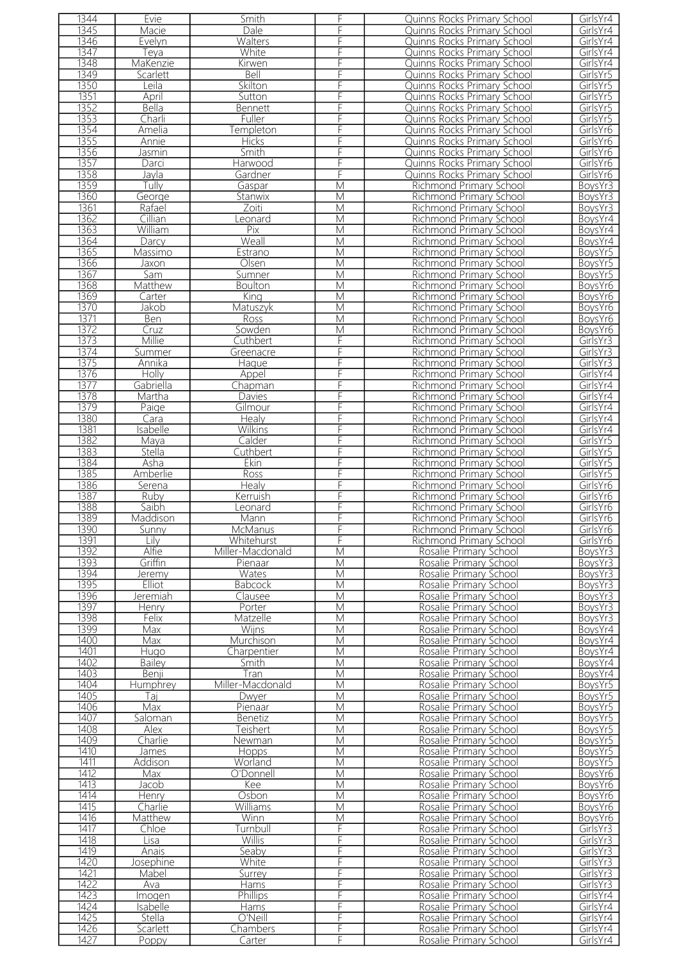| 1344         | Evie              | Smith              | F                       | Quinns Rocks Primary School                      | GirlsYr4             |
|--------------|-------------------|--------------------|-------------------------|--------------------------------------------------|----------------------|
| 1345         | Macie             | Dale               | F                       | Quinns Rocks Primary School                      | GirlsYr4             |
| 1346         | Evelyn            | Walters            | F                       | Quinns Rocks Primary School                      | GirlsYr4             |
|              |                   |                    |                         |                                                  |                      |
| 1347         | Teya              | White              | F                       | Quinns Rocks Primary School                      | GirlsYr4             |
| 1348         | MaKenzie          | <b>Kirwen</b>      | F                       | Quinns Rocks Primary School                      | GirlsYr4             |
| 1349         | Scarlett          | Bell               |                         | Quinns Rocks Primary School                      | GirlsYr5             |
| 1350         | Leila             | Skilton            | F                       | Quinns Rocks Primary School                      | GirlsYr5             |
| 1351         | April             | Sutton             | F                       | Quinns Rocks Primary School                      | GirlsYr5             |
| 1352         | Bella             | Bennett            | F                       | Quinns Rocks Primary School                      | GirlsYr5             |
|              |                   |                    |                         |                                                  |                      |
| 1353         | Charli            | Fuller             | F                       | Quinns Rocks Primary School                      | GirlsYr5             |
| 1354         | Amelia            | Templeton          | F                       | Quinns Rocks Primary School                      | GirlsYr6             |
| 1355         | Annie             | <b>Hicks</b>       | F                       | Quinns Rocks Primary School                      | GirlsYr6             |
| 1356         | Jasmin            | <b>Smith</b>       | F                       | Quinns Rocks Primary School                      | GirlsYr6             |
| 1357         | Darci             | Harwood            | F                       | Quinns Rocks Primary School                      | GirlsYr6             |
| 1358         | Jayla             | Gardner            | F                       | Quinns Rocks Primary School                      | GirlsYr6             |
|              |                   |                    |                         |                                                  |                      |
| 1359         | Tully             | Gaspar             | $\overline{\mathsf{M}}$ | Richmond Primary School                          | BoysYr3              |
| 1360         | George            | Stanwix            | M                       | <b>Richmond Primary School</b>                   | BoysYr3              |
| 1361         | Rafael            | Zoiti              | M                       | Richmond Primary School                          | BoysYr3              |
| 1362         | Cillian           | eonard             | M                       | <b>Richmond Primary School</b>                   | BoysYr4              |
| 1363         | William           | Pix                | M                       | <b>Richmond Primary School</b>                   | BoysYr4              |
| 1364         | Darcy             | Weall              | M                       | Richmond Primary School                          | BoysYr4              |
|              |                   |                    |                         |                                                  |                      |
| 1365         | Massimo           | Estrano            | M                       | <b>Richmond Primary School</b>                   | BoysYr5              |
| 1366         | Jaxon             | Olsen              | M                       | Richmond Primary School                          | BoysYr5              |
| 1367         | Sam               | Sumner             | $\overline{\mathsf{M}}$ | Richmond Primary School                          | BoysYr5              |
| 1368         | Matthew           | <b>Boulton</b>     | $\overline{\mathsf{M}}$ | Richmond Primary School                          | BoysYr6              |
| 1369         | Carter            | King               | M                       | Richmond Primary School                          | BoysYr6              |
| 1370         | Jakob             |                    | M                       | <b>Richmond Primary School</b>                   | BoysYr6              |
|              |                   | Matuszyk           |                         |                                                  |                      |
| 1371         | Ben               | Ross               | M                       | Richmond Primary School                          | BoysYr6              |
| 1372         | Cruz              | Sowden             | M                       | Richmond Primary School                          | BoysYr6              |
| 1373         | Millie            | Cuthbert           | F                       | Richmond Primary School                          | GirlsYr3             |
| 1374         | Summer            | Greenacre          | F                       | <b>Richmond Primary School</b>                   | GirlsYr3             |
| 1375         | Annika            | Haque              | F                       | Richmond Primary School                          | GirlsYr3             |
| 1376         | Holly             | Appel              | F                       | <b>Richmond Primary School</b>                   | GirlsYr4             |
|              |                   |                    |                         |                                                  |                      |
| 1377         | Gabriella         | Chapman            | F                       | Richmond Primary School                          | GirlsYr4             |
| 1378         | Martha            | Davies             | F                       | <b>Richmond Primary School</b>                   | GirlsYr4             |
| 1379         | Paige             | Gilmour            | F                       | Richmond Primary School                          | GirlsYr4             |
| 1380         | Cara              | <b>Healy</b>       | F                       | Richmond Primary School                          | GirlsYr4             |
| 1381         | Isabelle          | <b>Wilkins</b>     | F                       | Richmond Primary School                          | GirlsYr4             |
|              |                   |                    |                         |                                                  |                      |
| 1382         | Maya              | Calder             | F                       | Richmond Primary School                          | GirlsYr5             |
| 1383         | Stella            | Cuthbert           | F                       | Richmond Primary School                          | GirlsYr5             |
| 1384         | Asha              | Ekin               | F                       | Richmond Primary School                          | GirlsYr5             |
| 1385         | Amberlie          | <b>Ross</b>        | F                       | Richmond Primary School                          | GirlsYr5             |
| 1386         | Serena            | Healy              | F                       | <b>Richmond Primary School</b>                   | GirlsYr6             |
| 1387         | Ruby              | Kerruish           | F                       | Richmond Primary School                          | GirlsYr6             |
| 1388         |                   |                    | F                       |                                                  | GirlsYr6             |
|              | Saibh             | Leonard            |                         | Richmond Primary School                          |                      |
| 1389         | Maddison          | Mann               |                         | Richmond Primary School                          | GirlsYr6             |
| 1390         | Sunny             | McManus            | F.                      | Richmond Primary School                          | GirlsYr6             |
| 1391         | Lilv              | Whitehurst         | F                       | Richmond Primary School                          | GirlsYr6             |
| 1392         | Alfie             | Miller-Macdonald   | M                       | Rosalie Primary School                           | BoysYr3              |
| 1393         | Griffin           | Pienaar            | M                       | Rosalie Primary School                           | BoysYr3              |
| 1394         | Jeremy            | Wates              | M                       | Rosalie Primary School                           | BoysYr3              |
|              |                   |                    |                         |                                                  |                      |
| 1395         | Elliot            | <b>Babcock</b>     | M                       | Rosalie Primary School                           | BoysYr3              |
| 1396         | Jeremiah          | Clausee            | M                       | Rosalie Primary School                           | BoysYr3              |
| 1397         | Henry             | Porter             | M                       | Rosalie Primary School                           | BoysYr3              |
| 1398         | Felix             | Matzelle           | М                       | Rosalie Primary School                           | BoysYr3              |
| 1399         | Max               | Wijns              | M                       | Rosalie Primary School                           | BoysYr4              |
| 1400         | Max               | Murchison          | M                       | Rosalie Primary School                           | BovsYr4              |
|              |                   |                    |                         |                                                  |                      |
| 1401         | Hugo              | Charpentier        | M                       | Rosalie Primary School                           | BoysYr4              |
| 1402         | <b>Bailey</b>     | Smith              | M                       | Rosalie Primary School                           | BoysYr4              |
| 1403         | Benji             | Tran               | M                       | Rosalie Primary School                           | BoysYr4              |
| 1404         | Humphrey          | Miller-Macdonald   | M                       | Rosalie Primary School                           | BoysYr5              |
| 1405         | Taj               | Dwyer              | M                       | Rosalie Primary School                           | BoysYr5              |
| 1406         | Max               | Pienaar            | М                       | Rosalie Primary School                           | BoysYr5              |
| 1407         | Saloman           | Benetiz            | M                       | Rosalie Primary School                           | BoysYr5              |
|              |                   |                    |                         |                                                  |                      |
| 1408         | Alex              | Teishert           | M                       | Rosalie Primary School                           | BoysYr5              |
| 1409         | Charlie           | Newman             | M                       | Rosalie Primary School                           | BoysYr5              |
| 1410         | James             | <b>Hopps</b>       | M                       | Rosalie Primary School                           | BoysYr5              |
| 1411         | Addison           | Worland            | M                       | Rosalie Primary School                           | BoysYr5              |
| 1412         | Max               | O'Donnell          | M                       | Rosalie Primary School                           | BoysYr6              |
| 1413         | Jacob             | Kee                | M                       | Rosalie Primary School                           | BoysYr6              |
| 1414         | Henry             | Osbon              | M                       | Rosalie Primary School                           | BoysYr6              |
|              |                   |                    |                         |                                                  |                      |
| 1415         | Charlie           | Williams           | M                       | Rosalie Primary School                           | BoysYr6              |
| 1416         | Matthew           | Winn               | M                       | Rosalie Primary School                           | BoysYr6              |
| 1417         | Chloe             | Turnbull           | F                       | Rosalie Primary School                           | GirlsYr3             |
| 1418         | Lisa              | <b>Willis</b>      | F                       | Rosalie Primary School                           | GirlsYr3             |
| 1419         | Anais             | Seaby              | F                       | Rosalie Primary School                           | GirlsYr3             |
| 1420         | Josephine         | White              | F                       | Rosalie Primary School                           | GirlsYr3             |
|              |                   |                    |                         |                                                  |                      |
|              |                   |                    |                         |                                                  |                      |
| 1421         | Mabel             | Surrey             | F                       | Rosalie Primary School                           | GirlsYr3             |
| 1422         | Ava               | Hams               | F                       | Rosalie Primary School                           | GirlsYr3             |
| 1423         | Imogen            | <b>Phillips</b>    | F                       | Rosalie Primary School                           | GirlsYr4             |
| 1424         | Isabelle          | Hams               | F                       | Rosalie Primary School                           | GirlsYr4             |
|              | <b>Stella</b>     |                    |                         |                                                  | GirlsYr4             |
| 1425         |                   | O'Neill            | F                       | Rosalie Primary School                           |                      |
| 1426<br>1427 | Scarlett<br>Poppy | Chambers<br>Carter | F<br>F                  | Rosalie Primary School<br>Rosalie Primary School | GirlsYr4<br>GirlsYr4 |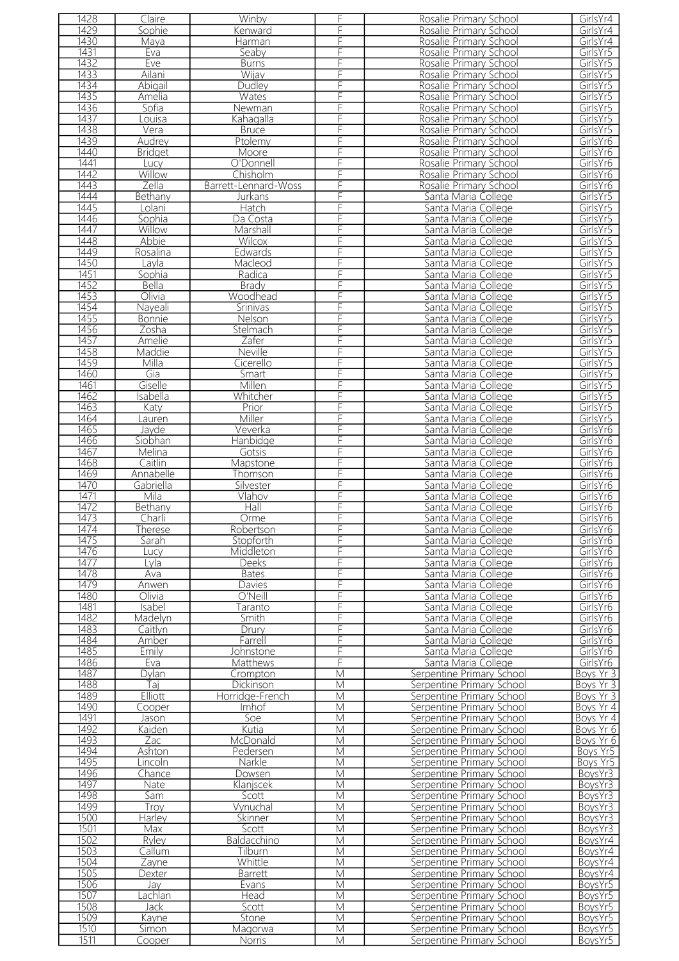| 1428 | Claire         | Winby                | F | Rosalie Primary School    | GirlsYr4  |
|------|----------------|----------------------|---|---------------------------|-----------|
| 1429 | Sophie         | Kenward              | F | Rosalie Primary School    | GirlsYr4  |
| 1430 | Maya           | Harman               | F | Rosalie Primary School    | GirlsYr4  |
| 1431 | Eva            | Seaby                | F | Rosalie Primary School    | GirlsYr5  |
| 1432 | Eve            | <b>Burns</b>         | F | Rosalie Primary School    | GirlsYr5  |
| 1433 | Ailani         | Wijay                |   | Rosalie Primary School    | GirlsYr5  |
| 1434 |                |                      | F |                           | GirlsYr5  |
|      | Abigail        | Dudley               |   | Rosalie Primary School    |           |
| 1435 | Amelia         | Wates                | F | Rosalie Primary School    | GirlsYr5  |
| 1436 | Sofia          | Newman               | F | Rosalie Primary School    | GirlsYr5  |
| 1437 | Louisa         | Kahaqalla            | F | Rosalie Primary School    | GirlsYr5  |
| 1438 | Vera           | <b>Bruce</b>         | F | Rosalie Primary School    | GirlsYr5  |
| 1439 | Audrey         | Ptolemy              | F | Rosalie Primary School    | GirlsYr6  |
| 1440 | <b>Bridget</b> | Moore                | F | Rosalie Primary School    | GirlsYr6  |
| 1441 | Lucy           | O'Donnell            | F | Rosalie Primary School    | GirlsYr6  |
| 1442 | Willow         | Chisholm             | F | Rosalie Primary School    | GirlsYr6  |
| 1443 | Zella          | Barrett-Lennard-Woss | F | Rosalie Primary School    | GirlsYr6  |
| 1444 |                |                      |   |                           |           |
|      | Bethany        | Jurkans              |   | Santa Maria College       | GirlsYr5  |
| 1445 | Lolani         | Hatch                | F | Santa Maria College       | GirlsYr5  |
| 1446 | Sophia         | Da Costa             | F | Santa Maria College       | GirlsYr5  |
| 1447 | Willow         | Marshall             | F | Santa Maria College       | GirlsYr5  |
| 1448 | Abbie          | Wilcox               | F | Santa Maria College       | GirlsYr5  |
| 1449 | Rosalina       | Edwards              | F | Santa Maria College       | GirlsYr5  |
| 1450 | Lavla          | Macleod              | F | Santa Maria College       | GirlsYr5  |
| 1451 | Sophia         | Radica               | F | Santa Maria College       | GirlsYr5  |
| 1452 | Bella          | <b>Brady</b>         | F | Santa Maria College       | GirlsYr5  |
| 1453 | Olivia         | Woodhead             | F | Santa Maria College       | GirlsYr5  |
|      |                |                      |   |                           |           |
| 1454 | Nayeali        | Srinivas             | F | Santa Maria College       | GirlsYr5  |
| 1455 | <b>Bonnie</b>  | Nelson               | F | Santa Maria College       | GirlsYr5  |
| 1456 | Zosha          | Stelmach             | F | Santa Maria College       | GirlsYr5  |
| 1457 | Amelie         | Zafer                | F | Santa Maria College       | GirlsYr5  |
| 1458 | Maddie         | Neville              | F | Santa Maria College       | GirlsYr5  |
| 1459 | Milla          | Cicerello            | F | Santa Maria College       | GirlsYr5  |
| 1460 | Gia            | Smart                | F | Santa Maria College       | GirlsYr5  |
| 1461 | Giselle        | Millen               | F | Santa Maria College       | GirlsYr5  |
| 1462 | Isabella       | Whitcher             | F |                           | GirlsYr5  |
|      |                |                      |   | Santa Maria College       |           |
| 1463 | Katy           | Prior                | F | Santa Maria College       | GirlsYr5  |
| 1464 | auren          | Miller               | F | Santa Maria College       | GirlsYr5  |
| 1465 | Javde          | Veverka              | F | Santa Maria College       | GirlsYr6  |
| 1466 | Siobhan        | Hanbidge             | F | Santa Maria College       | GirlsYr6  |
| 1467 | Melina         | Gotsis               | F | Santa Maria College       | GirlsYr6  |
| 1468 | Caitlin        | Mapstone             | F | Santa Maria College       | GirlsYr6  |
| 1469 | Annabelle      | Thomson              | F | Santa Maria College       | GirlsYr6  |
| 1470 | Gabriella      | Silvester            | F | Santa Maria College       | GirlsYr6  |
| 1471 | Mila           | Vlahov               | F | Santa Maria College       | GirlsYr6  |
| 1472 | Bethany        | Hall                 | F | Santa Maria College       | GirlsYr6  |
|      |                |                      |   |                           |           |
| 1473 | Charli         | Orme                 |   | Santa Maria College       | GirlsYr6  |
| 1474 | Therese        | Robertson            | F | Santa Maria College       | GirlsYr6  |
| 1475 | Sarah          | Stopforth            | F | Santa Maria College       | GirlsYr6  |
| 1476 | Lucv           | Middleton            | F | Santa Maria College       | GirlsYr6  |
| 1477 | Lyla           | Deeks                | F | Santa Maria College       | GirlsYr6  |
| 1478 | Ava            | <b>Bates</b>         | F | Santa Maria College       | GirlsYr6  |
| 1479 | Anwen          | Davies               | F | Santa Maria College       | GirlsYr6  |
| 1480 | Olivia         | O'Neill              | F | Santa Maria College       | GirlsYr6  |
| 1481 | Isabel         | Taranto              | F | Santa Maria College       | GirlsYr6  |
|      |                |                      |   |                           |           |
| 1482 | Madelvn        | Smith                | F | Santa Maria College       | GirlsYr6  |
| 1483 | Caitlyn        | Drury                | F | Santa Maria College       | GirlsYr6  |
| 1484 | Amber          | Farrell              | F | Santa Maria College       | GirlsYr6  |
| 1485 | Emily          | Johnstone            | F | Santa Maria College       | GirlsYr6  |
| 1486 | Eva            | Matthews             | F | Santa Maria College       | GirlsYr6  |
| 1487 | Dylan          | Crompton             | M | Serpentine Primary School | Boys Yr 3 |
| 1488 | Taj            | <b>Dickinson</b>     | M | Serpentine Primary School | Boys Yr 3 |
| 1489 | Elliott        | Horridge-French      | M | Serpentine Primary School | Boys Yr 3 |
| 1490 | Cooper         | Imhof                | М | Serpentine Primary School | Boys Yr 4 |
| 1491 | Jason          | Soe                  | M | Serpentine Primary School | Boys Yr 4 |
|      |                |                      |   |                           |           |
| 1492 | Kaiden         | Kutia                | M | Serpentine Primary School | Boys Yr 6 |
| 1493 | Zac            | McDonald             | M | Serpentine Primary School | Boys Yr 6 |
| 1494 | Ashton         | Pedersen             | M | Serpentine Primary School | Boys Yr5  |
| 1495 | Lincoln        | Narkle               | M | Serpentine Primary School | Boys Yr5  |
| 1496 | Chance         | Dowsen               | M | Serpentine Primary School | BoysYr3   |
| 1497 | Nate           | Klanjscek            | M | Serpentine Primary School | BoysYr3   |
| 1498 | Sam            | Scott                | M | Serpentine Primary School | BoysYr3   |
| 1499 | Troy           | Vynuchal             | M | Serpentine Primary School | BoysYr3   |
| 1500 | Harley         | Skinner              | M | Serpentine Primary School | BoysYr3   |
| 1501 | Max            |                      | M |                           |           |
|      |                | Scott                |   | Serpentine Primary School | BoysYr3   |
| 1502 | Ryley          | Baldacchino          | M | Serpentine Primary School | BoysYr4   |
| 1503 | Callum         | Tilburn              | M | Serpentine Primary School | BoysYr4   |
| 1504 | Zayne          | Whittle              | M | Serpentine Primary School | BoysYr4   |
| 1505 | Dexter         | Barrett              | M | Serpentine Primary School | BoysYr4   |
| 1506 | Jav            | Evans                | M | Serpentine Primary School | BoysYr5   |
| 1507 | Lachlan        | Head                 | M | Serpentine Primary School | BoysYr5   |
| 1508 | Jack           | Scott                | M | Serpentine Primary School | BoysYr5   |
| 1509 | Kayne          | Stone                | M | Serpentine Primary School | BoysYr5   |
| 1510 | Simon          |                      |   | Serpentine Primary School |           |
|      |                | Magorwa              | M |                           | BoysYr5   |
| 1511 | Cooper         | Norris               | M | Serpentine Primary School | BoysYr5   |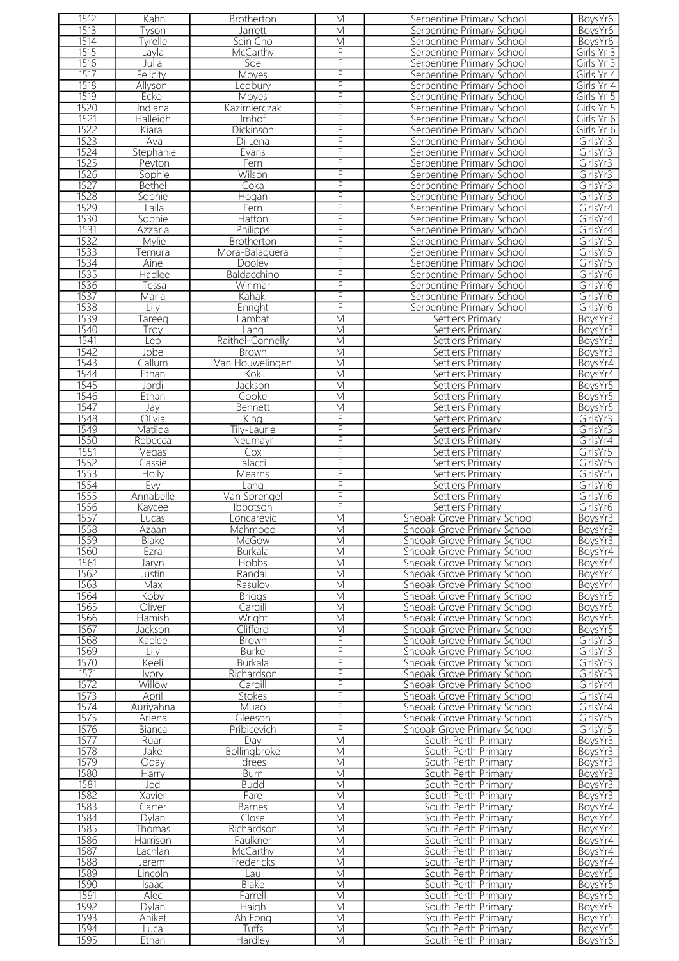| 1512         | Kahn          | <b>Brotherton</b> | M                       | Serpentine Primary School                  | BoysYr6            |
|--------------|---------------|-------------------|-------------------------|--------------------------------------------|--------------------|
| 1513         | Tyson         | <b>Jarrett</b>    | M                       | Serpentine Primary School                  | BoysYr6            |
| 1514         | Tyrelle       | Sein Cho          | M                       | Serpentine Primary School                  | BoysYr6            |
|              |               |                   |                         |                                            |                    |
| 1515         | Lavla         | McCarthy          | F                       | Serpentine Primary School                  | Girls Yr 3         |
| 1516         | Julia         | Soe               | F                       | Serpentine Primary School                  | Girls Yr 3         |
| 1517         | Felicity      | Moyes             | F                       | Serpentine Primary School                  | Girls Yr 4         |
| 1518         | Allyson       | edbury            | F                       | Serpentine Primary School                  | Girls Yr 4         |
| 1519         | Ecko          | Moyes             | F                       | Serpentine Primary School                  | Girls Yr 5         |
| 1520         | Indiana       | Kazimierczak      | F                       | Serpentine Primary School                  | Girls Yr 5         |
| 1521         | Halleigh      | Imhof             | F                       | Serpentine Primary School                  | Girls Yr 6         |
| 1522         |               |                   | F                       |                                            |                    |
|              | Kiara         | <b>Dickinson</b>  |                         | Serpentine Primary School                  | Girls Yr 6         |
| 1523         | Ava           | Di Lena           | F                       | Serpentine Primary School                  | GirlsYr3           |
| 1524         | Stephanie     | Evans             | F                       | Serpentine Primary School                  | GirlsYr3           |
| 1525         | Peyton        | Fern              | F                       | Serpentine Primary School                  | GirlsYr3           |
| 1526         | Sophie        | Wilson            | F                       | Serpentine Primary School                  | GirlsYr3           |
| 1527         | <b>Bethel</b> | Coka              | F                       | Serpentine Primary School                  | GirlsYr3           |
| 1528         | Sophie        | Hogan             | F                       | Serpentine Primary School                  | GirlsYr3           |
| 1529         | Laila         | Fern              | F                       | Serpentine Primary School                  | GirlsYr4           |
| 1530         |               |                   | F                       |                                            |                    |
|              | Sophie        | Hatton            |                         | Serpentine Primary School                  | GirlsYr4           |
| 1531         | Azzaria       | <b>Philipps</b>   | F                       | Serpentine Primary School                  | GirlsYr4           |
| 1532         | <b>Mylie</b>  | <b>Brotherton</b> | F                       | Serpentine Primary School                  | GirlsYr5           |
| 1533         | ernura        | Mora-Balaguera    |                         | Serpentine Primary School                  | GirlsYr5           |
| 1534         | Aine          | Dooley            | F                       | Serpentine Primary School                  | GirlsYr5           |
| 1535         | Hadlee        | Baldacchino       | F                       | Serpentine Primary School                  | GirlsYr6           |
| 1536         | Tessa         | Winmar            | F                       | Serpentine Primary School                  | GirlsYr6           |
| 1537         | Maria         | Kahaki            | F                       | Serpentine Primary School                  | GirlsYr6           |
| 1538         | Lilv          |                   | F                       |                                            |                    |
|              |               | Enright           |                         | Serpentine Primary School                  | GirlsYr6           |
| 1539         | Tareeq        | Lambat            | M                       | Settlers Primary                           | BoysYr3            |
| 1540         | Trov          | Lang              | M                       | Settlers Primary                           | BoysYr3            |
| 1541         | Leo           | Raithel-Connelly  | $\overline{\mathsf{M}}$ | Settlers Primary                           | BoysYr3            |
| 1542         | Jobe          | <b>Brown</b>      | M                       | Settlers Primary                           | BoysYr3            |
| 1543         | Callum        | Van Houwelingen   | M                       | Settlers Primary                           | BoysYr4            |
| 1544         | Ethan         | Kok               | M                       | Settlers Primary                           | BoysYr4            |
| 1545         | Jordi         | Jackson           | M                       | Settlers Primary                           | BoysYr5            |
| 1546         | Ethan         | Cooke             | M                       | Settlers Primary                           | BoysYr5            |
| 1547         | Jay           | Bennett           | M                       | Settlers Primary                           |                    |
|              |               |                   |                         |                                            | BoysYr5            |
| 1548         | Olivia        | Kina              | F                       | Settlers Primary                           | GirlsYr3           |
| 1549         | Matilda       | Tily-Laurie       | F                       | Settlers Primary                           | GirlsYr3           |
| 1550         | Rebecca       | Neumayr           | F                       | Settlers Primary                           | GirlsYr4           |
| 1551         | Vegas         | Cox               | F                       | Settlers Primary                           | GirlsYr5           |
| 1552         | Cassie        | lalacci           | F                       | Settlers Primary                           | GirlsYr5           |
| 1553         | Holly         | Mearns            | F                       | Settlers Primary                           | GirlsYr5           |
| 1554         | Evy           | Lang              | F                       | Settlers Primary                           | GirlsYr6           |
|              |               |                   |                         |                                            |                    |
|              |               |                   | F                       |                                            |                    |
| 1555         | Annabelle     | Van Sprengel      |                         | Settlers Primary                           | GirlsYr6           |
| 1556         | Kaycee        | Ibbotson          | F                       | Settlers Primary                           | GirlsYr6           |
| 1557         | Lucas         | Loncarevic        | M                       | Sheoak Grove Primary School                | BoysYr3            |
| 1558         | Azaan         | Mahmood           | M                       | Sheoak Grove Primary School                | BoysYr3            |
| 1559         | Blake         | McGow             | M                       | Sheoak Grove Primary School                | BoysYr3            |
| 1560         | Ezra          | Burkala           | M                       | Sheoak Grove Primary School                | BoysYr4            |
| 1561         | Jaryn         | Hobbs             | М                       | Sheoak Grove Primary School                | BoysYr4            |
| 1562         | Justin        | Randall           | M                       | Sheoak Grove Primary School                | BoysYr4            |
| 1563         | Max           | Rasulov           | M                       | Sheoak Grove Primary School                | BoysYr4            |
| 1564         | Koby          | <b>Briggs</b>     | M                       | Sheoak Grove Primary School                |                    |
|              |               |                   | M                       |                                            | BoysYr5            |
| 1565         | Oliver        | Cargill           |                         | Sheoak Grove Primary School                | BoysYr5            |
| 1566         | Hamish        | Wright            | M                       | Sheoak Grove Primary School                | BoysYr5            |
| 1567         | Jackson       | Clifford          | M                       | Sheoak Grove Primary School                | BoysYr5            |
| 1568         | Kaelee        | <b>Brown</b>      | F                       | Sheoak Grove Primary School                | GirlsYr3           |
| 1569         | Lily          | <b>Burke</b>      | F                       | Sheoak Grove Primary School                | GirlsYr3           |
| 1570         | Keeli         | <b>Burkala</b>    | F                       | Sheoak Grove Primary School                | GirlsYr3           |
| 1571         | Ivory         | Richardson        | F                       | Sheoak Grove Primary School                | GirlsYr3           |
| 1572         | Willow        | Cargill           | F                       | Sheoak Grove Primary School                | GirlsYr4           |
| 1573         | April         | Stokes            | F                       | Sheoak Grove Primary School                | GirlsYr4           |
| 1574         | Auriyahna     | Muao              | F                       | Sheoak Grove Primary School                | GirlsYr4           |
| 1575         |               | Gleeson           | F                       |                                            | GirlsYr5           |
|              | Ariena        |                   | F                       | Sheoak Grove Primary School                |                    |
| 1576         | Bianca        | Pribicevich       |                         | Sheoak Grove Primary School                | GirlsYr5           |
| 1577         | Ruari         | Day               | M                       | South Perth Primary                        | BoysYr3            |
| 1578         | Jake          | Bollingbroke      | M                       | South Perth Primary                        | BoysYr3            |
| 1579         | Oday          | <b>Idrees</b>     | M                       | South Perth Primary                        | BoysYr3            |
| 1580         | <b>Harry</b>  | <b>Burn</b>       | M                       | South Perth Primary                        | BoysYr3            |
| 1581         | Jed           | <b>Budd</b>       | M                       | South Perth Primary                        | BoysYr3            |
| 1582         | Xavier        | Fare              | M                       | South Perth Primary                        | BoysYr3            |
| 1583         | Carter        | <b>Barnes</b>     | M                       | South Perth Primary                        | BoysYr4            |
| 1584         | Dylan         | Close             | M                       | South Perth Primary                        | BoysYr4            |
| 1585         | Thomas        | Richardson        | M                       | South Perth Primary                        | BoysYr4            |
| 1586         | Harrison      | Faulkner          | M                       | South Perth Primary                        | BoysYr4            |
| 1587         | Lachlan       | McCarthy          | M                       | South Perth Primary                        | BoysYr4            |
|              |               |                   |                         |                                            |                    |
| 1588         | Jeremi        | Fredericks        | M                       | South Perth Primary                        | BoysYr4            |
| 1589         | Lincoln       | Lau               | M                       | South Perth Primary                        | BoysYr5            |
| 1590         | Isaac         | Blake             | М                       | South Perth Primary                        | BoysYr5            |
| 1591         | Alec          | Farrell           | M                       | South Perth Primary                        | BoysYr5            |
| 1592         | Dylan         | Haigh             | M                       | South Perth Primary                        | BoysYr5            |
| 1593         | Aniket        | Ah Fong           | M                       | South Perth Primary                        | BoysYr5            |
| 1594<br>1595 | Luca<br>Ethan | Tuffs<br>Hardley  | M<br>M                  | South Perth Primary<br>South Perth Primary | BoysYr5<br>BoysYr6 |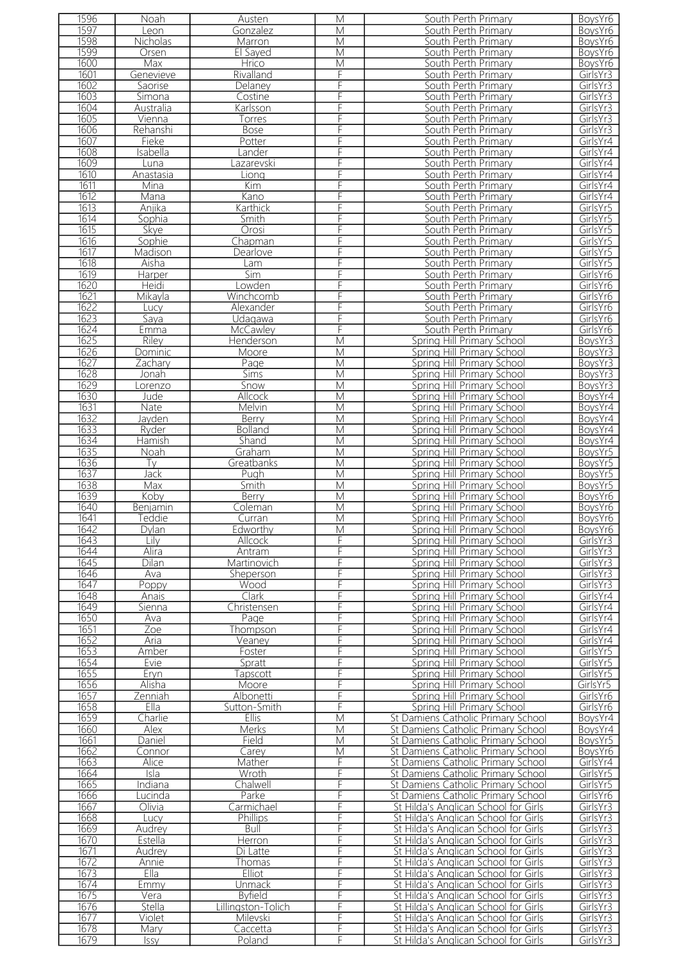| 1596 | Noah            | Austen             | M | South Perth Primary                  | BoysYr6             |
|------|-----------------|--------------------|---|--------------------------------------|---------------------|
| 1597 | Leon            | Gonzalez           | М | South Perth Primary                  | BoysYr6             |
|      |                 |                    |   |                                      |                     |
| 1598 | <b>Nicholas</b> | Marron             | M | South Perth Primary                  | BoysYr6             |
| 1599 | Orsen           | El Sayed           | M | South Perth Primary                  | BoysYr6             |
| 1600 | Max             | Hrico              | M | South Perth Primary                  | BoysYr6             |
| 1601 | Genevieve       | Rivalland          | F | South Perth Primary                  | GirlsYr3            |
| 1602 |                 |                    | F |                                      |                     |
|      | Saorise         | Delaney            |   | South Perth Primary                  | GirlsYr3            |
| 1603 | Simona          | Costine            | F | South Perth Primary                  | GirlsYr3            |
| 1604 | Australia       | Karlsson           | F | South Perth Primary                  | GirlsYr3            |
| 1605 | Vienna          | Torres             | F | South Perth Primary                  | GirlsYr3            |
|      |                 |                    |   |                                      |                     |
| 1606 | Rehanshi        | <b>Bose</b>        | F | South Perth Primary                  | GirlsYr3            |
| 1607 | Fieke           | Potter             | F | South Perth Primary                  | GirlsYr4            |
| 1608 | Isabella        | Lander             | F | South Perth Primary                  | GirlsYr4            |
| 1609 | Luna            | azarevski          | F | South Perth Primary                  | GirlsYr4            |
|      |                 |                    |   |                                      |                     |
| 1610 | Anastasia       | Liona              | F | South Perth Primary                  | GirlsYr4            |
| 1611 | Mina            | Kim                | F | South Perth Primary                  | GirlsYr4            |
| 1612 | Mana            | Kano               | F | South Perth Primary                  | GirlsYr4            |
| 1613 | Anjika          | Karthick           | F | South Perth Primary                  | GirlsYr5            |
| 1614 | Sophia          |                    | F | South Perth Primary                  |                     |
|      |                 | Smith              |   |                                      | GirlsYr5            |
| 1615 | <b>Skye</b>     | Orosi              | F | South Perth Primary                  | GirlsYr5            |
| 1616 | Sophie          | Chapman            | F | South Perth Primary                  | GirlsYr5            |
| 1617 | Madison         | Dearlove           | F | South Perth Primary                  | GirlsYr5            |
| 1618 |                 |                    |   |                                      |                     |
|      | Aisha           | Lam                | F | South Perth Primary                  | GirlsYr5            |
| 1619 | Harper          | Sim                | F | South Perth Primary                  | GirlsYr6            |
| 1620 | Heidi           | _owden             | F | South Perth Primary                  | GirlsYr6            |
| 1621 | Mikavla         | Winchcomb          | F | South Perth Primary                  | GirlsYr6            |
| 1622 |                 | Alexander          | F | South Perth Primary                  |                     |
|      | Lucy            |                    |   |                                      | GirlsYr6            |
| 1623 | Sava            | Udagawa            | F | South Perth Primary                  | GirlsYr6            |
| 1624 | Emma            | McCawley           | F | South Perth Primary                  | GirlsYr6            |
| 1625 | Riley           | Henderson          | M | Spring Hill Primary School           | BoysYr3             |
|      |                 |                    |   |                                      |                     |
| 1626 | Dominic         | Moore              | M | Spring Hill Primary School           | BoysYr3             |
| 1627 | Zachary         | Page               | M | Spring Hill Primary School           | BoysYr3             |
| 1628 | Jonah           | <b>Sims</b>        | M | Spring Hill Primary School           | BoysYr3             |
| 1629 | _orenzo         | Snow               | М | Spring Hill Primary School           | BoysYr3             |
|      |                 |                    |   |                                      |                     |
| 1630 | Jude            | Allcock            | M | Spring Hill Primary School           | BoysYr4             |
| 1631 | Nate            | Melvin             | M | Spring Hill Primary School           | BoysYr4             |
| 1632 | Jayden          | Berry              | M | Spring Hill Primary School           | BoysYr4             |
| 1633 | Ryder           | <b>Bolland</b>     | M | Spring Hill Primary School           | BoysYr4             |
| 1634 | Hamish          | Shand              | M | Spring Hill Primary School           | BoysYr4             |
|      |                 |                    |   |                                      |                     |
| 1635 | Noah            | Graham             | M | Spring Hill Primary School           | BoysYr5             |
| 1636 | Tv              | Greatbanks         | M | Spring Hill Primary School           | BoysYr <sub>5</sub> |
| 1637 | Jack            | Pugh               | M | Spring Hill Primary School           | BoysYr5             |
| 1638 | Max             | Smith              | M | Spring Hill Primary School           | BoysYr5             |
|      |                 |                    |   |                                      |                     |
| 1639 | Koby            | Berry              | M | Spring Hill Primary School           | BoysYr6             |
| 1640 | Benjamin        | Coleman            | M | Spring Hill Primary School           | BoysYr6             |
| 1641 | Teddie          | Curran             | M | Spring Hill Primary School           | BoysYr6             |
| 1642 | Dylan           | Edworthy           | M | Spring Hill Primary School           | BoysYr6             |
|      |                 |                    |   |                                      |                     |
| 1643 | Lilv            | <b>Allcock</b>     | F | Spring Hill Primary School           | GirlsYr3            |
| 1644 | Alira           | Antram             | F | Spring Hill Primary School           | GirlsYr3            |
| 1645 | Dilan           | Martinovich        | F | Spring Hill Primary School           | GirlsYr3            |
| 1646 | Ava             | Sheperson          | F | Spring Hill Primary School           | GirlsYr3            |
| 1647 | Poppy           | Wood               | F | Spring Hill Primary School           | GirlsYr3            |
|      |                 |                    |   |                                      |                     |
| 1648 | Anais           | Clark              | F | Spring Hill Primary School           | GirlsYr4            |
| 1649 | Sienna          | Christensen        | F | Spring Hill Primary School           | GirlsYr4            |
| 1650 | Ava             | Page               | F | Spring Hill Primary School           | GirlsYr4            |
| 1651 | Zoe             | Thompson           | F | Spring Hill Primary School           | GirlsYr4            |
|      |                 |                    | F |                                      |                     |
| 1652 | Aria            | Veaney             |   | Spring Hill Primary School           | GirlsYr4            |
| 1653 | Amber           | Foster             | F | Spring Hill Primary School           | GirlsYr5            |
| 1654 | Evie            | Spratt             | F | Spring Hill Primary School           | GirlsYr5            |
| 1655 | Eryn            | <b>Fapscott</b>    | F | Spring Hill Primary School           | GirlsYr5            |
| 1656 | Alisha          | Moore              | F | Spring Hill Primary School           | GirlsYr5            |
|      |                 |                    |   |                                      |                     |
| 1657 | Zenniah         | Albonetti          | F | Spring Hill Primary School           | GirlsYr6            |
| 1658 | <b>Ella</b>     | Sutton-Smith       | F | Spring Hill Primary School           | GirlsYr6            |
| 1659 | Charlie         | <b>Ellis</b>       | M | St Damiens Catholic Primary School   | BoysYr4             |
| 1660 | Alex            | Merks              | M | St Damiens Catholic Primary School   | BoysYr4             |
|      |                 |                    |   |                                      |                     |
| 1661 | Daniel          | Field              | M | St Damiens Catholic Primary School   | BoysYr5             |
| 1662 | Connor          | Carey              | M | St Damiens Catholic Primary School   | BoysYr6             |
| 1663 | Alice           | Mather             | F | St Damiens Catholic Primary School   | GirlsYr4            |
| 1664 | Isla            | Wroth              | F | St Damiens Catholic Primary School   | GirlsYr5            |
| 1665 | Indiana         | Chalwell           | F | St Damiens Catholic Primary School   | GirlsYr5            |
|      |                 |                    |   |                                      |                     |
| 1666 | Lucinda         | Parke              | F | St Damiens Catholic Primary School   | GirlsYr6            |
| 1667 | Olivia          | Carmichael         | F | St Hilda's Anglican School for Girls | GirlsYr3            |
| 1668 | Lucy            | Phillips           | F | St Hilda's Anglican School for Girls | GirlsYr3            |
| 1669 | Audrey          | Bull               | F | St Hilda's Anglican School for Girls | GirlsYr3            |
| 1670 | Estella         | Herron             | F |                                      | GirlsYr3            |
|      |                 |                    |   | St Hilda's Anglican School for Girls |                     |
| 1671 | Audrey          | Di Latte           | F | St Hilda's Anglican School for Girls | GirlsYr3            |
| 1672 | Annie           | Thomas             | F | St Hilda's Anglican School for Girls | GirlsYr3            |
| 1673 | Ella            | <b>Elliot</b>      | F | St Hilda's Anglican School for Girls | GirlsYr3            |
| 1674 | Emmy            | Unmack             | F | St Hilda's Anglican School for Girls | GirlsYr3            |
|      |                 |                    |   |                                      |                     |
| 1675 | Vera            | <b>Byfield</b>     | F | St Hilda's Anglican School for Girls | GirlsYr3            |
| 1676 | Stella          | Lillingston-Tolich | F | St Hilda's Anglican School for Girls | GirlsYr3            |
| 1677 | Violet          | Milevski           | F | St Hilda's Anglican School for Girls | GirlsYr3            |
| 1678 | Mary            | Caccetta           | F | St Hilda's Anglican School for Girls | GirlsYr3            |
| 1679 | <b>Issy</b>     | Poland             | F | St Hilda's Anglican School for Girls | GirlsYr3            |
|      |                 |                    |   |                                      |                     |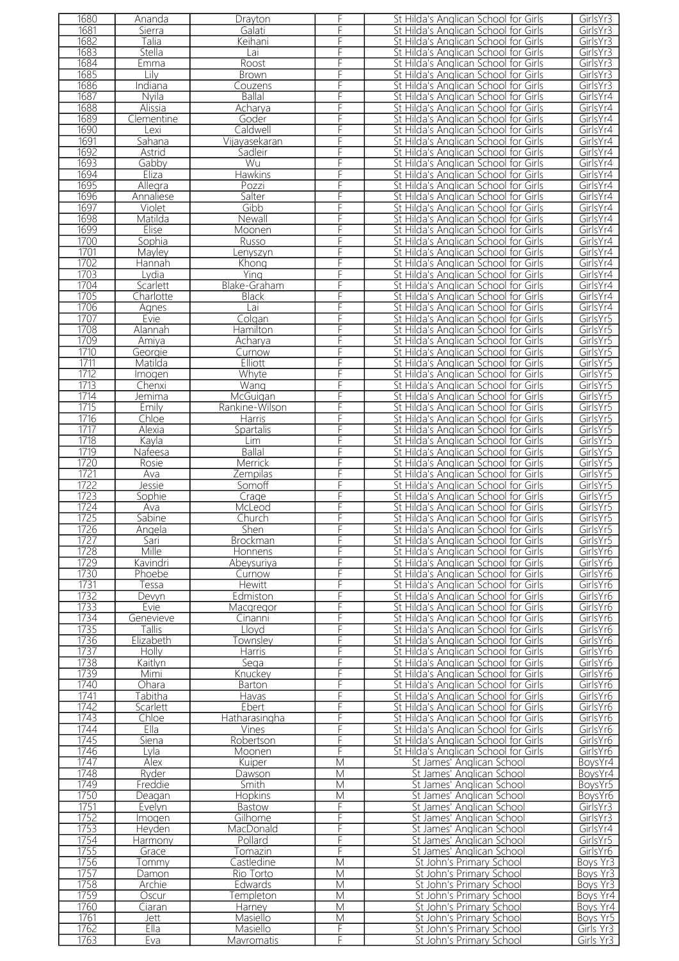| 1680         | Ananda         | Drayton         | F  | St Hilda's Anglican School for Girls | GirlsYr3             |
|--------------|----------------|-----------------|----|--------------------------------------|----------------------|
| 1681         | Sierra         | Galati          | F  | St Hilda's Anglican School for Girls | GirlsYr3             |
| 1682         | Talia          | Keihani         | F  | St Hilda's Anglican School for Girls | GirlsYr3             |
| 1683         | Stella         | Lai             | F  | St Hilda's Anglican School for Girls | GirlsYr3             |
| 1684         | Emma           | Roost           | F  | St Hilda's Anglican School for Girls | GirlsYr3             |
| 1685         | Lilv           |                 |    | St Hilda's Anglican School for Girls | GirlsYr3             |
|              |                | <b>Brown</b>    |    |                                      |                      |
| 1686         | <b>Indiana</b> | Couzens         |    | St Hilda's Anglican School for Girls | GirlsYr3             |
| 1687         | Nyila          | <b>Ballal</b>   | F  | St Hilda's Anglican School for Girls | GirlsYr4             |
| 1688         | Alissia        | Acharya         | F  | St Hilda's Anglican School for Girls | GirlsYr4             |
| 1689         | Clementine     | Goder           | F  | St Hilda's Anglican School for Girls | GirlsYr4             |
| 1690         | Lexi           | Caldwell        | F  | St Hilda's Anglican School for Girls | GirlsYr4             |
| 1691         |                | Vijayasekaran   | F  | St Hilda's Anglican School for Girls | GirlsYr4             |
|              | Sahana         |                 |    |                                      |                      |
| 1692         | Astrid         | Sadleir         | F  | St Hilda's Anglican School for Girls | GirlsYr4             |
| 1693         | Gabby          | Wu              | F  | St Hilda's Anglican School for Girls | GirlsYr4             |
| 1694         | Eliza          | Hawkins         | F  | St Hilda's Anglican School for Girls | GirlsYr4             |
| 1695         | Allegra        | Pozzi           | F  | St Hilda's Anglican School for Girls | GirlsYr4             |
| 1696         | Annaliese      | Salter          | F  | St Hilda's Anglican School for Girls | GirlsYr4             |
| 1697         | Violet         | Gibb            | F  | St Hilda's Anglican School for Girls | GirlsYr4             |
|              |                |                 |    |                                      |                      |
| 1698         | Matilda        | Newall          | F  | St Hilda's Anglican School for Girls | GirlsYr4             |
| 1699         | Elise          | Moonen          | F  | St Hilda's Anglican School for Girls | GirlsYr4             |
| 1700         | Sophia         | Russo           | F  | St Hilda's Anglican School for Girls | GirlsYr4             |
| 1701         | Mayley         | enyszyn         | F  | St Hilda's Anglican School for Girls | GirlsYr4             |
| 1702         | Hannah         | Khong           | F  | St Hilda's Anglican School for Girls | GirlsYr4             |
| 1703         | Lydia          | Ying            | F  | St Hilda's Anglican School for Girls | GirlsYr4             |
|              |                |                 |    |                                      |                      |
| 1704         | Scarlett       | Blake-Graham    | F  | St Hilda's Anglican School for Girls | GirlsYr4             |
| 1705         | Charlotte      | <b>Black</b>    | F  | St Hilda's Anglican School for Girls | GirlsYr4             |
| 1706         | Agnes          | Lai             | F  | St Hilda's Anglican School for Girls | GirlsYr4             |
| 1707         | Evie           | Colgan          | F  | St Hilda's Anglican School for Girls | GirlsYr5             |
| 1708         | Alannah        | Hamilton        | F  | St Hilda's Anglican School for Girls | GirlsYr5             |
| 1709         | Amiya          | Acharya         | F  | St Hilda's Anglican School for Girls | GirlsYr5             |
|              |                |                 |    |                                      |                      |
| 1710         | Georgie        | Curnow          | F  | St Hilda's Anglican School for Girls | GirlsYr5             |
| 1711         | Matilda        | Elliott         | F  | St Hilda's Anglican School for Girls | GirlsYr5             |
| 1712         | Imogen         | Whyte           | F  | St Hilda's Anglican School for Girls | GirlsYr5             |
| 1713         | Chenxi         | Wang            | F  | St Hilda's Anglican School for Girls | GirlsYr5             |
| 1714         | Jemima         | McGuigan        |    | St Hilda's Anglican School for Girls | GirlsYr5             |
| 1715         | Emily          | Rankine-Wilson  |    | St Hilda's Anglican School for Girls | GirlsYr5             |
|              |                |                 |    |                                      |                      |
| 1716         | Chloe          | <b>Harris</b>   | F  | St Hilda's Anglican School for Girls | GirlsYr5             |
| 1717         | Alexia         | Spartalis       |    | St Hilda's Anglican School for Girls | GirlsYr5             |
| 1718         | Kayla          | Lim             | F  | St Hilda's Anglican School for Girls | GirlsYr5             |
| 1719         | <u>Nafeesa</u> | <b>Ballal</b>   | F  | St Hilda's Anglican School for Girls | GirlsYr5             |
| 1720         | Rosie          | Merrick         | F  | St Hilda's Anglican School for Girls | GirlsYr5             |
| 1721         | Ava            | Zempilas        | F  | St Hilda's Anglican School for Girls | GirlsYr5             |
| 1722         | Jessie         | Somoff          | F  | St Hilda's Anglican School for Girls | GirlsYr5             |
|              |                |                 |    |                                      |                      |
| 1723         | Sophie         | Crage           | F  | St Hilda's Anglican School for Girls | GirlsYr5             |
| 1724         | Ava            | McLeod          | F  | St Hilda's Anglican School for Girls | GirlsYr5             |
| 1725         | Sabine         | Church          |    | St Hilda's Anglican School for Girls | GirlsYr5             |
| 1726         | Angela         | Shen            | F. | St Hilda's Anglican School for Girls | GirlsYr5             |
| 1727         | Sari           | <b>Brockman</b> | F  | St Hilda's Anglican School for Girls | GirlsYr5             |
| 1728         | Mille          | Honnens         | F  | St Hilda's Anglican School for Girls | GirlsYr6             |
|              |                |                 |    |                                      |                      |
| 1729         | Kavindri       | Abeysuriya      | F  | St Hilda's Anglican School for Girls | GirlsYr6             |
| 1730         | Phoebe         | Curnow          | F  | St Hilda's Anglican School for Girls | GirlsYr6             |
| 1731         | essa           | <b>Hewitt</b>   | F  | St Hilda's Anglican School for Girls | GirlsYr6             |
| 1732         | Devyn          | Edmiston        | F  | St Hilda's Anglican School for Girls | GirlsYr6             |
| 1733         | Evie           | Macgregor       | F  | St Hilda's Anglican School for Girls | GirlsYr6             |
| 1734         |                | Cinanni         | F  | St Hilda's Anglican School for Girls | GirlsYr6             |
| 1735         | Genevieve      |                 | F  | St Hilda's Anglican School for Girls | GirlsYr6             |
|              | Tallis         | Lloyd           |    |                                      |                      |
| 1736         | Elizabeth      | Townsley        | F  | St Hilda's Anglican School for Girls | GirlsYr6             |
| 1737         | Holly          | Harris          | F  | St Hilda's Anglican School for Girls | GirlsYr6             |
| 1738         | Kaitlyn        | Sega            | F  | St Hilda's Anglican School for Girls | GirlsYr6             |
| 1739         | Mimi           | Knuckev         | F  | St Hilda's Anglican School for Girls | GirlsYr6             |
| 1740         | <b>Ohara</b>   | <b>Barton</b>   | F  | St Hilda's Anglican School for Girls | GirlsYr6             |
| 1741         | Tabitha        | Havas           | F  | St Hilda's Anglican School for Girls | GirlsYr6             |
|              |                |                 |    |                                      |                      |
| 1742         | Scarlett       | Ebert           | F  | St Hilda's Anglican School for Girls | GirlsYr6             |
| 1743         | Chloe          | Hatharasingha   | F  | St Hilda's Anglican School for Girls | GirlsYr6             |
| 1744         | Ella           | Vines           | F  | St Hilda's Anglican School for Girls | GirlsYr6             |
| 1745         | Siena          | Robertson       | F  | St Hilda's Anglican School for Girls | GirlsYr6             |
| 1746         | Lyla           | Moonen          | F  | St Hilda's Anglican School for Girls | GirlsYr6             |
| 1747         | Alex           | Kuiper          | M  | St James' Anglican School            | BoysYr4              |
| 1748         | Ryder          | Dawson          | M  | St James' Anglican School            | BoysYr4              |
|              |                |                 |    |                                      |                      |
| 1749         | Freddie        | Smith           | M  | St James' Anglican School            | BoysYr5              |
| 1750         | Deagan         | <b>Hopkins</b>  | M  | St James' Anglican School            | BoysYr6              |
| 1751         | Evelyn         | Bastow          | F  | St James' Anglican School            | GirlsYr3             |
| 1752         | Imogen         | Gilhome         | F  | St James' Anglican School            | GirlsYr3             |
| 1753         | Heyden         | MacDonald       | F  | St James' Anglican School            | GirlsYr4             |
| 1754         | Harmony        | Pollard         | F  | St James' Anglican School            | GirlsYr5             |
|              |                |                 | F  |                                      |                      |
| 1755         | Grace          | Tomazin         |    | St James' Anglican School            | GirlsYr6             |
| 1756         | Tommy          | Castledine      | M  | St John's Primary School             | Boys Yr <sub>3</sub> |
| 1757         | Damon          | Rio Torto       | M  | St John's Primary School             | Boys Yr <sub>3</sub> |
| 1758         | Archie         | Edwards         | M  | St John's Primary School             | Boys Yr3             |
| 1759         | Oscur          | Templeton       | M  | St John's Primary School             | Boys Yr4             |
| 1760         | Ciaran         | Harney          | M  | St John's Primary School             | Boys Yr4             |
|              |                |                 |    | St John's Primary School             |                      |
| 1761         | Jett           | <b>Masiello</b> | M  |                                      | Boys Yr5             |
| 1762<br>1763 | Ella           | Masiello        | F  | St John's Primary School             | Girls Yr3            |
|              | Eva            | Mavromatis      | F  | St John's Primary School             | Girls Yr3            |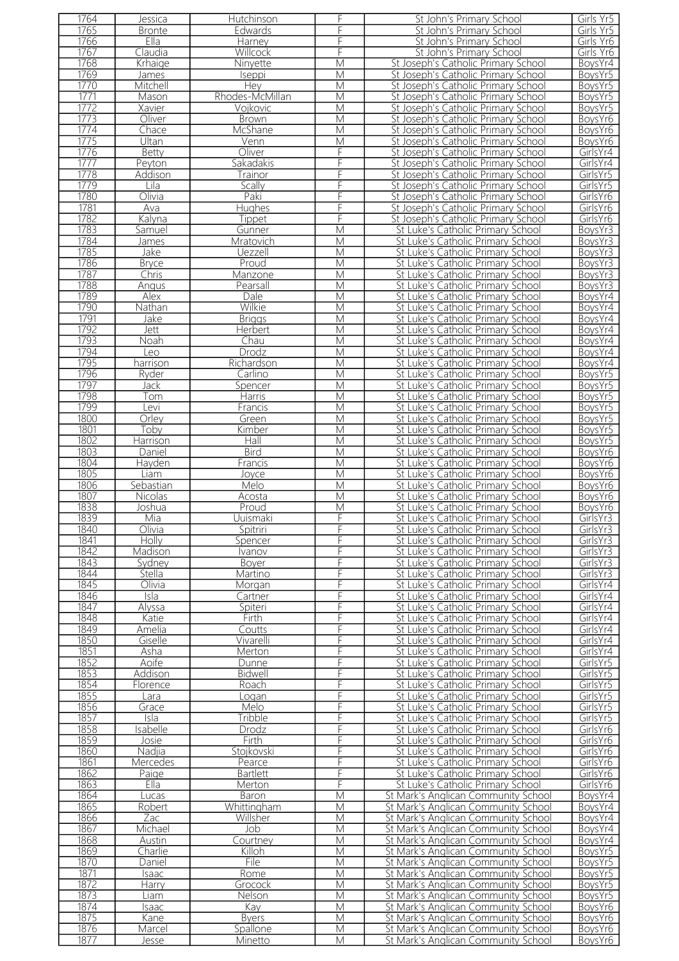| 1764         | Jessica         | Hutchinson          | F      | St John's Primary School                                                   | Girls Yr5          |
|--------------|-----------------|---------------------|--------|----------------------------------------------------------------------------|--------------------|
| 1765         | <b>Bronte</b>   | Edwards             | F      | St John's Primary School                                                   | Girls Yr5          |
| 1766         | Ella            | Harney              | F      | St John's Primary School                                                   | Girls Yr6          |
| 1767         | Claudia         | Willcock            | F      | St John's Primary School                                                   | Girls Yr6          |
| 1768         | Krhaige         | Ninyette            | M      | St Joseph's Catholic Primary School                                        | BoysYr4            |
| 1769         | James           | Iseppi              | M      | St Joseph's Catholic Primary School                                        | BoysYr5            |
| 1770         | Mitchell        | Hey                 | M      | St Joseph's Catholic Primary School                                        | BoysYr5            |
| 1771         | Mason           | Rhodes-McMillan     | M      | St Joseph's Catholic Primary School                                        | BoysYr5            |
| 1772         |                 |                     |        |                                                                            |                    |
|              | Xavier          | Vojkovic            | M      | St Joseph's Catholic Primary School                                        | BoysYr5            |
| 1773         | Oliver          | <b>Brown</b>        | M      | St Joseph's Catholic Primary School                                        | BoysYr6            |
| 1774         | Chace           | McShane             | M      | St Joseph's Catholic Primary School                                        | BoysYr6            |
| 1775         | Ultan           | Venn                | M      | St Joseph's Catholic Primary School                                        | BoysYr6            |
| 1776         | Betty           | Oliver              | F      | St Joseph's Catholic Primary School                                        | GirlsYr4           |
| 1777         | Peyton          | Sakadakis           | F      | St Joseph's Catholic Primary School                                        | GirlsYr4           |
| 1778         | Addison         | Trainor             | F      | St Joseph's Catholic Primary School                                        | GirlsYr5           |
| 1779         | Lila            | Scally              | F      | St Joseph's Catholic Primary School                                        | GirlsYr5           |
| 1780         | Olivia          | Paki                | F      | St Joseph's Catholic Primary School                                        | GirlsYr6           |
| 1781         | Ava             | Hughes              | F      | St Joseph's Catholic Primary School                                        | GirlsYr6           |
| 1782         | Kalyna          |                     | F      |                                                                            | GirlsYr6           |
|              |                 | Tippet              |        | St Joseph's Catholic Primary School                                        |                    |
| 1783         | Samuel          | Gunner              | M      | St Luke's Catholic Primary School                                          | BoysYr3            |
| 1784         | <b>James</b>    | Mratovich           | M      | St Luke's Catholic Primary School                                          | BoysYr3            |
| 1785         | Jake            | Uezzell             | M      | St Luke's Catholic Primary School                                          | BoysYr3            |
| 1786         | <b>Bryce</b>    | Proud               | M      | St Luke's Catholic Primary School                                          | BoysYr3            |
| 1787         | Chris           | Manzone             | M      | St Luke's Catholic Primary School                                          | BoysYr3            |
| 1788         | Angus           | Pearsall            | M      | St Luke's Catholic Primary School                                          | BoysYr3            |
| 1789         | Alex            | Dale                | M      | St Luke's Catholic Primary School                                          | BoysYr4            |
| 1790         | <b>Nathan</b>   | Wilkie              | M      | St Luke's Catholic Primary School                                          | BoysYr4            |
| 1791         | Jake            | <b>Briggs</b>       | M      | St Luke's Catholic Primary School                                          | BoysYr4            |
| 1792         |                 | <b>Herbert</b>      |        |                                                                            |                    |
|              | Jett            |                     | М      | St Luke's Catholic Primary School                                          | BoysYr4            |
| 1793         | Noah            | Chau                | M      | St Luke's Catholic Primary School                                          | BoysYr4            |
| 1794         | Leo             | Drodz               | M      | St Luke's Catholic Primary School                                          | BoysYr4            |
| 1795         | harrison        | Richardson          | M      | St Luke's Catholic Primary School                                          | BoysYr4            |
| 1796         | Ryder           | Carlino             | M      | St Luke's Catholic Primary School                                          | BoysYr5            |
| 1797         | Jack            | Spencer             | M      | St Luke's Catholic Primary School                                          | BoysYr5            |
| 1798         | Tom             | Harris              | M      | St Luke's Catholic Primary School                                          | BoysYr5            |
| 1799         | evi             | Francis             | M      | St Luke's Catholic Primary School                                          | BoysYr5            |
| 1800         | Orley           | Green               | M      | St Luke's Catholic Primary School                                          | BoysYr5            |
| 1801         | Toby            | Kimber              | M      | St Luke's Catholic Primary School                                          | BoysYr5            |
| 1802         |                 |                     |        | St Luke's Catholic Primary School                                          |                    |
|              | Harrison        | Hall                | M      |                                                                            | BoysYr5            |
| 1803         | Daniel          | <b>Bird</b>         | M      | St Luke's Catholic Primary School                                          | BoysYr6            |
| 1804         | Havden          | Francis             | M      | St Luke's Catholic Primary School                                          | BoysYr6            |
| 1805         | Liam            | Joyce               | M      | St Luke's Catholic Primary School                                          | BoysYr6            |
| 1806         | Sebastian       | Melo                | M      | St Luke's Catholic Primary School                                          | BoysYr6            |
|              |                 |                     |        |                                                                            |                    |
| 1807         | Nicolas         | Acosta              | M      | St Luke's Catholic Primary School                                          | BoysYr6            |
| 1838         | Joshua          | Proud               | M      | St Luke's Catholic Primary School                                          | BoysYr6            |
|              |                 | Uuismaki            | F      |                                                                            |                    |
| 1839         | Mia             |                     |        | St Luke's Catholic Primary School                                          | GirlsYr3           |
| 1840         | Olivia          | Spitriri            |        | St Luke's Catholic Primary School                                          | GirlsYr3           |
| 1841         | Holly           | Spencer             | F      | St Luke's Catholic Primary School                                          | GirlsYr3           |
| 1842         | Madison         | Ivanov              | F      | St Luke's Catholic Primary School                                          | GirlsYr3           |
| 1843         | Svdnev          | Boyer               | F      | St Luke's Catholic Primary School                                          | GirlsYr3           |
| 1844         | Stella          | Martino             | F      | St Luke's Catholic Primary School                                          | GirlsYr3           |
| 1845         | Olivia          | Morgan              | F      | St Luke's Catholic Primary School                                          | GirlsYr4           |
| 1846         | Isla            | Cartner             | F      | St Luke's Catholic Primary School                                          | GirlsYr4           |
| 1847         | Alyssa          | Spiteri             | F      | St Luke's Catholic Primary School                                          | GirlsYr4           |
| 1848         | Katie           | Firth               | F      | St Luke's Catholic Primary School                                          | GirlsYr4           |
| 1849         | <u>Amelia</u>   | <b>Coutts</b>       | F      | St Luke's Catholic Primary School                                          | GirlsYr4           |
| 1850         | Giselle         | Vivarelli           | F      | St Luke's Catholic Primary School                                          | GirlsYr4           |
|              | Asha            | Merton              | F      |                                                                            | GirlsYr4           |
| 1851         |                 |                     | F      | St Luke's Catholic Primary School                                          | GirlsYr5           |
| 1852         | Aoife           | Dunne               |        | St Luke's Catholic Primary School                                          |                    |
| 1853         | Addison         | Bidwell             | F      | St Luke's Catholic Primary School                                          | GirlsYr5           |
| 1854         | Florence        | Roach               | F      | St Luke's Catholic Primary School                                          | GirlsYr5           |
| 1855         | Lara            | oqan                | F      | St Luke's Catholic Primary School                                          | GirlsYr5           |
| 1856         | Grace           | Melo                | F      | St Luke's Catholic Primary School                                          | GirlsYr5           |
| 1857         | Isla            | Tribble             | F      | St Luke's Catholic Primary School                                          | GirlsYr5           |
| 1858         | Isabelle        | Drodz               | F      | St Luke's Catholic Primary School                                          | GirlsYr6           |
| 1859         | Josie           | <b>Firth</b>        | F      | St Luke's Catholic Primary School                                          | GirlsYr6           |
| 1860         | Nadjia          | Stojkovski          | F      | St Luke's Catholic Primary School                                          | GirlsYr6           |
| 1861         | <b>Mercedes</b> | Pearce              | F      | St Luke's Catholic Primary School                                          | GirlsYr6           |
|              |                 |                     |        |                                                                            | GirlsYr6           |
| 1862         | Paige           | <b>Bartlett</b>     | F      | St Luke's Catholic Primary School                                          |                    |
| 1863         | EIIa            | Merton              | F      | St Luke's Catholic Primary School                                          | GirlsYr6           |
| 1864         | Lucas           | Baron               | M      | St Mark's Anglican Community School                                        | BoysYr4            |
| 1865         | Robert          | Whittingham         | M      | St Mark's Anglican Community School                                        | BoysYr4            |
| 1866         | Zac             | Willsher            | M      | St Mark's Anglican Community School                                        | BoysYr4            |
| 1867         | Michael         | Job                 | M      | St Mark's Anglican Community School                                        | BoysYr4            |
| 1868         | Austin          | Courtney            | М      | St Mark's Anglican Community School                                        | BoysYr4            |
| 1869         | Charlie         | Killoh              | M      | St Mark's Anglican Community School                                        | BoysYr5            |
| 1870         | Daniel          | File                | M      | St Mark's Anglican Community School                                        | BoysYr5            |
| 1871         | Isaac           | Rome                | M      | St Mark's Anglican Community School                                        | BoysYr5            |
| 1872         |                 | Grocock             | М      | St Mark's Anglican Community School                                        | BoysYr5            |
|              | <b>Harry</b>    | Nelson              |        |                                                                            |                    |
| 1873         | Liam            |                     | M      | St Mark's Anglican Community School                                        | BoysYr5            |
| 1874         | Isaac           | Kay                 | M      | St Mark's Anglican Community School                                        | BoysYr6            |
| 1875         | Kane            | <b>Byers</b>        | M      | St Mark's Anglican Community School                                        | BoysYr6            |
| 1876<br>1877 | Marcel<br>Jesse | Spallone<br>Minetto | M<br>M | St Mark's Anglican Community School<br>St Mark's Anglican Community School | BoysYr6<br>BoysYr6 |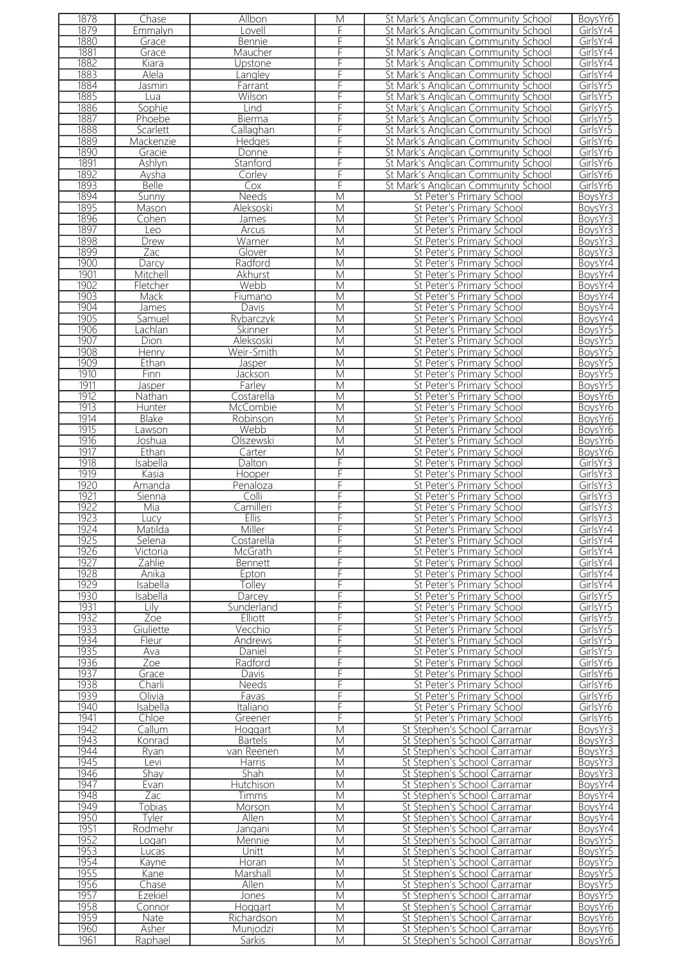| 1878 | Chase        | Allbon         | M                       | St Mark's Anglican Community School | BoysYr6  |
|------|--------------|----------------|-------------------------|-------------------------------------|----------|
| 1879 | Emmalyn      | Lovell         | F                       | St Mark's Anglican Community School | GirlsYr4 |
|      |              |                |                         |                                     |          |
| 1880 | Grace        | <b>Bennie</b>  | F                       | St Mark's Anglican Community School | GirlsYr4 |
| 1881 | Grace        | Maucher        | F                       | St Mark's Anglican Community School | GirlsYr4 |
| 1882 | Kiara        | Upstone        | F                       | St Mark's Anglican Community School | GirlsYr4 |
|      |              |                |                         |                                     |          |
| 1883 | Alela        | Langley        | F                       | St Mark's Anglican Community School | GirlsYr4 |
| 1884 | Jasmin       | Farrant        | F                       | St Mark's Anglican Community School | GirlsYr5 |
| 1885 | Lua          | Wilson         | F                       | St Mark's Anglican Community School | GirlsYr5 |
|      |              |                |                         |                                     |          |
| 1886 | Sophie       | Lind           | F                       | St Mark's Anglican Community School | GirlsYr5 |
| 1887 | Phoebe       | Bierma         | F                       | St Mark's Anglican Community School | GirlsYr5 |
| 1888 | Scarlett     | Callaghan      | F                       | St Mark's Anglican Community School | GirlsYr5 |
|      |              |                |                         |                                     |          |
| 1889 | Mackenzie    | Hedges         | F                       | St Mark's Anglican Community School | GirlsYr6 |
| 1890 | Gracie       | Donne          | F                       | St Mark's Anglican Community School | GirlsYr6 |
| 1891 |              |                | F                       |                                     |          |
|      | Ashlyn       | Stanford       |                         | St Mark's Anglican Community School | GirlsYr6 |
| 1892 | Aysha        | Corley         | F                       | St Mark's Anglican Community School | GirlsYr6 |
| 1893 | <b>Belle</b> | Cox            | F                       | St Mark's Anglican Community School | GirlsYr6 |
|      |              |                |                         |                                     |          |
| 1894 | Sunny        | Needs          | $\overline{\mathsf{M}}$ | St Peter's Primary School           | BoysYr3  |
| 1895 | Mason        | Aleksoski      | M                       | St Peter's Primary School           | BoysYr3  |
| 1896 | Cohen        | James          | M                       | St Peter's Primary School           | BoysYr3  |
|      |              |                |                         |                                     |          |
| 1897 | Leo          | Arcus          | M                       | St Peter's Primary School           | BoysYr3  |
| 1898 | Drew         | Warner         | M                       | St Peter's Primary School           | BoysYr3  |
| 1899 | Zac          | Glover         | M                       | St Peter's Primary School           | BoysYr3  |
|      |              |                |                         |                                     |          |
| 1900 | Darcy        | Radford        | M                       | St Peter's Primary School           | BoysYr4  |
| 1901 | Mitchell     | <b>Akhurst</b> | M                       | St Peter's Primary School           | BoysYr4  |
| 1902 | Fletcher     | Webb           | M                       | St Peter's Primary School           | BoysYr4  |
|      |              |                |                         |                                     |          |
| 1903 | Mack         | Fiumano        | M                       | St Peter's Primary School           | BoysYr4  |
| 1904 | <b>James</b> | Davis          | $\overline{\mathsf{M}}$ | St Peter's Primary School           | BoysYr4  |
| 1905 | Samuel       | Rybarczyk      | M                       | St Peter's Primary School           | BoysYr4  |
|      |              |                |                         |                                     |          |
| 1906 | achlan       | Skinner        | $\overline{\mathsf{M}}$ | St Peter's Primary School           | BoysYr5  |
| 1907 | Dion         | Aleksoski      | M                       | St Peter's Primary School           | BoysYr5  |
| 1908 | Henry        | Weir-Smith     | M                       | St Peter's Primary School           | BoysYr5  |
|      |              |                |                         |                                     |          |
| 1909 | Ethan        | Jasper         | M                       | St Peter's Primary School           | BoysYr5  |
| 1910 | Finn         | Jackson        | M                       | St Peter's Primary School           | BoysYr5  |
| 1911 |              |                |                         |                                     |          |
|      | Jasper       | Farley         | M                       | St Peter's Primary School           | BoysYr5  |
| 1912 | Nathan       | Costarella     | $\overline{M}$          | St Peter's Primary School           | BoysYr6  |
| 1913 | Hunter       | McCombie       | M                       | St Peter's Primary School           | BoysYr6  |
|      |              |                |                         |                                     |          |
| 1914 | Blake        | Robinson       | M                       | St Peter's Primary School           | BoysYr6  |
| 1915 | Lawson       | Webb           | $\overline{\mathsf{M}}$ | St Peter's Primary School           | BoysYr6  |
| 1916 | Joshua       | Olszewski      | M                       | St Peter's Primary School           | BoysYr6  |
|      |              |                |                         |                                     |          |
| 1917 | Ethan        | Carter         | M                       | St Peter's Primary School           | BoysYr6  |
| 1918 | Isabella     | Dalton         | F                       | St Peter's Primary School           | GirlsYr3 |
| 1919 | Kasia        | Hooper         | F                       | St Peter's Primary School           | GirlsYr3 |
|      |              |                |                         |                                     |          |
| 1920 | Amanda       | Penaloza       | F                       | St Peter's Primary School           | GirlsYr3 |
| 1921 | Sienna       | Colli          | F                       | St Peter's Primary School           | GirlsYr3 |
| 1922 | Mia          | Camilleri      | F                       | St Peter's Primary School           | GirlsYr3 |
|      |              |                |                         |                                     |          |
| 1923 | Lucy         | <b>Ellis</b>   | F                       | St Peter's Primary School           | GirlsYr3 |
| 1924 | Matilda      | Miller         | F                       | St Peter's Primary School           | GirlsYr4 |
| 1925 | Selena       | Costarella     | F                       | St Peter's Primary School           | GirlsYr4 |
|      |              |                |                         |                                     |          |
| 1926 | Victoria     | <b>McGrath</b> | F                       | St Peter's Primary School           | GirlsYr4 |
| 1927 | Zahlie       | Bennett        | F                       | St Peter's Primary School           | GirlsYr4 |
| 1928 | Anika        | Epton          | F                       | St Peter's Primary School           | GirlsYr4 |
|      |              |                |                         |                                     |          |
| 1929 | Isabella     | Tolley         | F                       | St Peter's Primary School           | GirlsYr4 |
| 1930 | Isabella     | Darcey         | F                       | St Peter's Primary School           | GirlsYr5 |
| 1931 | Lilv -       | Sunderland     | F                       |                                     |          |
|      |              |                |                         | St Peter's Primary School           | GirlsYr5 |
| 1932 | Zoe          | Elliott        | F                       | St Peter's Primary School           | GirlsYr5 |
| 1933 | Giuliette    | Vecchio        | F                       | St Peter's Primary School           | GirlsYr5 |
|      |              |                | F                       | St Peter's Primary School           | GirlsYr5 |
| 1934 | Fleur        | Andrews        |                         |                                     |          |
| 1935 | Ava          | Daniel         | F                       | St Peter's Primary School           | GirlsYr5 |
| 1936 | Zoe          | Radford        | F                       | St Peter's Primary School           | GirlsYr6 |
| 1937 | Grace        | Davis          | F                       | St Peter's Primary School           | GirlsYr6 |
|      |              |                |                         |                                     |          |
| 1938 | Charli       | Needs          | F                       | St Peter's Primary School           | GirlsYr6 |
| 1939 | Olivia       | Favas          | F                       | St Peter's Primary School           | GirlsYr6 |
| 1940 | Isabella     | Italiano       | F                       | St Peter's Primary School           | GirlsYr6 |
|      |              |                |                         |                                     |          |
| 1941 | Chloe        | Greener        | F                       | St Peter's Primary School           | GirlsYr6 |
| 1942 | Callum       | Hoggart        | M                       | St Stephen's School Carramar        | BoysYr3  |
| 1943 | Konrad       | <b>Bartels</b> | M                       | St Stephen's School Carramar        | BoysYr3  |
|      |              |                |                         |                                     |          |
| 1944 | Ryan         | van Reenen     | M                       | St Stephen's School Carramar        | BoysYr3  |
| 1945 | Levi         | Harris         | M                       | St Stephen's School Carramar        | BoysYr3  |
|      |              |                | M                       |                                     |          |
| 1946 | Shay         | Shah           |                         | St Stephen's School Carramar        | BoysYr3  |
| 1947 | Evan         | Hutchison      | M                       | St Stephen's School Carramar        | BoysYr4  |
| 1948 | Zac          | Timms          | M                       | St Stephen's School Carramar        | BoysYr4  |
| 1949 | Tobias       |                | M                       | St Stephen's School Carramar        | BoysYr4  |
|      |              | Morson         |                         |                                     |          |
| 1950 | Tyler        | Allen          | M                       | St Stephen's School Carramar        | BoysYr4  |
| 1951 | Rodmehr      | Jangani        | M                       | St Stephen's School Carramar        | BoysYr4  |
| 1952 |              |                |                         |                                     |          |
|      | Logan        | Mennie         | М                       | St Stephen's School Carramar        | BoysYr5  |
| 1953 | Lucas        | Unitt          | M                       | St Stephen's School Carramar        | BoysYr5  |
| 1954 | Kayne        | Horan          | M                       | St Stephen's School Carramar        | BoysYr5  |
|      |              |                |                         |                                     |          |
| 1955 | Kane         | Marshall       | M                       | St Stephen's School Carramar        | BoysYr5  |
| 1956 | Chase        | Allen          | M                       | St Stephen's School Carramar        | BoysYr5  |
| 1957 | Ezekiel      | Jones          | M                       | St Stephen's School Carramar        | BoysYr5  |
|      |              |                |                         |                                     |          |
| 1958 | Connor       | Hoggart        | M                       | St Stephen's School Carramar        | BoysYr6  |
| 1959 | Nate         | Richardson     | M                       | St Stephen's School Carramar        | BoysYr6  |
| 1960 | Asher        |                | M                       | St Stephen's School Carramar        | BoysYr6  |
|      |              | Munjodzi       |                         |                                     |          |
| 1961 | Raphael      | Sarkis         | M                       | St Stephen's School Carramar        | BoysYr6  |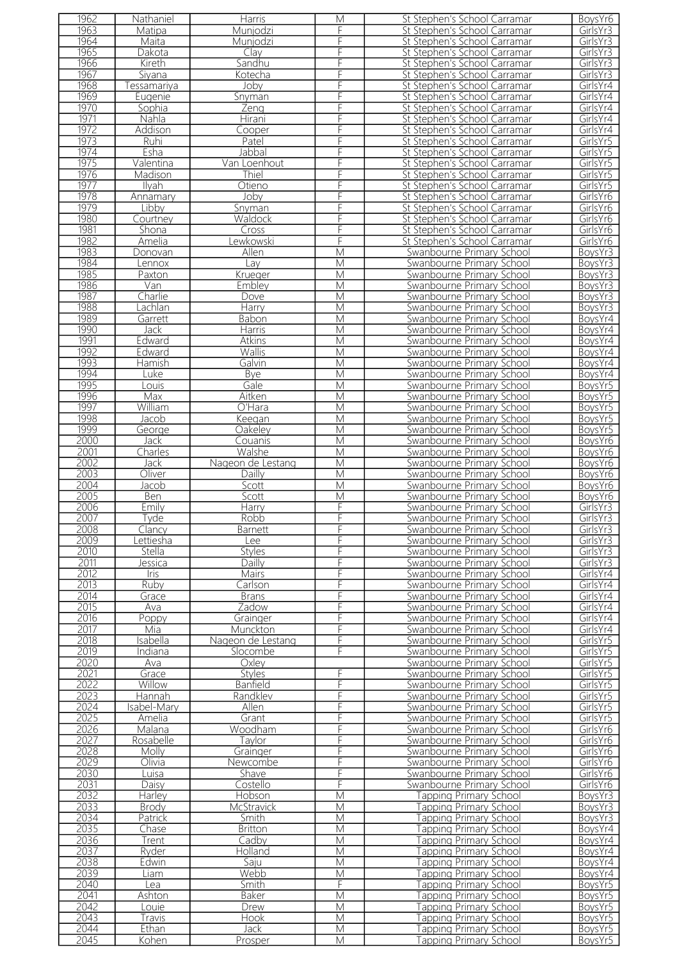| 1962 | Nathaniel    | <b>Harris</b>     | M                       | St Stephen's School Carramar     | BoysYr6  |
|------|--------------|-------------------|-------------------------|----------------------------------|----------|
| 1963 | Matipa       | Munjodzi          | F                       | St Stephen's School Carramar     | GirlsYr3 |
| 1964 | Maita        | Munjodzi          | F                       | St Stephen's School Carramar     | GirlsYr3 |
| 1965 | Dakota       |                   | F                       |                                  |          |
|      |              | Clay              |                         | St Stephen's School Carramar     | GirlsYr3 |
| 1966 | Kireth       | Sandhu            | F                       | St Stephen's School Carramar     | GirlsYr3 |
| 1967 | Siyana       | Kotecha           |                         | St Stephen's School Carramar     | GirlsYr3 |
| 1968 | Tessamariya  | Joby              |                         | St Stephen's School Carramar     | GirlsYr4 |
| 1969 | Eugenie      | Snyman            | F                       | St Stephen's School Carramar     | GirlsYr4 |
| 1970 | Sophia       | Zeng              | F                       | St Stephen's School Carramar     | GirlsYr4 |
| 1971 | Nahla        | Hirani            | F                       | St Stephen's School Carramar     | GirlsYr4 |
|      |              |                   |                         |                                  |          |
| 1972 | Addison      | Cooper            | F                       | St Stephen's School Carramar     | GirlsYr4 |
| 1973 | Ruhi         | Patel             | F                       | St Stephen's School Carramar     | GirlsYr5 |
| 1974 | Esha         | Jabbal            | F                       | St Stephen's School Carramar     | GirlsYr5 |
| 1975 | Valentina    | Van Loenhout      | F                       | St Stephen's School Carramar     | GirlsYr5 |
| 1976 | Madison      | Thiel             | F                       | St Stephen's School Carramar     | GirlsYr5 |
| 1977 | Ilyah        | Otieno            | F                       | St Stephen's School Carramar     | GirlsYr5 |
| 1978 | Annamary     | Joby              | F                       | St Stephen's School Carramar     | GirlsYr6 |
| 1979 | Libby        |                   | F                       |                                  | GirlsYr6 |
|      |              | Snyman            |                         | St Stephen's School Carramar     |          |
| 1980 | Courtney     | Waldock           | F                       | St Stephen's School Carramar     | GirlsYr6 |
| 1981 | Shona        | Cross             | F                       | St Stephen's School Carramar     | GirlsYr6 |
| 1982 | Amelia       | Lewkowski         | F                       | St Stephen's School Carramar     | GirlsYr6 |
| 1983 | Donovan      | Allen             | $\overline{M}$          | Swanbourne Primary School        | BoysYr3  |
| 1984 | Lennox       | Lav               | M                       | Swanbourne Primary School        | BoysYr3  |
| 1985 | Paxton       | Krueger           | $\overline{\mathsf{M}}$ | Swanbourne Primary School        | BoysYr3  |
| 1986 | Van          | Emblev            | $\overline{\mathsf{M}}$ | Swanbourne Primary School        |          |
|      |              |                   |                         |                                  | BoysYr3  |
| 1987 | Charlie      | Dove              | M                       | Swanbourne Primary School        | BoysYr3  |
| 1988 | Lachlan      | Harry             | M                       | Swanbourne Primary School        | BoysYr3  |
| 1989 | Garrett      | <b>Babon</b>      | M                       | Swanbourne Primary School        | BoysYr4  |
| 1990 | Jack         | Harris            | M                       | Swanbourne Primary School        | BoysYr4  |
| 1991 | Edward       | Atkins            | M                       | Swanbourne Primary School        | BoysYr4  |
| 1992 | Edward       | Wallis            | M                       | Swanbourne Primary School        | BoysYr4  |
| 1993 |              | Galvin            | M                       | Swanbourne Primary School        |          |
|      | Hamish       |                   |                         |                                  | BoysYr4  |
| 1994 | Luke         | Bye               | M                       | Swanbourne Primary School        | BoysYr4  |
| 1995 | ouis         | Gale              | M                       | Swanbourne Primary School        | BoysYr5  |
| 1996 | Max          | Aitken            | M                       | Swanbourne Primary School        | BoysYr5  |
| 1997 | William      | $O'$ Hara         | M                       | Swanbourne Primary School        | BoysYr5  |
| 1998 | Jacob        | Keegan            | M                       | Swanbourne Primary School        | BoysYr5  |
| 1999 | George       | Oakeley           | M                       | Swanbourne Primary School        | BoysYr5  |
| 2000 |              |                   |                         |                                  |          |
|      | Jack         | Couanis           | M                       | Swanbourne Primary School        | BoysYr6  |
| 2001 | Charles      | Walshe            | M                       | Swanbourne Primary School        | BoysYr6  |
| 2002 | Jack         | Nageon de Lestang | M                       | Swanbourne Primary School        | BoysYr6  |
| 2003 | Oliver       | Dailly            | M                       | Swanbourne Primary School        | BoysYr6  |
| 2004 | <u>Jacob</u> | Scott             | $\overline{\mathsf{M}}$ | Swanbourne Primary School        | BoysYr6  |
| 2005 | <u>Ben</u>   | Scott             | M                       | Swanbourne Primary School        | BoysYr6  |
| 2006 | Emily        | Harry             | F                       | Swanbourne Primary School        | GirlsYr3 |
| 2007 | Tyde         | Robb              | F                       | Swanbourne Primary School        | GirlsYr3 |
|      |              |                   |                         |                                  |          |
| 2008 | Clancy       | <b>Barnett</b>    | F.                      | Swanbourne Primary School        | GirlsYr3 |
| 2009 | .ettiesha    | Lee               | F                       | Swanbourne Primary School        | GirlsYr3 |
| 2010 | Stella       | <b>Styles</b>     | F                       | Swanbourne Primary School        | GirlsYr3 |
| 2011 | Jessica      | Dailly            | F                       | Swanbourne Primary School        | GirlsYr3 |
| 2012 | Iris         | Mairs             | F                       | Swanbourne Primary School        | GirlsYr4 |
| 2013 | Ruby         | Carlson           | F                       | Swanbourne Primary School        | GirlsYr4 |
| 2014 | Grace        | <b>Brans</b>      | F                       | Swanbourne Primary School        | GirlsYr4 |
| 2015 |              | Zadow             | F                       |                                  |          |
|      | Ava          |                   |                         | Swanbourne Primary School        | GirlsYr4 |
| 2016 | Poppy        | Grainger          | F                       | Swanbourne Primary School        | GirlsYr4 |
| 2017 | Mia          | Munckton          | F                       |                                  |          |
| 2018 | Isabella     |                   |                         | Swanbourne Primary School        | GirlsYr4 |
| 2019 |              | Nageon de Lestang | F                       | <b>Swanbourne Primary School</b> | GirlsYr5 |
|      | Indiana      | Slocombe          | F                       | Swanbourne Primary School        | GirlsYr5 |
| 2020 | Ava          | Oxlev             |                         | Swanbourne Primary School        | GirlsYr5 |
|      |              |                   |                         |                                  |          |
| 2021 | Grace        | <b>Styles</b>     | F                       | Swanbourne Primary School        | GirlsYr5 |
| 2022 | Willow       | <b>Banfield</b>   | F                       | Swanbourne Primary School        | GirlsYr5 |
| 2023 | Hannah       | Randklev          | F                       | Swanbourne Primary School        | GirlsYr5 |
| 2024 | Isabel-Mary  | Allen             | F                       | Swanbourne Primary School        | GirlsYr5 |
| 2025 | Amelia       | Grant             | F                       | Swanbourne Primary School        | GirlsYr5 |
| 2026 | Malana       | Woodham           | F                       | Swanbourne Primary School        | GirlsYr6 |
| 2027 | Rosabelle    | Taylor            | F                       | Swanbourne Primary School        | GirlsYr6 |
| 2028 | Molly        | Grainger          | F                       | Swanbourne Primary School        | GirlsYr6 |
|      | Olivia       | Newcombe          |                         | Swanbourne Primary School        |          |
| 2029 |              |                   | F                       |                                  | GirlsYr6 |
| 2030 | Luisa        | Shave             | F                       | Swanbourne Primary School        | GirlsYr6 |
| 2031 | Daisy        | Costello          | F                       | Swanbourne Primary School        | GirlsYr6 |
| 2032 | Harley       | Hobson            | M                       | Tapping Primary School           | BoysYr3  |
| 2033 | <b>Brody</b> | McStravick        | M                       | Tapping Primary School           | BoysYr3  |
| 2034 | Patrick      | Smith             | M                       | <b>Tapping Primary School</b>    | BoysYr3  |
| 2035 | Chase        | <b>Britton</b>    | M                       | Tapping Primary School           | BoysYr4  |
| 2036 | Trent        | Cadby             | M                       | <b>Tapping Primary School</b>    | BoysYr4  |
|      | Ryder        | Holland           | M                       |                                  |          |
| 2037 |              |                   |                         | <b>Tapping Primary School</b>    | BoysYr4  |
| 2038 | Edwin        | Saju              | M                       | <b>Tapping Primary School</b>    | BoysYr4  |
| 2039 | Liam         | Webb              | M                       | Tapping Primary School           | BoysYr4  |
| 2040 | Lea          | Smith             | F                       | Tapping Primary School           | BoysYr5  |
| 2041 | Ashton       | Baker             | M                       | <b>Tapping Primary School</b>    | BoysYr5  |
| 2042 | Louie        | Drew              | M                       | Tapping Primary School           | BoysYr5  |
| 2043 | Travis       | <b>Hook</b>       | M                       | <b>Tapping Primary School</b>    | BoysYr5  |
| 2044 | Ethan        | Jack              | M                       | Tapping Primary School           | BoysYr5  |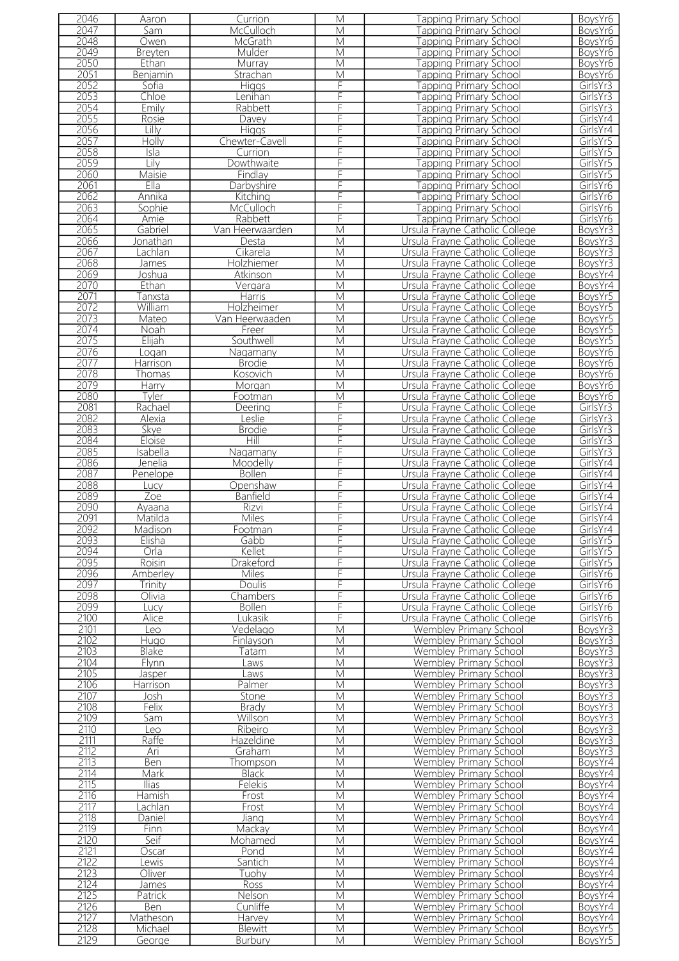| 2046 | Aaron          | Currion         | M                       | Tapping Primary School         | BoysYr6  |
|------|----------------|-----------------|-------------------------|--------------------------------|----------|
| 2047 | Sam            | McCulloch       | М                       | apping Primary School          | BoysYr6  |
| 2048 |                |                 |                         |                                |          |
|      | Owen           | McGrath         | M                       | <b>Tapping Primary School</b>  | BoysYr6  |
| 2049 | Breyten        | Mulder          | M                       | <b>Tapping Primary School</b>  | BoysYr6  |
| 2050 | Ethan          | Murray          | M                       | <b>Tapping Primary School</b>  | BoysYr6  |
| 2051 | Benjamin       | Strachan        | M                       | apping Primary School          | BoysYr6  |
| 2052 | Sofia          |                 | F                       |                                |          |
|      |                | <b>Higgs</b>    |                         | <b>Fapping Primary School</b>  | GirlsYr3 |
| 2053 | Chloe          | Lenihan         | F                       | <b>Tapping Primary School</b>  | GirlsYr3 |
| 2054 | Emily          | Rabbett         | F                       | Tapping Primary School         | GirlsYr3 |
| 2055 | Rosie          | Davey           | F                       | <b>Tapping Primary School</b>  | GirlsYr4 |
| 2056 | Lilly          | <b>Higgs</b>    | F                       | <b>Tapping Primary School</b>  | GirlsYr4 |
|      |                |                 |                         |                                |          |
| 2057 | Holly          | Chewter-Cavell  | F                       | <b>Tapping Primary School</b>  | GirlsYr5 |
| 2058 | Isla           | Currion         | F                       | Tapping Primary School         | GirlsYr5 |
| 2059 | Lily           | Dowthwaite      | F                       | Tapping Primary School         | GirlsYr5 |
| 2060 | Maisie         | Findlay         | F                       | <b>Fapping Primary School</b>  | GirlsYr5 |
| 2061 | Ella           |                 | F                       |                                | GirlsYr6 |
|      |                | Darbyshire      |                         | <b>Tapping Primary School</b>  |          |
| 2062 | Annika         | Kitching        | F                       | Tapping Primary School         | GirlsYr6 |
| 2063 | Sophie         | McCulloch       | F                       | <b>Fapping Primary School</b>  | GirlsYr6 |
| 2064 | Amie           | Rabbett         | F                       | Tapping Primary School         | GirlsYr6 |
| 2065 | Gabriel        | Van Heerwaarden | $\overline{M}$          | Ursula Frayne Catholic College | BoysYr3  |
| 2066 | Jonathan       | Desta           | M                       | Ursula Frayne Catholic College | BoysYr3  |
|      |                |                 |                         |                                |          |
| 2067 | Lachlan        | Cikarela        | M                       | Ursula Frayne Catholic College | BoysYr3  |
| 2068 | James          | Holzhiemer      | M                       | Ursula Frayne Catholic College | BoysYr3  |
| 2069 | Joshua         | Atkinson        | $\overline{\mathsf{M}}$ | Ursula Frayne Catholic College | BoysYr4  |
| 2070 | Ethan          | Vergara         | M                       | Ursula Frayne Catholic College | BoysYr4  |
| 2071 | Tanxsta        | <b>Harris</b>   | M                       | Ursula Frayne Catholic College | BoysYr5  |
|      |                |                 |                         |                                |          |
| 2072 | William        | Holzheimer      | M                       | Ursula Frayne Catholic College | BoysYr5  |
| 2073 | Mateo          | Van Heerwaaden  | M                       | Ursula Frayne Catholic College | BoysYr5  |
| 2074 | Noah           | Freer           | M                       | Ursula Frayne Catholic College | BoysYr5  |
| 2075 | Elijah         | Southwell       | M                       | Ursula Frayne Catholic College | BoysYr5  |
|      |                |                 |                         |                                |          |
| 2076 | Logan          | Nagamany        | M                       | Ursula Frayne Catholic College | BoysYr6  |
| 2077 | Harrison       | <b>Brodie</b>   | M                       | Ursula Frayne Catholic College | BoysYr6  |
| 2078 | Thomas         | Kosovich        | M                       | Ursula Frayne Catholic College | BoysYr6  |
| 2079 | <b>Harry</b>   | Morgan          | М                       | Ursula Frayne Catholic College | BoysYr6  |
| 2080 | Tyler          | Footman         | M                       | Ursula Frayne Catholic College | BoysYr6  |
| 2081 |                |                 | F                       |                                |          |
|      | Rachael        | Deering         |                         | Ursula Frayne Catholic College | GirlsYr3 |
| 2082 | Alexia         | eslie           | F                       | Ursula Frayne Catholic College | GirlsYr3 |
| 2083 | Skye           | <b>Brodie</b>   | F                       | Ursula Frayne Catholic College | GirlsYr3 |
| 2084 | Eloise         | Hill            | F                       | Ursula Frayne Catholic College | GirlsYr3 |
| 2085 | Isabella       | Nagamany        | F                       | Ursula Frayne Catholic College | GirlsYr3 |
|      |                |                 |                         |                                |          |
| 2086 | <u>Jenelia</u> | Moodelly        | F                       | Ursula Frayne Catholic College | GirlsYr4 |
| 2087 | Penelope       | <b>Bollen</b>   | F                       | Ursula Frayne Catholic College | GirlsYr4 |
| 2088 | Lucy           | Openshaw        | F                       | Ursula Frayne Catholic College | GirlsYr4 |
| 2089 | Zoe            | Banfield        | F                       | Ursula Frayne Catholic College | GirlsYr4 |
| 2090 | Ayaana         | <b>Rizvi</b>    | F                       | Ursula Frayne Catholic College | GirlsYr4 |
|      |                |                 |                         |                                |          |
| 2091 | Matilda        | <b>Miles</b>    | F                       | Ursula Frayne Catholic College | GirlsYr4 |
| 2092 | Madison        | Footman         | F.                      | Ursula Frayne Catholic College | GirlsYr4 |
| 2093 | Elisha         | Gabb            | F                       | Ursula Frayne Catholic College | GirlsYr5 |
| 2094 | Orla           | Kellet          | F                       | Ursula Frayne Catholic College | GirlsYr5 |
| 2095 | Roisin         | Drakeford       | F                       | Ursula Frayne Catholic College | GirlsYr5 |
|      |                |                 |                         |                                |          |
| 2096 | Amberley       | Miles           | F                       | Ursula Frayne Catholic College | GirlsYr6 |
| 2097 | Trinity        | <b>Doulis</b>   | F                       | Ursula Frayne Catholic College | GirlsYr6 |
| 2098 | Olivia         | Chambers        | F                       | Ursula Frayne Catholic College | GirlsYr6 |
| 2099 | Lucy           | <b>Bollen</b>   | F                       | Ursula Frayne Catholic College | GirlsYr6 |
| 2100 | Alice          | Lukasik         | F                       | Ursula Frayne Catholic College | GirlsYr6 |
|      |                |                 |                         |                                |          |
| 2101 | Leo            | Vedelago        | M                       | Wembley Primary School         | BoysYr3  |
| 2102 | Hugo           | Finlayson       | M                       | Wembley Primary School         | BoysYr3  |
| 2103 | Blake          | Гаtаm           | M                       | Wembley Primary School         | BoysYr3  |
| 2104 | Flynn          | Laws            | M                       | <b>Wembley Primary School</b>  | BoysYr3  |
| 2105 | Jasper         | Laws            | M                       | <b>Wembley Primary School</b>  | BoysYr3  |
| 2106 | Harrison       | Palmer          | M                       |                                |          |
|      |                |                 |                         | Wembley Primary School         | BoysYr3  |
| 2107 | Josh           | Stone           | M                       | Wembley Primary School         | BoysYr3  |
| 2108 | Felix          | <b>Brady</b>    | М                       | Wembley Primary School         | BoysYr3  |
| 2109 | Sam            | Willson         | M                       | Wembley Primary School         | BoysYr3  |
| 2110 | Leo            | Ribeiro         | M                       | Wembley Primary School         | BoysYr3  |
| 2111 | Raffe          | Hazeldine       | M                       | Wembley Primary School         | BoysYr3  |
|      |                |                 |                         |                                |          |
| 2112 | Ari            | Graham          | M                       | Wembley Primary School         | BoysYr3  |
| 2113 | <b>Ben</b>     | Thompson        | M                       | Wembley Primary School         | BoysYr4  |
| 2114 | Mark           | <b>Black</b>    | M                       | <b>Wembley Primary School</b>  | BoysYr4  |
| 2115 | <u>Tias</u>    | Felekis         | M                       | Wembley Primary School         | BoysYr4  |
| 2116 | Hamish         | Frost           | M                       | Wembley Primary School         | BoysYr4  |
|      |                |                 |                         |                                |          |
| 2117 | _achlan        | Frost           | M                       | Wembley Primary School         | BoysYr4  |
| 2118 | Daniel         | Jiang           | M                       | Wembley Primary School         | BoysYr4  |
| 2119 | Finn           | Mackay          | M                       | Wembley Primary School         | BoysYr4  |
| 2120 | Seif           | Mohamed         | M                       | Wembley Primary School         | BoysYr4  |
| 2121 | Oscar          | Pond            | M                       | Wembley Primary School         | BoysYr4  |
| 2122 | ewis           | Santich         | M                       | <b>Wembley Primary School</b>  | BoysYr4  |
|      |                |                 |                         |                                |          |
| 2123 | Oliver         | Tuohy           | M                       | Wembley Primary School         | BoysYr4  |
| 2124 | James          | Ross            | M                       | Wembley Primary School         | BoysYr4  |
| 2125 | Patrick        | Nelson          | M                       | Wembley Primary School         | BoysYr4  |
| 2126 | Ben            | Cunliffe        | M                       | Wembley Primary School         | BoysYr4  |
| 2127 | Matheson       | Harvey          | M                       | <b>Wembley Primary School</b>  | BoysYr4  |
| 2128 | Michael        |                 |                         |                                |          |
|      |                | Blewitt         | M                       | Wembley Primary School         | BoysYr5  |
| 2129 | George         | Burbury         | M                       | Wembley Primary School         | BoysYr5  |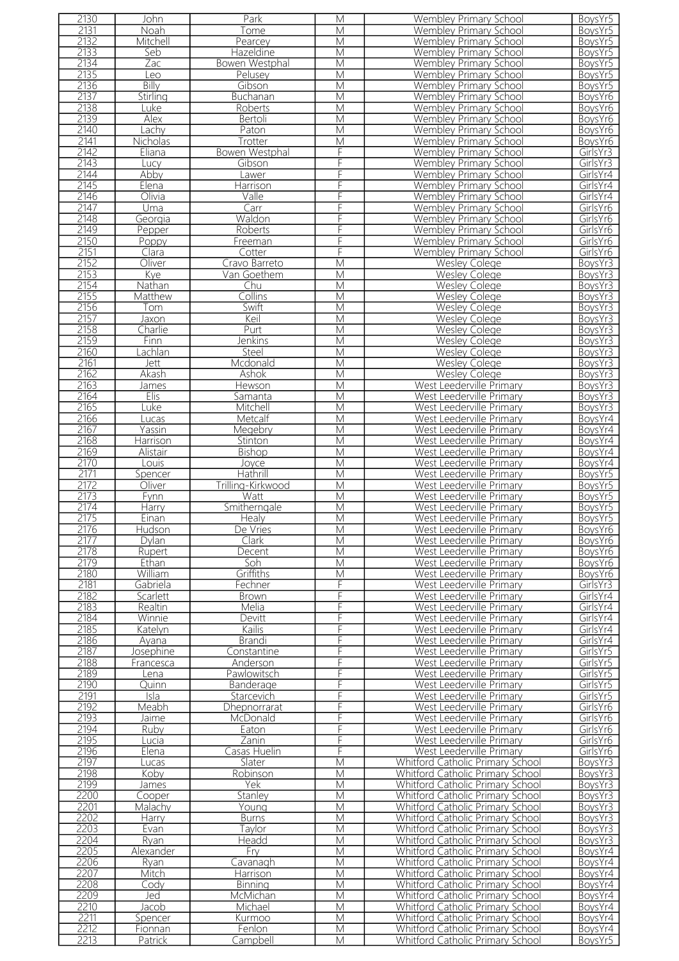| 2130         | John                     | Park                | М                       | Wembley Primary School                                                      | BoysYr5            |
|--------------|--------------------------|---------------------|-------------------------|-----------------------------------------------------------------------------|--------------------|
| 2131         | Noah                     | Tome                | M                       | Wembley Primary School                                                      | BoysYr5            |
| 2132         |                          |                     | M                       | <b>Wembley Primary School</b>                                               |                    |
|              | Mitchell                 | Pearcey             |                         |                                                                             | BoysYr5            |
| 2133         | Seb                      | Hazeldine           | M                       | Wembley Primary School                                                      | BoysYr5            |
| 2134         | Zac                      | Bowen Westphal      | M                       | <b>Wembley Primary School</b>                                               | BoysYr5            |
| 2135         | Leo                      | Pelusey             | M                       | <b>Wembley Primary School</b>                                               | BoysYr5            |
| 2136         | <b>Billy</b>             | Gibson              | M                       | Wembley Primary School                                                      | BoysYr5            |
| 2137         | Stirling                 | Buchanan            | M                       | Wembley Primary School                                                      | BoysYr6            |
|              |                          |                     |                         |                                                                             |                    |
| 2138         | Luke                     | Roberts             | M                       | Wembley Primary School                                                      | BoysYr6            |
| 2139         | Alex                     | Bertoli             | M                       | Wembley Primary School                                                      | BoysYr6            |
| 2140         | Lachy                    | Paton               | M                       | Wembley Primary School                                                      | BoysYr6            |
| 2141         | Nicholas                 | Trotter             | M                       | Wembley Primary School                                                      | BoysYr6            |
|              |                          |                     |                         |                                                                             |                    |
| 2142         | Eliana                   | Bowen Westphal      | F                       | <b>Wembley Primary School</b>                                               | GirlsYr3           |
| 2143         | Lucy                     | Gibson              | F                       | Wembley Primary School                                                      | GirlsYr3           |
| 2144         | Abby                     | Lawer               | F                       | Wembley Primary School                                                      | GirlsYr4           |
| 2145         | Elena                    | Harrison            | F                       | <b>Wembley Primary School</b>                                               | GirlsYr4           |
| 2146         | Olivia                   | Valle               | F                       | Wembley Primary School                                                      | GirlsYr4           |
|              |                          |                     |                         |                                                                             |                    |
| 2147         | Uma                      | Carr                | F                       | Wembley Primary School                                                      | GirlsYr6           |
| 2148         | Georgia                  | Waldon              | F                       | <b>Wembley Primary School</b>                                               | GirlsYr6           |
| 2149         | Pepper                   | Roberts             | F                       | Wembley Primary School                                                      | GirlsYr6           |
| 2150         | Poppy                    | Freeman             | F                       | <b>Wembley Primary School</b>                                               | GirlsYr6           |
| 2151         |                          |                     | F                       |                                                                             |                    |
|              | Clara                    | Cotter              |                         | Wembley Primary School                                                      | GirlsYr6           |
| 2152         | Oliver                   | Cravo Barreto       | M                       | <b>Wesley Colege</b>                                                        | BoysYr3            |
| 2153         | Kye                      | Van Goethem         | M                       | <b>Wesley Colege</b>                                                        | BoysYr3            |
| 2154         | Nathan                   | Chu                 | M                       | Wesley Colege                                                               | BoysYr3            |
| 2155         | Matthew                  | Collins             | M                       | <b>Wesley Colege</b>                                                        | BoysYr3            |
|              |                          |                     |                         |                                                                             |                    |
| 2156         | Tom                      | Swift               | M                       | <b>Wesley Colege</b>                                                        | BoysYr3            |
| 2157         | Jaxon                    | Keil                | M                       | Wesley Colege                                                               | BoysYr3            |
| 2158         | Charlie                  | Purt                | M                       | <b>Wesley Colege</b>                                                        | BoysYr3            |
| 2159         | Finn                     | Jenkins             | M                       | <b>Wesley Colege</b>                                                        | BoysYr3            |
|              |                          |                     |                         |                                                                             |                    |
| 2160         | _achlan                  | Steel               | M                       | <b>Wesley Colege</b>                                                        | BoysYr3            |
| 2161         | Jett                     | Mcdonald            | M                       | <b>Wesley Colege</b>                                                        | BoysYr3            |
| 2162         | Akash                    | <b>Ashok</b>        | M                       | <b>Wesley Colege</b>                                                        | BoysYr3            |
| 2163         | <b>James</b>             | Hewson              | M                       | West Leederville Primary                                                    | BoysYr3            |
| 2164         | Elis                     | Samanta             | M                       | West Leederville Primary                                                    | BoysYr3            |
|              |                          |                     |                         |                                                                             |                    |
| 2165         | Luke                     | Mitchell            | M                       | West Leederville Primary                                                    | BoysYr3            |
| 2166         | Lucas                    | Metcalf             | M                       | West Leederville Primary                                                    | BoysYr4            |
| 2167         | Yassin                   | Megebry             | $\overline{\mathsf{M}}$ | West Leederville Primary                                                    | BoysYr4            |
| 2168         | Harrison                 | Stinton             | M                       | West Leederville Primary                                                    | BoysYr4            |
| 2169         | Alistair                 |                     | M                       | West Leederville Primary                                                    | BoysYr4            |
|              |                          | <b>Bishop</b>       |                         |                                                                             |                    |
| 2170         | Louis                    | Joyce               | M                       | West Leederville Primary                                                    | BoysYr4            |
| 2171         | Spencer                  | Hathrill            | M                       | West Leederville Primary                                                    | BoysYr5            |
| 2172         | Oliver                   | Trilling-Kirkwood   | M                       | West Leederville Primary                                                    | BoysYr5            |
| 2173         | Fynn                     | Watt                | M                       | West Leederville Primary                                                    | BoysYr5            |
| 2174         |                          | Smitherngale        | M                       | West Leederville Primary                                                    |                    |
|              | Harry                    |                     |                         |                                                                             | BoysYr5            |
| 2175         | Einan                    | Healy               | M                       | West Leederville Primary                                                    | BoysYr5            |
| 21/6         | Hudson                   | De Vries            | М                       | West Leederville Primary                                                    | BoysYr6            |
| 2177         | Dylan                    | Clark               | M                       | West Leederville Primary                                                    | BoysYr6            |
| 2178         | Rupert                   | Decent              | M                       | West Leederville Primary                                                    | BoysYr6            |
|              |                          |                     |                         |                                                                             |                    |
| 2179         | Ethan                    | Soh                 | M                       | West Leederville Primary                                                    | BoysYr6            |
| 2180         | William                  | Griffiths           | M                       | West Leederville Primary                                                    | BoysYr6            |
| 2181         | Gabriela                 | Fechner             | F                       | West Leederville Primary                                                    | GirlsYr3           |
| 2182         | Scarlett                 | <b>Brown</b>        | F                       |                                                                             |                    |
| 2183         | Realtin                  |                     |                         |                                                                             |                    |
|              |                          |                     |                         | West Leederville Primary                                                    | GirlsYr4           |
| 2184         |                          | Melia               | F                       | West Leederville Primary                                                    | GirlsYr4           |
|              | Winnie                   | Devitt              | F                       | West Leederville Primary                                                    | GirlsYr4           |
| 2185         | Katelyn                  | Kailis              | F                       | West Leederville Primary                                                    | GirlsYr4           |
|              | Ayana                    | Brandi              | F                       |                                                                             |                    |
| 2186         |                          |                     |                         | West Leederville Primary                                                    | GirlsYr4           |
| 2187         | Josephine                | Constantine         | F                       | West Leederville Primary                                                    | GirlsYr5           |
| 2188         | Francesca                | Anderson            | F                       | West Leederville Primary                                                    | GirlsYr5           |
| 2189         | Lena                     | Pawlowitsch         | F                       | West Leederville Primary                                                    | GirlsYr5           |
| 2190         | Quinn                    | Banderage           | F                       | West Leederville Primary                                                    | GirlsYr5           |
|              |                          |                     |                         |                                                                             |                    |
| 2191         | $\overline{\text{Isla}}$ | Starcevich          | F                       | West Leederville Primary                                                    | GirlsYr5           |
| 2192         | Meabh                    | <b>Dhepnorrarat</b> | F                       | West Leederville Primary                                                    | GirlsYr6           |
| 2193         | Jaime                    | McDonald            | F                       | West Leederville Primary                                                    | GirlsYr6           |
| 2194         | Ruby                     | Eaton               | F                       | West Leederville Primary                                                    | GirlsYr6           |
|              |                          |                     |                         |                                                                             |                    |
| 2195         | Lucia                    | Zanin               | F                       | West Leederville Primary                                                    | GirlsYr6           |
| 2196         | Elena                    | Casas Huelin        | F                       | West Leederville Primary                                                    | GirlsYr6           |
| 2197         | Lucas                    | Slater              | M                       | Whitford Catholic Primary School                                            | BoysYr3            |
| 2198         | Koby                     | Robinson            | M                       | Whitford Catholic Primary School                                            | BoysYr3            |
| 2199         | James                    | Yek                 | M                       | Whitford Catholic Primary School                                            | BoysYr3            |
|              |                          |                     |                         |                                                                             |                    |
| 2200         | Cooper                   | Stanley             | M                       | Whitford Catholic Primary School                                            | BoysYr3            |
| 2201         | Malachy                  | Young               | M                       | Whitford Catholic Primary School                                            | BoysYr3            |
| 2202         | Harry                    | <b>Burns</b>        | М                       | Whitford Catholic Primary School                                            | BoysYr3            |
| 2203         | Evan                     | Taylor              | М                       | Whitford Catholic Primary School                                            | BoysYr3            |
| 2204         | Ryan                     | Headd               | M                       | Whitford Catholic Primary School                                            | BoysYr3            |
|              |                          |                     |                         |                                                                             |                    |
| 2205         | Alexander                | Fry                 | М                       | Whitford Catholic Primary School                                            | BoysYr4            |
| 2206         | Ryan                     | Cavanagh            | M                       | Whitford Catholic Primary School                                            | BoysYr4            |
| 2207         | Mitch                    | Harrison            | M                       | Whitford Catholic Primary School                                            | BoysYr4            |
| 2208         | Codv                     | <b>Binning</b>      | M                       | Whitford Catholic Primary School                                            | BoysYr4            |
|              |                          |                     |                         |                                                                             |                    |
| 2209         | Jed                      | McMichan            | M                       | Whitford Catholic Primary School                                            | BoysYr4            |
| 2210         | Jacob                    | Michael             | М                       | Whitford Catholic Primary School                                            | BoysYr4            |
| 2211         | Spencer                  | Kurmoo              | M                       | <b>Whitford Catholic Primary School</b>                                     | BoysYr4            |
| 2212<br>2213 | Fionnan<br>Patrick       | Fenlon<br>Campbell  | M<br>M                  | <b>Whitford Catholic Primary School</b><br>Whitford Catholic Primary School | BoysYr4<br>BoysYr5 |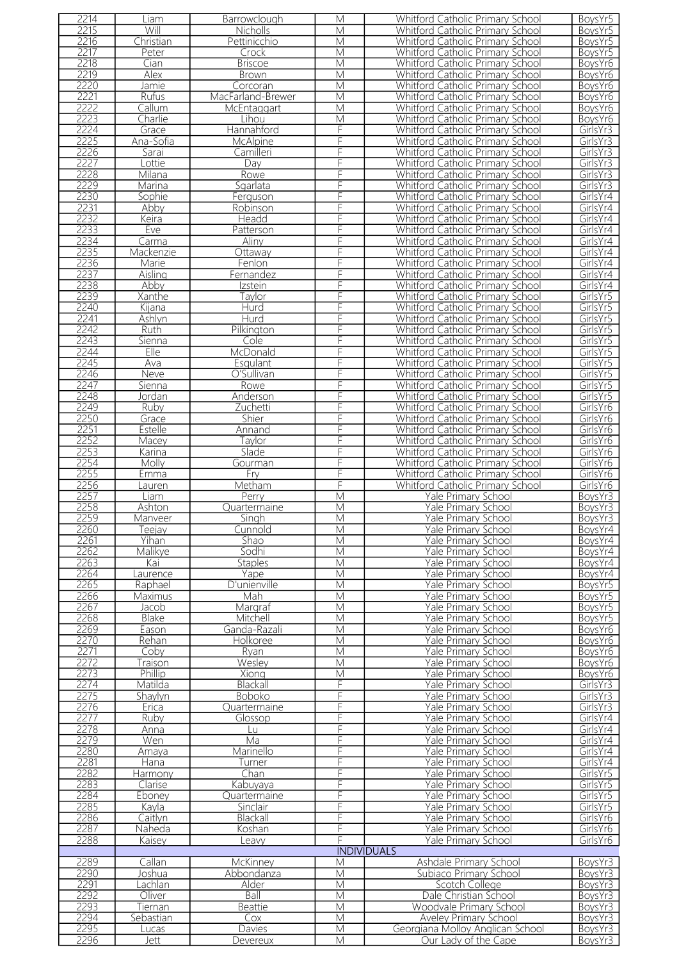|      | Liam          | Barrowclough      | M                       | <b>Whitford Catholic Primary School</b> | BoysYr5  |
|------|---------------|-------------------|-------------------------|-----------------------------------------|----------|
| 2215 | Will          | Nicholls          | M                       | Whitford Catholic Primary School        | BoysYr5  |
| 2216 | Christian     | Pettinicchio      | M                       | Whitford Catholic Primary School        | BoysYr5  |
| 2217 | Peter         | Crock             | M                       | Whitford Catholic Primary School        | BoysYr5  |
| 2218 | Cian          | <b>Briscoe</b>    | M                       | Whitford Catholic Primary School        | BoysYr6  |
| 2219 | Alex          |                   | M                       | Whitford Catholic Primary School        |          |
|      |               | <b>Brown</b>      |                         |                                         | BoysYr6  |
| 2220 | Jamie         | Corcoran          | M                       | Whitford Catholic Primary School        | BoysYr6  |
| 2221 | Rufus         | MacFarland-Brewer | M                       | Whitford Catholic Primary School        | BoysYr6  |
| 2222 | Callum        | McEntaggart       | M                       | Whitford Catholic Primary School        | BoysYr6  |
| 2223 | Charlie       | Lihou             | M                       | Whitford Catholic Primary School        | BoysYr6  |
| 2224 | Grace         | Hannahford        | F                       | Whitford Catholic Primary School        | GirlsYr3 |
| 2225 | Ana-Sofia     | McAlpine          | F                       | Whitford Catholic Primary School        | GirlsYr3 |
| 2226 | Sarai         | Camilleri         | F                       | Whitford Catholic Primary School        | GirlsYr3 |
| 2227 |               |                   | F                       | Whitford Catholic Primary School        |          |
|      | Lottie        | Day               |                         |                                         | GirlsYr3 |
| 2228 | Milana        | Rowe              | F                       | Whitford Catholic Primary School        | GirlsYr3 |
| 2229 | Marina        | Sgarlata          | F                       | Whitford Catholic Primary School        | GirlsYr3 |
| 2230 | Sophie        | Ferguson          | F                       | <b>Whitford Catholic Primary School</b> | GirlsYr4 |
| 2231 | Abby          | Robinson          | F                       | Whitford Catholic Primary School        | GirlsYr4 |
| 2232 | Keira         | Headd             | F                       | Whitford Catholic Primary School        | GirlsYr4 |
| 2233 | Eve           | Patterson         | F                       | Whitford Catholic Primary School        | GirlsYr4 |
| 2234 | Carma         | Aliny             | F                       | Whitford Catholic Primary School        | GirlsYr4 |
| 2235 | Mackenzie     |                   | F                       | Whitford Catholic Primary School        |          |
|      |               | Ottaway           |                         |                                         | GirlsYr4 |
| 2236 | Marie         | Fenlon            | F                       | Whitford Catholic Primary School        | GirlsYr4 |
| 2237 | Aisling       | Fernandez         | F                       | Whitford Catholic Primary School        | GirlsYr4 |
| 2238 | Abby          | Izstein           | F                       | Whitford Catholic Primary School        | GirlsYr4 |
| 2239 | <b>Xanthe</b> | Tavlor            | F                       | Whitford Catholic Primary School        | GirlsYr5 |
| 2240 | Kijana        | <b>Hurd</b>       | F                       | Whitford Catholic Primary School        | GirlsYr5 |
| 2241 | Ashlyn        | Hurd              | F                       | Whitford Catholic Primary School        | GirlsYr5 |
|      |               |                   |                         |                                         |          |
| 2242 | Ruth.         | Pilkington        | F                       | Whitford Catholic Primary School        | GirlsYr5 |
| 2243 | Sienna        | Cole              | F                       | <b>Whitford Catholic Primary School</b> | GirlsYr5 |
| 2244 | Elle          | McDonald          | F                       | Whitford Catholic Primary School        | GirlsYr5 |
| 2245 | Ava           | Esqulant          | F                       | Whitford Catholic Primary School        | GirlsYr5 |
| 2246 | Neve          | O'Sullivan        | F                       | Whitford Catholic Primary School        | GirlsYr5 |
| 2247 | Sienna        | Rowe              | F                       | Whitford Catholic Primary School        | GirlsYr5 |
| 2248 | Jordan        | Anderson          | F                       | Whitford Catholic Primary School        | GirlsYr5 |
|      |               |                   |                         |                                         |          |
| 2249 | Ruby          | Zuchetti          | F                       | Whitford Catholic Primary School        | GirlsYr6 |
| 2250 | Grace         | Shier             | F                       | Whitford Catholic Primary School        | GirlsYr6 |
| 2251 | Estelle       | Annand            |                         | Whitford Catholic Primary School        | GirlsYr6 |
| 2252 | Macey         | Tavlor            | F                       | Whitford Catholic Primary School        | GirlsYr6 |
| 2253 | Karina        | Slade             | F                       | Whitford Catholic Primary School        | GirlsYr6 |
| 2254 | Molly         | Gourman           | F                       | Whitford Catholic Primary School        | GirlsYr6 |
| 2255 | Emma          | $F_{\text{IV}}$   | F                       | Whitford Catholic Primary School        | GirlsYr6 |
|      |               |                   |                         |                                         |          |
| 2256 | Lauren        | Metham            | F                       | Whitford Catholic Primary School        | GirlsYr6 |
| 2257 | Liam          | Perry             | $\overline{\mathsf{M}}$ | Yale Primary School                     | BoysYr3  |
| 2258 | Ashton        | Quartermaine      | M                       | Yale Primary School                     | BoysYr3  |
| 2259 | Manveer       | Singh             | $\overline{\mathsf{M}}$ | Yale Primary School                     | BoysYr3  |
| 2260 | eejay         | Cunnold           | M                       | <b>Yale Primary School</b>              | BoysYr4  |
| 2261 | Yihan         | Shao              | $\overline{M}$          | Yale Primary School                     | BoysYr4  |
| 2262 | Malikye       | Sodhi             | M                       | Yale Primary School                     | BoysYr4  |
|      | Kai           | <b>Staples</b>    | M                       | Yale Primary School                     |          |
|      |               |                   |                         |                                         |          |
| 2263 |               |                   |                         |                                         | BoysYr4  |
| 2264 | aurence       | Yape              | $\overline{\mathsf{M}}$ | Yale Primary School                     | BoysYr4  |
| 2265 | Raphael       | D'unienville      | $\overline{\mathsf{M}}$ | Yale Primary School                     | BoysYr5  |
| 2266 | Maximus       | Mah               | M                       | Yale Primary School                     | BoysYr5  |
|      |               |                   |                         |                                         |          |
| 2267 | Jacob         | Margraf           | $\overline{M}$          | Yale Primary School                     | BoysYr5  |
| 2268 | Blake         | Mitchell          | M                       | Yale Primary School                     | BoysYr5  |
| 2269 | Eason         | Ganda-Razali      | $\overline{\mathsf{M}}$ | Yale Primary School                     | BoysYr6  |
| 2270 | Rehan         | Holkoree          | M                       | Yale Primary School                     | BoysYr6  |
| 2271 | Coby          | Ryan              | M                       | Yale Primary School                     | BoysYr6  |
| 2272 | Traison       | Wesley            | M                       | Yale Primary School                     | BoysYr6  |
| 2273 | Phillip       | Xiong             | $\overline{\mathsf{M}}$ | Yale Primary School                     | BoysYr6  |
| 2274 | Matilda       | Blackall          | F                       | Yale Primary School                     | GirlsYr3 |
|      |               |                   | F                       |                                         |          |
| 2275 | Shaylyn       | <b>Boboko</b>     |                         | Yale Primary School                     | GirlsYr3 |
| 2276 | Erica         | Quartermaine      | F                       | Yale Primary School                     | GirlsYr3 |
| 2277 | Ruby          | Glossop           | F                       | Yale Primary School                     | GirlsYr4 |
| 2278 | Anna          | Lu-               | F                       | Yale Primary School                     | GirlsYr4 |
| 2279 | Wen           | Ma                | F                       | Yale Primary School                     | GirlsYr4 |
| 2280 | Amaya         | Marinello         | F                       | Yale Primary School                     | GirlsYr4 |
| 2281 | Hana          | Turner            | F                       | Yale Primary School                     | GirlsYr4 |
|      |               |                   |                         |                                         |          |
| 2282 | Harmony       | Chan              | F                       | Yale Primary School                     | GirlsYr5 |
| 2283 | Clarise       | Kabuyaya          | F                       | Yale Primary School                     | GirlsYr5 |
| 2284 | Eboney        | Quartermaine      | F                       | Yale Primary School                     | GirlsYr5 |
| 2285 | Kayla         | Sinclair          | F                       | Yale Primary School                     | GirlsYr5 |
| 2286 | Caitlyn       | Blackall          | F                       | Yale Primary School                     | GirlsYr6 |
| 2287 | Naheda        | Koshan            | F                       | Yale Primary School                     | GirlsYr6 |
| 2288 | Kaisey        | Leavy             | F                       | Yale Primary School                     | GirlsYr6 |
|      |               |                   |                         | <b>INDIVIDUALS</b>                      |          |
|      |               |                   | M                       |                                         |          |
| 2289 | Callan        | McKinney          |                         | Ashdale Primary School                  | BoysYr3  |
| 2290 | Joshua        | Abbondanza        | M                       | Subiaco Primary School                  | BoysYr3  |
| 2291 | $a$ chlan     | Alder             | M                       | Scotch College                          | BoysYr3  |
| 2292 | Oliver        | Ball              | M                       | Dale Christian School                   | BoysYr3  |
| 2293 | Tiernan       | <b>Beattie</b>    | M                       | Woodvale Primary School                 | BoysYr3  |
| 2294 | Sebastian     | Cox               | M                       | Aveley Primary School                   | BoysYr3  |
| 2295 | Lucas         | Davies            | M                       | Georgiana Mollov Anglican School        | BoysYr3  |
| 2296 | Jett          | Devereux          | M                       | Our Lady of the Cape                    | BoysYr3  |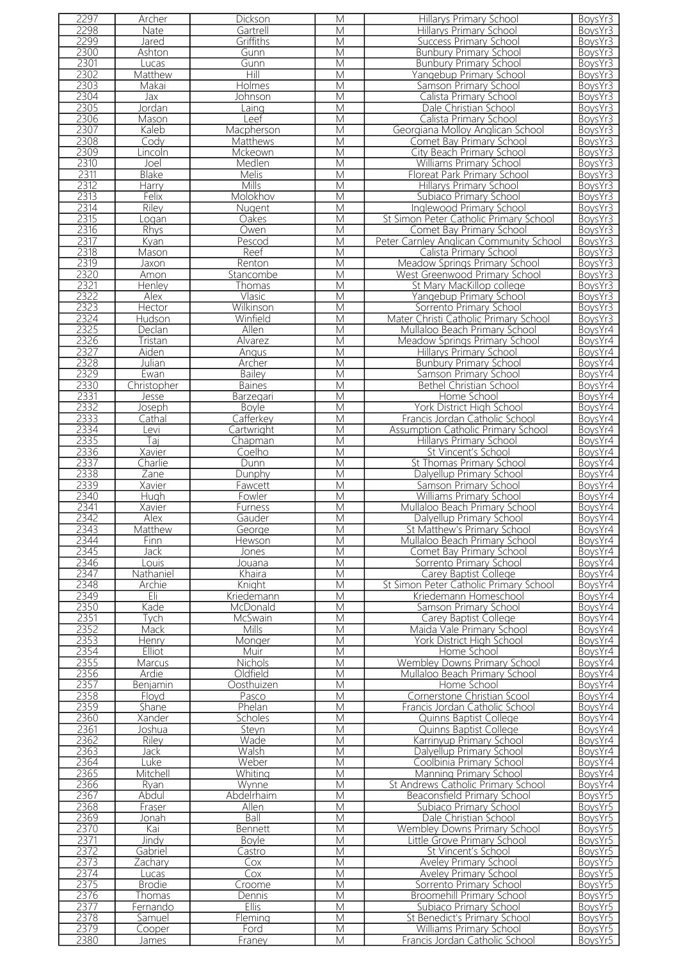| 2297 | Archer           | Dickson         | M                       | Hillarys Primary School                   | BoysYr3 |
|------|------------------|-----------------|-------------------------|-------------------------------------------|---------|
| 2298 | Nate             | Gartrell        | $\overline{\mathsf{M}}$ | Hillarys Primary School                   | BoysYr3 |
| 2299 | Jared            | Griffiths       | M                       | Success Primary School                    | BoysYr3 |
| 2300 | Ashton           | Gunn            | M                       | <b>Bunbury Primary School</b>             | BoysYr3 |
| 2301 | Lucas            | Gunn            | M                       | <b>Bunbury Primary School</b>             | BoysYr3 |
| 2302 | Matthew          | Hill            | M                       | Yangebup Primary School                   | BoysYr3 |
| 2303 | Makai            | Holmes          | M                       | Samson Primary School                     | BoysYr3 |
| 2304 | $\overline{Jax}$ | Johnson         | M                       | Calista Primary School                    | BoysYr3 |
| 2305 | Jordan           | Laing           | M                       | Dale Christian School                     | BoysYr3 |
| 2306 | Mason            | Leef            | M                       | Calista Primary School                    | BoysYr3 |
| 2307 | Kaleb            | Macpherson      | M                       | Georgiana Molloy Anglican School          | BoysYr3 |
| 2308 | Cody             | <b>Matthews</b> | M                       | Comet Bay Primary School                  | BoysYr3 |
| 2309 | Lincoln          | Mckeown         | M                       | City Beach Primary School                 | BoysYr3 |
| 2310 | Joel             | Medlen          | M                       | Williams Primary School                   | BoysYr3 |
| 2311 | <b>Blake</b>     | Melis           | М                       | Floreat Park Primary School               | BoysYr3 |
| 2312 | Harry            | Mills           | M                       | <b>Hillarys Primary School</b>            | BoysYr3 |
| 2313 | Felix            | Molokhov        | M                       | Subiaco Primary School                    | BoysYr3 |
| 2314 | Riley            | Nugent          | M                       | <b>Inglewood Primary School</b>           | BoysYr3 |
| 2315 | Logan            | Oakes           | M                       | St Simon Peter Catholic Primary School    | BoysYr3 |
| 2316 | Rhys             | Owen            | М                       | Comet Bay Primary School                  | BoysYr3 |
| 2317 | Kyan             | Pescod          | M                       | Peter Carnley Anglican Community School   | BoysYr3 |
| 2318 | Mason            | Reef            | M                       | Calista Primary School                    | BoysYr3 |
| 2319 | Jaxon            | Renton          | M                       | Meadow Springs Primary School             | BoysYr3 |
| 2320 | Amon             | Stancombe       | M                       | West Greenwood Primary School             | BoysYr3 |
| 2321 | Henley           | Thomas          | M                       | St Mary MacKillop college                 | BoysYr3 |
| 2322 | Alex             | Vlasic          | $\overline{\mathsf{M}}$ | Yangebup Primary School                   | BoysYr3 |
| 2323 | Hector           | Wilkinson       | M                       | Sorrento Primary School                   | BoysYr3 |
| 2324 | Hudson           | Winfield        | M                       | Mater Christi Catholic Primary School     | BoysYr3 |
| 2325 | Declan           | Allen           | M                       | Mullaloo Beach Primary School             | BoysYr4 |
| 2326 | Tristan          | Alvarez         | M                       | Meadow Springs Primary School             | BoysYr4 |
| 2327 | Aiden            | Angus           | M                       | Hillarys Primary School                   | BoysYr4 |
| 2328 | Julian           | Archer          | M                       | <b>Bunbury Primary School</b>             | BoysYr4 |
| 2329 | Ewan             | Bailey          | M                       | Samson Primary School                     | BoysYr4 |
| 2330 | Christopher      | <b>Baines</b>   | M                       | Bethel Christian School                   | BoysYr4 |
| 2331 | Jesse            | Barzegari       | M                       | Home School                               | BoysYr4 |
| 2332 | Joseph           | <b>Boyle</b>    | М                       | York District High School                 | BoysYr4 |
| 2333 | Cathal           | Cafferkey       | M                       | Francis Jordan Catholic School            | BoysYr4 |
| 2334 | evi              | Cartwright      | M                       | <b>Assumption Catholic Primary School</b> | BoysYr4 |
| 2335 | Taj              | Chapman         | M                       | Hillarys Primary School                   | BoysYr4 |
| 2336 | Xavier           | Coelho          | M                       | St Vincent's School                       | BoysYr4 |
| 2337 | Charlie          | Dunn            | M                       | St Thomas Primary School                  | BoysYr4 |
| 2338 | Zane             | Dunphy          | M                       | Dalyellup Primary School                  | BoysYr4 |
| 2339 | Xavier           | <b>Fawcett</b>  | M                       | Samson Primary School                     | BoysYr4 |
| 2340 | Hugh             | Fowler          | М                       | <b>Williams Primary School</b>            | BoysYr4 |
| 2341 | Xavier           | <b>Furness</b>  | M                       | Mullaloo Beach Primary School             | BoysYr4 |
| 2342 | Alex             | Gauder          | M                       | Dalyellup Primary School                  | BoysYr4 |
| 2343 | Matthew          | George          | M                       | St Matthew's Primary School               | BoysYr4 |
| 2344 | Finn.            | Hewson          | M                       | Mullaloo Beach Primary School             | BoysYr4 |
| 2345 | Jack             | Jones           | М                       | Comet Bay Primary School                  | BoysYr4 |
| 2346 | Louis            | Jouana          | M                       | Sorrento Primary School                   | BoysYr4 |
| 2347 | Nathaniel        | Khaira          | M                       | Carey Baptist College                     | BoysYr4 |
| 2348 | Archie           | Knight          | M                       | St Simon Peter Catholic Primary School    | BoysYr4 |
| 2349 | Eli              | Kriedemann      | M                       | Kriedemann Homeschool                     | BoysYr4 |
| 2350 | Kade             | McDonald        | M                       | Samson Primary School                     | BoysYr4 |
| 2351 | Tych             | <b>McSwain</b>  | M                       | Carey Baptist College                     | BoysYr4 |
| 2352 | Mack             | <b>Mills</b>    | M                       | Maida Vale Primary School                 | BoysYr4 |
| 2353 | Henry            | Monger          | M                       | York District High School                 | BoysYr4 |
| 2354 | Elliot           | Muir            | M                       | Home School                               | BoysYr4 |
| 2355 | Marcus           | Nichols         | М                       | Wembley Downs Primary School              | BoysYr4 |
| 2356 | Ardie            | Oldfield        | M                       | Mullaloo Beach Primary School             | BoysYr4 |
| 2357 | Benjamin         | Oosthuizen      | M                       | Home School                               | BoysYr4 |
| 2358 | Floyd            | Pasco           | M                       | Cornerstone Christian Scool               | BoysYr4 |
| 2359 | Shane            | Phelan          | M                       | Francis Jordan Catholic School            | BoysYr4 |
| 2360 | Xander           | Scholes         | M                       | Quinns Baptist College                    | BoysYr4 |
| 2361 | Joshua           | Steyn           | М                       | Quinns Baptist College                    | BoysYr4 |
| 2362 | Riley            | Wade            | M                       | Karrinyup Primary School                  | BoysYr4 |
| 2363 | Jack             | Walsh           | M                       | Dalyellup Primary School                  | BoysYr4 |
| 2364 | Luke             | Weber           | M                       | Coolbinia Primary School                  | BoysYr4 |
| 2365 | Mitchell         | Whiting         | М                       | Manning Primary School                    | BoysYr4 |
| 2366 | Ryan             | Wynne           | M                       | St Andrews Catholic Primary School        | BoysYr4 |
| 2367 | Abdul            | Abdelrhaim      | M                       | Beaconsfield Primary School               | BoysYr5 |
| 2368 | Fraser           | Allen           | M                       | Subiaco Primary School                    | BoysYr5 |
| 2369 | Jonah            | Ball            | М                       | Dale Christian School                     | BoysYr5 |
| 2370 | Kai              | Bennett         | M                       | Wembley Downs Primary School              | BoysYr5 |
| 2371 | Jindv            | <b>Boyle</b>    | М                       | Little Grove Primary School               | BoysYr5 |
| 2372 | Gabriel          | Castro          | M                       | St Vincent's School                       | BoysYr5 |
| 2373 | Zachary          | Cox             | M                       | <b>Aveley Primary School</b>              | BoysYr5 |
| 2374 | Lucas            | Cox             | М                       | Aveley Primary School                     | BoysYr5 |
| 2375 | <b>Brodie</b>    | Croome          | M                       | Sorrento Primary School                   | BoysYr5 |
| 2376 | Thomas           | Dennis          | M                       | Broomehill Primary School                 | BoysYr5 |
| 2377 | Fernando         | <b>Ellis</b>    | M                       | Subiaco Primary School                    | BoysYr5 |
| 2378 | Samuel           | Fleming         | M                       | St Benedict's Primary School              | BoysYr5 |
| 2379 | Cooper           | Ford            | M                       | Williams Primary School                   | BoysYr5 |
| 2380 | <b>James</b>     | Franey          | $\overline{\mathsf{M}}$ | Francis Jordan Catholic School            | BoysYr5 |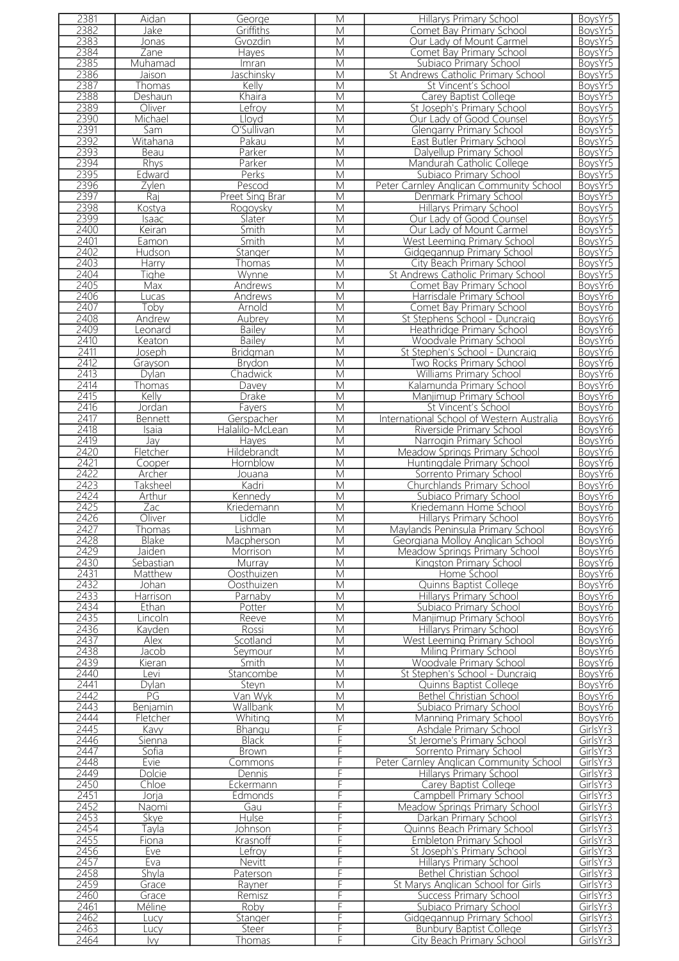| 2381         | Aidan           | George                 | М                       | Hillarys Primary School                                     | BoysYr5              |
|--------------|-----------------|------------------------|-------------------------|-------------------------------------------------------------|----------------------|
| 2382         | Jake            | Griffiths              | M                       | Comet Bay Primary School                                    | BoysYr5              |
| 2383         | Jonas           | Gvozdin                | M                       | Our Lady of Mount Carmel                                    | BoysYr5              |
| 2384         | Zane            | Hayes                  | M                       | Comet Bay Primary School                                    | BoysYr5              |
|              |                 |                        |                         |                                                             |                      |
| 2385         | Muhamad         | Imran                  | M                       | Subiaco Primary School                                      | BoysYr5              |
| 2386         | Jaison          | Jaschinsky             | M                       | St Andrews Catholic Primary School                          | BoysYr5              |
| 2387         | Thomas          | Kelly                  | М                       | St Vincent's School                                         | BoysYr5              |
| 2388         | Deshaun         | Khaira                 | M                       | Carey Baptist College                                       | BoysYr5              |
| 2389         | Oliver          | efroy                  | M                       | St Joseph's Primary School                                  | BoysYr5              |
| 2390         | Michael         | Lloyd                  | M                       | Our Lady of Good Counsel                                    | BoysYr5              |
| 2391         | Sam             | O'Sullivan             | M                       | <b>Glengarry Primary School</b>                             | BoysYr5              |
| 2392         | Witahana        | Pakau                  | M                       | East Butler Primary School                                  | BoysYr5              |
|              |                 |                        |                         |                                                             |                      |
| 2393         | Beau            | Parker                 | M                       | Dalyellup Primary School                                    | BoysYr5              |
| 2394         | <b>Rhys</b>     | Parker                 | M                       | Mandurah Catholic College                                   | BoysYr5              |
| 2395         | Edward          | Perks                  | M                       | Subiaco Primary School                                      | BoysYr5              |
| 2396         | Zylen           | Pescod                 | M                       | Peter Carnley Anglican Community School                     | BoysYr5              |
| 2397         | Raj             | Preet Sing Brar        | M                       | Denmark Primary School                                      | BoysYr5              |
| 2398         | Kostya          | Rogoysky               | M                       | <b>Hillarys Primary School</b>                              | BoysYr5              |
| 2399         | Isaac           | Slater                 | M                       | Our Lady of Good Counsel                                    | BoysYr5              |
| 2400         | Keiran          | Smith                  | M                       | Our Lady of Mount Carmel                                    | BoysYr5              |
| 2401         | Eamon           | Smith                  | M                       | West Leeming Primary School                                 | BoysYr5              |
|              |                 |                        |                         |                                                             |                      |
| 2402         | Hudson          | Stanger                | M                       | Gidgegannup Primary School                                  | BoysYr5              |
| 2403         | Harry           | Thomas                 | M                       | City Beach Primary School                                   | BoysYr5              |
| 2404         | Tighe           | Wynne                  | M                       | St Andrews Catholic Primary School                          | BoysYr5              |
| 2405         | Max             | Andrews                | M                       | Comet Bay Primary School                                    | BoysYr6              |
| 2406         | Lucas           | Andrews                | M                       | Harrisdale Primary School                                   | BoysYr6              |
| 2407         | Toby            | Arnold                 | M                       | Comet Bay Primary School                                    | BoysYr6              |
| 2408         | Andrew          | Aubrey                 | M                       | St Stephens School - Duncraig                               | BoysYr6              |
| 2409         | Leonard         | <b>Bailey</b>          | M                       | Heathridge Primary School                                   | BoysYr6              |
| 2410         | Keaton          | <b>Bailey</b>          | M                       | Woodvale Primary School                                     | BoysYr6              |
| 2411         | Joseph          | Bridgman               | M                       | St Stephen's School - Duncraig                              | BoysYr6              |
| 2412         | Grayson         | Brydon                 | M                       | Two Rocks Primary School                                    | BoysYr6              |
| 2413         | Dylan           | Chadwick               | M                       | Williams Primary School                                     | BoysYr6              |
| 2414         |                 |                        | M                       |                                                             |                      |
|              | Thomas          | Davey                  |                         | Kalamunda Primary School                                    | BoysYr6              |
| 2415         | Kelly           | Drake                  | M                       | Manjimup Primary School                                     | BoysYr6              |
| 2416         | Jordan          | Fayers                 | M                       | St Vincent's School                                         | BoysYr6              |
| 2417         | <b>Bennett</b>  | Gerspacher             | M                       | International School of Western Australia                   | BoysYr6              |
| 2418         | Isaia           | Halalilo-McLean        | M                       | Riverside Primary School                                    | BoysYr6              |
| 2419         | Jay             | <b>Hayes</b>           | M                       | Narrogin Primary School                                     | BoysYr6              |
| 2420         | Fletcher        | Hildebrandt            | M                       | Meadow Springs Primary School                               | BoysYr6              |
| 2421         | Cooper          | Hornblow               | M                       | Huntingdale Primary School                                  | BoysYr6              |
| 2422         | Archer          | <u>Jouana</u>          | $\overline{\mathsf{M}}$ | Sorrento Primary School                                     | BoysYr6              |
| 2423         | <b>Taksheel</b> | Kadri                  | M                       | Churchlands Primary School                                  | BoysYr6              |
| 2424         | Arthur          | Kennedy                | M                       | Subiaco Primary School                                      | BoysYr6              |
| 2425         | Zac             | Kriedemann             | M                       | Kriedemann Home School                                      | BoysYr6              |
| 2426         | Oliver          | Liddle                 | M                       | Hillarys Primary School                                     | BoysYr6              |
| 2427         | <i>I</i> homas  | Lishman                | M                       | Maylands Peninsula Primary School                           | BoysYr6              |
| 2428         | <b>Blake</b>    | Macpherson             | М                       | Georgiana Molloy Anglican School                            | BoysYr6              |
| 2429         | Jaiden          | Morrison               | М                       | Meadow Springs Primary School                               | BoysYr6              |
| 2430         |                 |                        | M                       |                                                             |                      |
|              | Sebastian       | Murray                 |                         | Kingston Primary School                                     | BoysYr6              |
| 2431         | Matthew         | Oosthuizen             | M                       | Home School                                                 | BoysYr6              |
| 2432         | Johan           | Oosthuizen             | М                       | Quinns Baptist College                                      | BoysYr6              |
| 2433         | Harrison        | Parnaby                | M                       | Hillarys Primary School                                     |                      |
| 2434         | Ethan           | Potter                 |                         |                                                             | BoysYr6              |
| 2435         | Lincoln         |                        | M                       | Subiaco Primary School                                      | BoysYr6              |
| 2436         |                 | Reeve                  | M                       | Manjimup Primary School                                     | BoysYr6              |
|              |                 |                        | M                       |                                                             |                      |
|              | Kayden          | Rossi                  | M                       | <b>Hillarys Primary School</b>                              | BoysYr6              |
| 2437         | Alex            | Scotland               |                         | West Leeming Primary School                                 | BoysYr6              |
| 2438         | Jacob           | Seymour                | M                       | Miling Primary School                                       | BoysYr6              |
| 2439         | Kieran          | Smith                  | M                       | Woodvale Primary School                                     | BoysYr6              |
| 2440         | Levi            | Stancombe              | М                       | St Stephen's School - Duncraig                              | BoysYr6              |
| 2441         | Dylan           | Steyn                  | M                       | Quinns Baptist College                                      | BoysYr6              |
| 2442         | PG              | Van Wyk                | M                       | Bethel Christian School                                     | BoysYr6              |
| 2443         | Benjamin        | Wallbank               | M                       | Subiaco Primary School                                      | BoysYr6              |
| 2444         | Fletcher        | Whiting                | M                       | Manning Primary School                                      | BoysYr6              |
| 2445         | Kavy            | Bhangu                 | F                       | Ashdale Primary School                                      | GirlsYr3             |
| 2446         | Sienna          | <b>Black</b>           | F                       | St Jerome's Primary School                                  | GirlsYr3             |
| 2447         | Sofia           | <b>Brown</b>           | F                       | Sorrento Primary School                                     | GirlsYr3             |
| 2448         | Evie            | Commons                | F                       | Peter Carnley Anglican Community School                     | GirlsYr3             |
| 2449         | Dolcie          | Dennis                 | F                       | Hillarys Primary School                                     | GirlsYr3             |
| 2450         | Chloe           | Eckermann              | F                       | Carey Baptist College                                       | GirlsYr3             |
| 2451         | Joria           | Edmonds                | F                       | Campbell Primary School                                     | GirlsYr3             |
| 2452         | Naomi           | Gau                    | F                       | Meadow Springs Primary School                               | GirlsYr3             |
| 2453         | Skye            | <b>Hulse</b>           | F                       | Darkan Primary School                                       | GirlsYr3             |
| 2454         |                 |                        | F                       |                                                             |                      |
|              | Tayla           | Johnson                | F                       | Quinns Beach Primary School                                 | GirlsYr3             |
| 2455         | Fiona           | Krasnoff               |                         | <b>Embleton Primary School</b>                              | GirlsYr3             |
| 2456         | Eve             | Lefrov                 | F<br>F                  | St Joseph's Primary School                                  | GirlsYr3             |
| 2457         | Eva             | Nevitt                 |                         | Hillarys Primary School                                     | GirlsYr3             |
| 2458         | <b>Shyla</b>    | Paterson               | F                       | <b>Bethel Christian School</b>                              | GirlsYr3             |
| 2459         | Grace           | Rayner                 | F                       | St Marys Anglican School for Girls                          | GirlsYr3             |
| 2460         | Grace           | Remisz                 | F                       | <b>Success Primary School</b>                               | GirlsYr3             |
| 2461         | Méline          | Roby                   | F                       | Subiaco Primary School                                      | GirlsYr3             |
| 2462         | Lucv            | Stanger                | F                       | Gidgegannup Primary School                                  | GirlsYr3             |
| 2463<br>2464 | Lucy<br>lvy.    | Steer<br><u>Thomas</u> | F<br>F                  | <b>Bunbury Baptist College</b><br>City Beach Primary School | GirlsYr3<br>GirlsYr3 |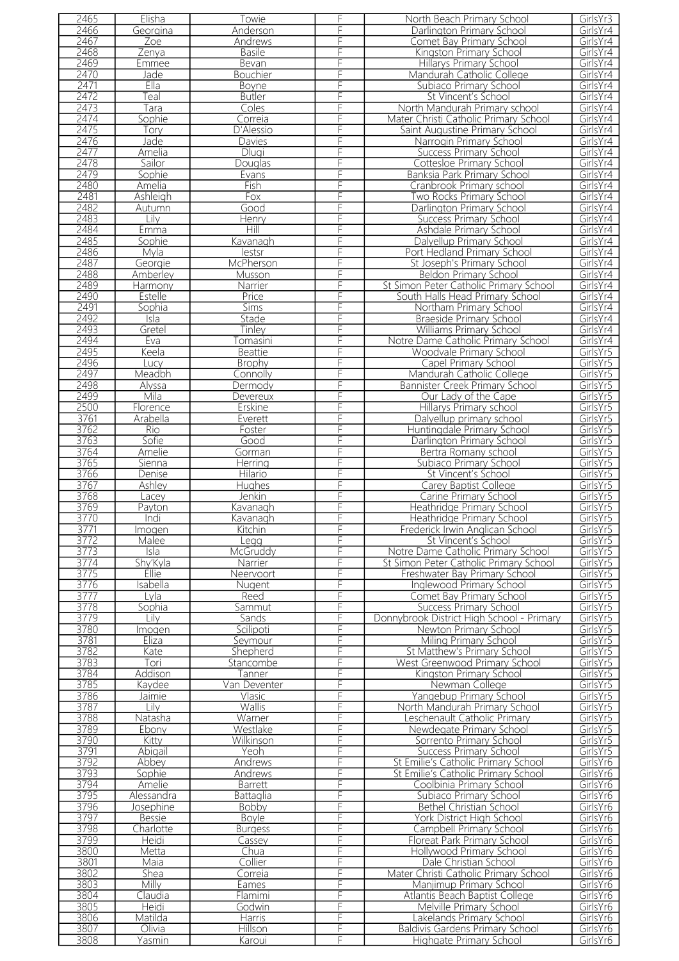| 2465         | Elisha           | Towie                 | F      | North Beach Primary School                                        | GirlsYr3             |
|--------------|------------------|-----------------------|--------|-------------------------------------------------------------------|----------------------|
| 2466         | Georgina         | Anderson              | F      | Darlington Primary School                                         | GirlsYr4             |
| 2467         | Zoe              | Andrews               | F      | Comet Bay Primary School                                          | GirlsYr4             |
| 2468         |                  |                       | F      |                                                                   |                      |
|              | Zenva            | <b>Basile</b>         |        | Kingston Primary School                                           | GirlsYr4             |
| 2469         | Emmee            | Bevan                 | F      | Hillarys Primary School                                           | GirlsYr4             |
| 2470         | Jade             | Bouchier              | F      | Mandurah Catholic College                                         | GirlsYr4             |
| 2471         | Ella             | Boyne                 | F      | Subiaco Primary School                                            | GirlsYr4             |
| 2472         | ⊺eal             | <b>Butler</b>         | F      | St Vincent's School                                               | GirlsYr4             |
| 2473         | Tara             | Coles                 | F      | North Mandurah Primary school                                     | GirlsYr4             |
| 2474         | Sophie           | Correia               | F      | Mater Christi Catholic Primary School                             | GirlsYr4             |
| 2475         |                  |                       | F      |                                                                   | GirlsYr4             |
|              | Tory             | D'Alessio             |        | Saint Augustine Primary School                                    |                      |
| 2476         | Jade             | Davies                | F      | Narrogin Primary School                                           | GirlsYr4             |
| 2477         | Amelia           | Dlugi                 | F      | <b>Success Primary School</b>                                     | GirlsYr4             |
| 2478         | Sailor           | Douglas               | F      | Cottesloe Primary School                                          | GirlsYr4             |
| 2479         | Sophie           | Evans                 | F      | Banksia Park Primary School                                       | GirlsYr4             |
| 2480         | Amelia           | Fish                  | F      | Cranbrook Primary school                                          | GirlsYr4             |
| 2481         | Ashleigh         | Fox                   | F      | <b>Two Rocks Primary School</b>                                   | GirlsYr4             |
| 2482         | Autumn           | Good                  | F      | Darlington Primary School                                         | GirlsYr4             |
|              |                  |                       | F      |                                                                   |                      |
| 2483         | Lily             | Henry                 |        | <b>Success Primary School</b>                                     | GirlsYr4             |
| 2484         | Emma             | Hill                  | Ē      | Ashdale Primary School                                            | GirlsYr4             |
| 2485         | Sophie           | Kavanagh              | F      | Dalyellup Primary School                                          | GirlsYr4             |
| 2486         | Mvla             | lestsr                |        | Port Hedland Primary School                                       | GirlsYr4             |
| 2487         | Georgie          | McPherson             | F      | St Joseph's Primary School                                        | GirlsYr4             |
| 2488         | Amberley         | Musson                | F      | <b>Beldon Primary School</b>                                      | GirlsYr4             |
| 2489         | Harmony          | Narrier               | F      | St Simon Peter Catholic Primary School                            | GirlsYr4             |
|              |                  |                       |        |                                                                   |                      |
| 2490         | Estelle          | Price                 | F      | South Halls Head Primary School                                   | GirlsYr4             |
| 2491         | Sophia           | Sims                  | F      | Northam Primary School                                            | GirlsYr4             |
| 2492         | Isla             | Stade                 | F      | Braeside Primary School                                           | GirlsYr4             |
| 2493         | Gretel           | <b>Tinley</b>         | F      | <b>Williams Primary School</b>                                    | GirlsYr4             |
| 2494         | Eva              | <sup>-</sup> Tomasini | F      | Notre Dame Catholic Primary School                                | GirlsYr4             |
| 2495         | Keela            | <b>Beattie</b>        | F      | <b>Woodvale Primary School</b>                                    | GirlsYr5             |
| 2496         | <b>Lucy</b>      | <b>Brophy</b>         | F      | Capel Primary School                                              | GirlsYr5             |
| 2497         |                  |                       | F      |                                                                   | GirlsYr5             |
|              | Meadbh           | Connolly              |        | Mandurah Catholic College                                         |                      |
| 2498         | Alyssa           | Dermody               | F      | Bannister Creek Primary School                                    | GirlsYr5             |
| 2499         | Mila             | Devereux              | F      | Our Lady of the Cape                                              | GirlsYr5             |
| 2500         | Florence         | Erskine               | F      | Hillarys Primary school                                           | GirlsYr5             |
| 3761         | Arabella         | Everett               | F      | Dalyellup primary school                                          | GirlsYr5             |
| 3762         | Rio              | Foster                | F      | Huntingdale Primary School                                        | GirlsYr5             |
| 3763         | Sofie            | Good                  | F      | Darlington Primary School                                         | GirlsYr5             |
| 3764         | Amelie           |                       | F      | Bertra Romany school                                              | GirlsYr5             |
|              |                  | Gorman                |        |                                                                   |                      |
| 3765         | Sienna           | Herring               | F      | Subiaco Primary School                                            | GirlsYr5             |
| 3766         | Denise           | Hilario               | F      | St Vincent's School                                               | GirlsYr5             |
| 3767         | Ashley           | Hughes                | F      | Carev Baptist College                                             | GirlsYr5             |
| 3768         | Lacey            | Jenkin                | F      | Carine Primary School                                             | GirlsYr5             |
| 3769         | Payton           | Kavanagh              | F      | Heathridge Primary School                                         | GirlsYr5             |
| 3770         | Indi             | Kavanagh              | F      | Heathridge Primary School                                         | GirlsYr5             |
| 3771         | Imogen           | Kitchin               | F      | Frederick Irwin Anglican School                                   | GirlsYr5             |
| 3772         | Malee            |                       | F      | St Vincent's School                                               | GirlsYr5             |
|              |                  | Legg                  |        |                                                                   |                      |
| 3773         | Isla             | McGruddy              | F      | Notre Dame Catholic Primary School                                | GirlsYr5             |
| 3774         | Shy'Kyla         | Narrier               | F      | St Simon Peter Catholic Primary School                            | GirlsYr5             |
| 3775         | Ellie            | Neervoort             | F      | Freshwater Bay Primary School                                     | GirlsYr5             |
| 3776         | Isabella         | Nugent                | F      | Inglewood Primary School                                          | GirlsYr5             |
| 3777         | Lyla             | Reed                  | F      | Comet Bay Primary School                                          | GirlsYr5             |
| 3778         | Sophia           | Sammut                | F      | Success Primary School                                            | GirlsYr5             |
| 3779         | Lilv             | Sands                 | F      | Donnybrook District High School - Primary                         | GirlsYr5             |
| 3780         | Imogen           | Scilipoti             | F      | Newton Primary School                                             | GirlsYr5             |
|              |                  |                       |        |                                                                   |                      |
| 3781         | Eliza            | Sevmour               | F      | Miling Primary School                                             | GirlsYr5             |
| 3782         | Kate             | Shepherd              | F      | St Matthew's Primary School                                       | GirlsYr5             |
| 3783         | Tori             | Stancombe             | F      | West Greenwood Primary School                                     | GirlsYr5             |
| 3784         | Addison          | Tanner                | F      | Kingston Primary School                                           | GirlsYr5             |
| 3785         | Kaydee           | Van Deventer          | F      | Newman College                                                    | GirlsYr5             |
| 3786         | Jaimie           | Vlasic                | F      | Yangebup Primary School                                           | GirlsYr5             |
| 3787         | Lily             | Wallis                | F      | North Mandurah Primary School                                     | GirlsYr5             |
| 3788         | Natasha          | Warner                | F      | Leschenault Catholic Primary                                      | GirlsYr5             |
| 3789         | Ebony            | Westlake              | F      | Newdegate Primary School                                          | GirlsYr5             |
|              |                  |                       |        |                                                                   |                      |
| 3790         | Kitty            | Wilkinson             | F      | Sorrento Primary School                                           | GirlsYr5             |
| 3791         | Abigail          | Yeoh                  | F      | <b>Success Primary School</b>                                     | GirlsYr5             |
| 3792         | Abbey            | Andrews               | F      | St Emilie's Catholic Primary School                               | GirlsYr6             |
| 3793         | Sophie           | Andrews               | F      | St Emilie's Catholic Primary School                               | GirlsYr6             |
| 3794         | Amelie           | Barrett               | F      | Coolbinia Primary School                                          | GirlsYr6             |
| 3795         | Alessandra       | Battaglia             | F      | Subiaco Primary School                                            | GirlsYr6             |
| 3796         | Josephine        | Bobby                 | F      | Bethel Christian School                                           | GirlsYr6             |
| 3797         | <b>Bessie</b>    | <b>Boyle</b>          | F      | York District High School                                         | GirlsYr6             |
|              |                  | <b>Burgess</b>        | F      | Campbell Primary School                                           |                      |
|              |                  |                       |        |                                                                   | GirlsYr6             |
| 3798         | Charlotte        |                       |        |                                                                   |                      |
| 3799         | Heidi            | Cassey                | F      | Floreat Park Primary School                                       | GirlsYr6             |
| 3800         | Metta            | Chua                  | F      | Hollywood Primary School                                          | GirlsYr6             |
| 3801         | Maia             | Collier               | F      | Dale Christian School                                             | GirlsYr6             |
| 3802         | Shea             | Correia               | F      | Mater Christi Catholic Primary School                             | GirlsYr6             |
|              |                  |                       |        |                                                                   |                      |
| 3803         | <b>Milly</b>     | Eames                 | F      | Manjimup Primary School                                           | GirlsYr6             |
| 3804         | Claudia          | Flamimi               | F      | Atlantis Beach Baptist College                                    | GirlsYr6             |
| 3805         | Heidi            | Godwin                | F      | Melville Primary School                                           | GirlsYr6             |
| 3806         | Matilda          | <b>Harris</b>         | F      | Lakelands Primary School                                          | GirlsYr6             |
| 3807<br>3808 | Olivia<br>Yasmin | Hillson<br>Karoui     | F<br>F | <b>Baldivis Gardens Primary School</b><br>Highgate Primary School | GirlsYr6<br>GirlsYr6 |